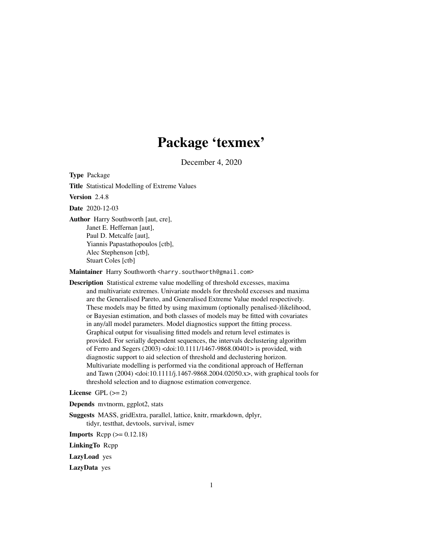# Package 'texmex'

December 4, 2020

<span id="page-0-0"></span>Type Package

Title Statistical Modelling of Extreme Values

Version 2.4.8

Date 2020-12-03

Author Harry Southworth [aut, cre], Janet E. Heffernan [aut], Paul D. Metcalfe [aut], Yiannis Papastathopoulos [ctb], Alec Stephenson [ctb], Stuart Coles [ctb]

Maintainer Harry Southworth <harry.southworth@gmail.com>

Description Statistical extreme value modelling of threshold excesses, maxima and multivariate extremes. Univariate models for threshold excesses and maxima are the Generalised Pareto, and Generalised Extreme Value model respectively. These models may be fitted by using maximum (optionally penalised-)likelihood, or Bayesian estimation, and both classes of models may be fitted with covariates in any/all model parameters. Model diagnostics support the fitting process. Graphical output for visualising fitted models and return level estimates is provided. For serially dependent sequences, the intervals declustering algorithm of Ferro and Segers (2003) <doi:10.1111/1467-9868.00401> is provided, with diagnostic support to aid selection of threshold and declustering horizon. Multivariate modelling is performed via the conditional approach of Heffernan and Tawn (2004) <doi:10.1111/j.1467-9868.2004.02050.x>, with graphical tools for threshold selection and to diagnose estimation convergence.

License GPL  $(>= 2)$ 

Depends mvtnorm, ggplot2, stats

Suggests MASS, gridExtra, parallel, lattice, knitr, rmarkdown, dplyr, tidyr, testthat, devtools, survival, ismev

**Imports** Rcpp  $(>= 0.12.18)$ 

LinkingTo Rcpp

LazyLoad yes

LazyData yes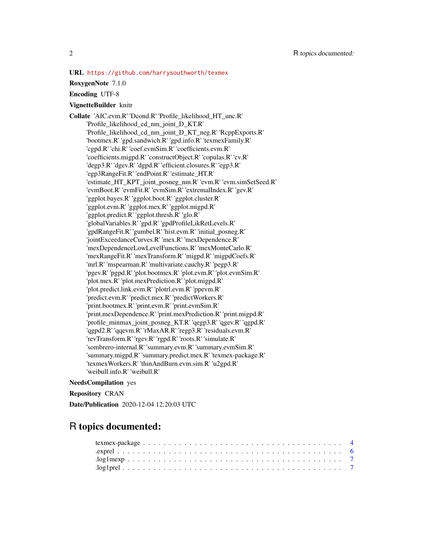URL <https://github.com/harrysouthworth/texmex>

#### RoxygenNote 7.1.0

Encoding UTF-8

#### VignetteBuilder knitr

Collate 'AIC.evm.R' 'Dcond.R' 'Profile\_likelihood\_HT\_unc.R' 'Profile\_likelihood\_cd\_nm\_joint\_D\_KT.R' 'Profile\_likelihood\_cd\_nm\_joint\_D\_KT\_neg.R' 'RcppExports.R' 'bootmex.R' 'gpd.sandwich.R' 'gpd.info.R' 'texmexFamily.R' 'cgpd.R' 'chi.R' 'coef.evmSim.R' 'coefficients.evm.R' 'coefficients.migpd.R' 'constructObject.R' 'copulas.R' 'cv.R' 'degp3.R' 'dgev.R' 'dgpd.R' 'efficient.closures.R' 'egp3.R' 'egp3RangeFit.R' 'endPoint.R' 'estimate\_HT.R' 'estimate\_HT\_KPT\_joint\_posneg\_nm.R' 'evm.R' 'evm.simSetSeed.R' 'evmBoot.R' 'evmFit.R' 'evmSim.R' 'extremalIndex.R' 'gev.R' 'ggplot.bayes.R' 'ggplot.boot.R' 'ggplot.cluster.R' 'ggplot.evm.R' 'ggplot.mex.R' 'ggplot.migpd.R' 'ggplot.predict.R' 'ggplot.thresh.R' 'glo.R' 'globalVariables.R' 'gpd.R' 'gpdProfileLikRetLevels.R' 'gpdRangeFit.R' 'gumbel.R' 'hist.evm.R' 'initial\_posneg.R' 'jointExceedanceCurves.R' 'mex.R' 'mexDependence.R' 'mexDependenceLowLevelFunctions.R' 'mexMonteCarlo.R' 'mexRangeFit.R' 'mexTransform.R' 'migpd.R' 'migpdCoefs.R' 'mrl.R' 'mspearman.R' 'multivariate.cauchy.R' 'pegp3.R' 'pgev.R' 'pgpd.R' 'plot.bootmex.R' 'plot.evm.R' 'plot.evmSim.R' 'plot.mex.R' 'plot.mexPrediction.R' 'plot.migpd.R' 'plot.predict.link.evm.R' 'plotrl.evm.R' 'ppevm.R' 'predict.evm.R' 'predict.mex.R' 'predictWorkers.R' 'print.bootmex.R' 'print.evm.R' 'print.evmSim.R' 'print.mexDependence.R' 'print.mexPrediction.R' 'print.migpd.R' 'profile\_minmax\_joint\_posneg\_KT.R' 'qegp3.R' 'qgev.R' 'qgpd.R' 'qgpd2.R' 'qqevm.R' 'rMaxAR.R' 'regp3.R' 'residuals.evm.R' 'revTransform.R' 'rgev.R' 'rgpd.R' 'roots.R' 'simulate.R' 'sombrero-internal.R' 'summary.evm.R' 'summary.evmSim.R' 'summary.migpd.R' 'summary.predict.mex.R' 'texmex-package.R' 'texmexWorkers.R' 'thinAndBurn.evm.sim.R' 'u2gpd.R' 'weibull.info.R' 'weibull.R'

### NeedsCompilation yes

Repository CRAN

Date/Publication 2020-12-04 12:20:03 UTC

# R topics documented: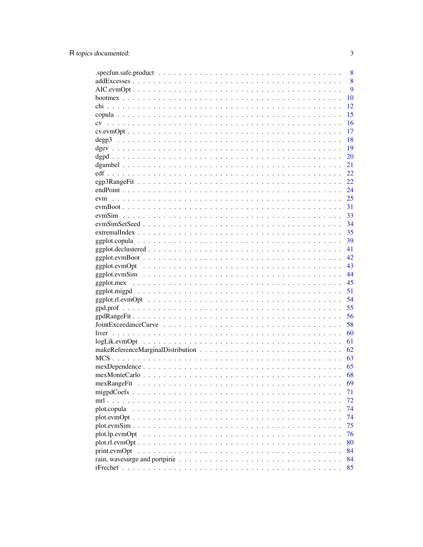|                                                                                                              | 8  |
|--------------------------------------------------------------------------------------------------------------|----|
|                                                                                                              | 8  |
|                                                                                                              | 9  |
|                                                                                                              | 10 |
|                                                                                                              | 12 |
|                                                                                                              | 15 |
| cv                                                                                                           | 16 |
|                                                                                                              | 17 |
|                                                                                                              | 18 |
|                                                                                                              | 19 |
|                                                                                                              | 20 |
|                                                                                                              | 21 |
|                                                                                                              | 22 |
|                                                                                                              | 22 |
|                                                                                                              | 24 |
|                                                                                                              | 25 |
|                                                                                                              | 31 |
|                                                                                                              | 33 |
|                                                                                                              | 34 |
|                                                                                                              | 35 |
|                                                                                                              | 39 |
|                                                                                                              | 41 |
|                                                                                                              | 42 |
|                                                                                                              | 43 |
|                                                                                                              | 44 |
|                                                                                                              | 45 |
|                                                                                                              | 51 |
|                                                                                                              | 54 |
|                                                                                                              | 55 |
|                                                                                                              | 56 |
|                                                                                                              | 58 |
|                                                                                                              | 60 |
|                                                                                                              | 61 |
|                                                                                                              | 62 |
|                                                                                                              | 63 |
|                                                                                                              | 65 |
|                                                                                                              | 68 |
| mexRangeFit                                                                                                  | 69 |
| migpdCoefs $\ldots$                                                                                          | 71 |
| $mrl.$ .                                                                                                     | 72 |
| plot.copula                                                                                                  | 74 |
| $plot.eventOpt$                                                                                              | 74 |
| $plot.evmSim.$ .                                                                                             | 75 |
| plot.lp.evmOpt                                                                                               | 76 |
|                                                                                                              | 80 |
| print.evmOpt                                                                                                 | 84 |
| rain, wavesurge and portpirie $\ldots \ldots \ldots \ldots \ldots \ldots \ldots \ldots \ldots \ldots \ldots$ | 84 |
|                                                                                                              | 85 |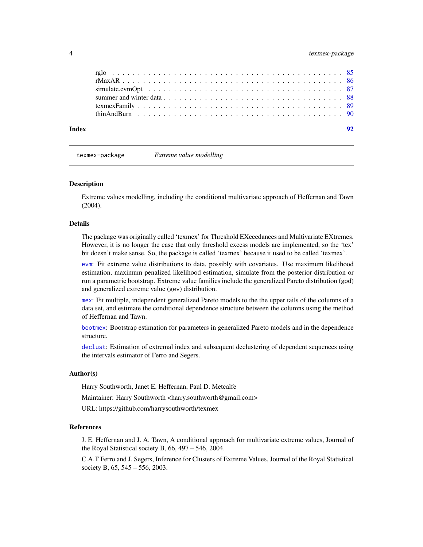<span id="page-3-0"></span>

| Index |  |
|-------|--|
|       |  |
|       |  |
|       |  |
|       |  |
|       |  |
|       |  |

texmex-package *Extreme value modelling*

#### Description

Extreme values modelling, including the conditional multivariate approach of Heffernan and Tawn (2004).

#### Details

The package was originally called 'texmex' for Threshold EXceedances and Multivariate EXtremes. However, it is no longer the case that only threshold excess models are implemented, so the 'tex' bit doesn't make sense. So, the package is called 'texmex' because it used to be called 'texmex'.

[evm](#page-24-1): Fit extreme value distributions to data, possibly with covariates. Use maximum likelihood estimation, maximum penalized likelihood estimation, simulate from the posterior distribution or run a parametric bootstrap. Extreme value families include the generalized Pareto distribution (gpd) and generalized extreme value (gev) distribution.

[mex](#page-44-1): Fit multiple, independent generalized Pareto models to the the upper tails of the columns of a data set, and estimate the conditional dependence structure between the columns using the method of Heffernan and Tawn.

[bootmex](#page-9-1): Bootstrap estimation for parameters in generalized Pareto models and in the dependence structure.

[declust](#page-34-1): Estimation of extremal index and subsequent declustering of dependent sequences using the intervals estimator of Ferro and Segers.

#### Author(s)

Harry Southworth, Janet E. Heffernan, Paul D. Metcalfe

Maintainer: Harry Southworth <harry.southworth@gmail.com>

URL: https://github.com/harrysouthworth/texmex

# References

J. E. Heffernan and J. A. Tawn, A conditional approach for multivariate extreme values, Journal of the Royal Statistical society B, 66, 497 – 546, 2004.

C.A.T Ferro and J. Segers, Inference for Clusters of Extreme Values, Journal of the Royal Statistical society B, 65, 545 – 556, 2003.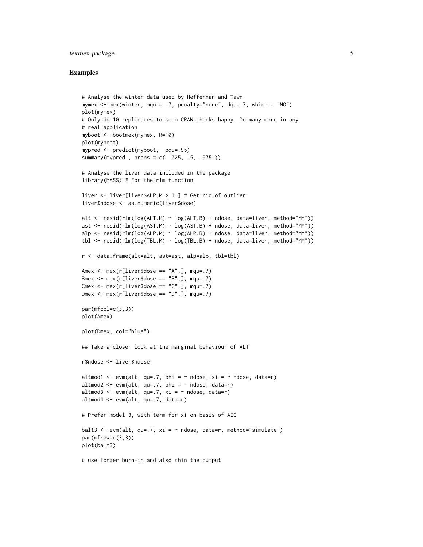# texmex-package 5

#### Examples

```
# Analyse the winter data used by Heffernan and Tawn
mymex <- mex(winter, mqu = .7, penalty="none", dqu=.7, which = "NO")
plot(mymex)
# Only do 10 replicates to keep CRAN checks happy. Do many more in any
# real application
myboot <- bootmex(mymex, R=10)
plot(myboot)
mypred <- predict(myboot, pqu=.95)
summary(mypred , probs = c( .025, .5, .975 ))
# Analyse the liver data included in the package
library(MASS) # For the rlm function
liver <- liver[liver$ALP.M > 1,] # Get rid of outlier
liver$ndose <- as.numeric(liver$dose)
alt <- resid(rlm(log(ALT.M) ~ log(ALT.B) + ndose, data=liver, method="MM"))
ast <- resid(rlm(log(AST.M) ~ log(AST.B) + ndose, data=liver, method="MM"))
alp <- resid(rlm(log(ALP.M) ~ log(ALP.B) + ndose, data=liver, method="MM"))
tbl <- resid(rlm(log(TBL.M) ~ log(TBL.B) + ndose, data=liver, method="MM"))
r <- data.frame(alt=alt, ast=ast, alp=alp, tbl=tbl)
Amex \leq mex(r[liver$dose == "A",], mqu=.7)
Bmex \leq mex(r[liver$dose == "B",], mqu=.7)
Cmex \leq mex(r[liver$dose == "C",], mqu=.7)
Dmex \leq mex(r[liver$dose == "D",], mqu=.7)
par(mfcol=c(3,3))
plot(Amex)
plot(Dmex, col="blue")
## Take a closer look at the marginal behaviour of ALT
r$ndose <- liver$ndose
altmod1 <- evm(alt, qu=.7, phi = \sim ndose, xi = \sim ndose, data=r)
altmod2 \leq evm(alt, qu=.7, phi = \sim ndose, data=r)
altmod3 <- evm(alt, qu=.7, xi = \sim ndose, data=r)
altmod4 <- evm(alt, qu=.7, data=r)
# Prefer model 3, with term for xi on basis of AIC
balt3 <- evm(alt, qu=.7, xi = \sim ndose, data=r, method="simulate")
par(mfrow=c(3,3))
plot(balt3)
# use longer burn-in and also thin the output
```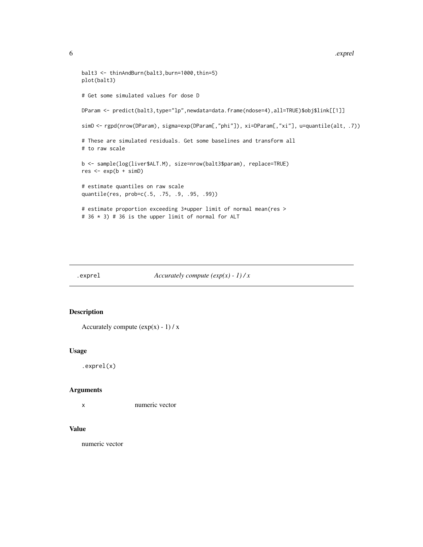```
balt3 <- thinAndBurn(balt3,burn=1000,thin=5)
plot(balt3)
# Get some simulated values for dose D
DParam <- predict(balt3,type="lp",newdata=data.frame(ndose=4),all=TRUE)$obj$link[[1]]
simD <- rgpd(nrow(DParam), sigma=exp(DParam[,"phi"]), xi=DParam[,"xi"], u=quantile(alt, .7))
# These are simulated residuals. Get some baselines and transform all
# to raw scale
b <- sample(log(liver$ALT.M), size=nrow(balt3$param), replace=TRUE)
res < - exp(b + simD)# estimate quantiles on raw scale
quantile(res, prob=c(.5, .75, .9, .95, .99))
# estimate proportion exceeding 3*upper limit of normal mean(res >
# 36 * 3) # 36 is the upper limit of normal for ALT
```
.exprel *Accurately compute (exp(x) - 1) / x*

| Accurately compute $(exp(x) - 1) / x$ |  |  |  |
|---------------------------------------|--|--|--|
|                                       |  |  |  |

#### Description

```
Accurately compute (exp(x) - 1) / x
```
#### Usage

.exprel(x)

#### Arguments

x numeric vector

# Value

numeric vector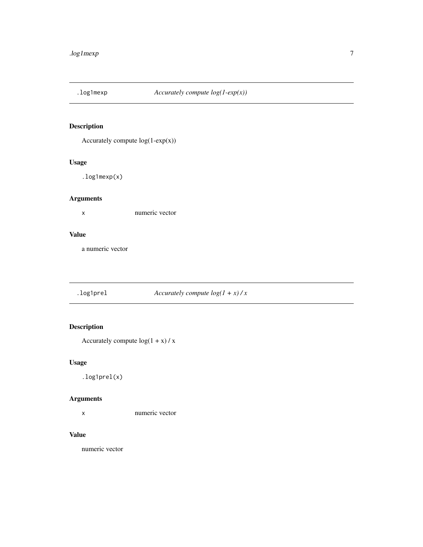<span id="page-6-0"></span>

# Description

Accurately compute  $log(1-exp(x))$ 

# Usage

.log1mexp(x)

# Arguments

x numeric vector

# Value

a numeric vector

.log1prel *Accurately compute log(1 + x) / x*

# Description

Accurately compute  $log(1 + x) / x$ 

# Usage

.log1prel(x)

# Arguments

x numeric vector

# Value

numeric vector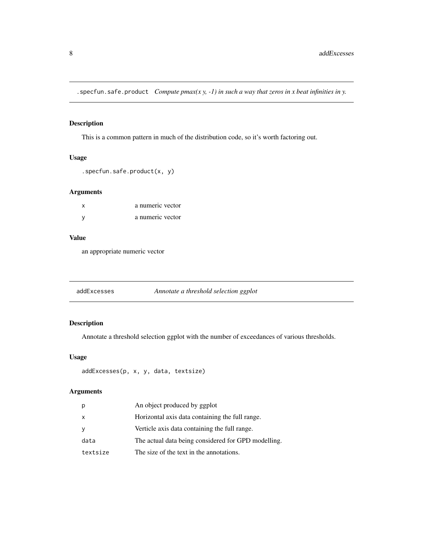<span id="page-7-0"></span>.specfun.safe.product *Compute pmax(x y, -1) in such a way that zeros in x beat infinities in y.*

# Description

This is a common pattern in much of the distribution code, so it's worth factoring out.

# Usage

```
.specfun.safe.product(x, y)
```
# Arguments

| X | a numeric vector |
|---|------------------|
| v | a numeric vector |

#### Value

an appropriate numeric vector

addExcesses *Annotate a threshold selection ggplot*

# Description

Annotate a threshold selection ggplot with the number of exceedances of various thresholds.

#### Usage

```
addExcesses(p, x, y, data, textsize)
```
# Arguments

|          | An object produced by ggplot                        |
|----------|-----------------------------------------------------|
| $\times$ | Horizontal axis data containing the full range.     |
|          | Verticle axis data containing the full range.       |
| data     | The actual data being considered for GPD modelling. |
| textsize | The size of the text in the annotations.            |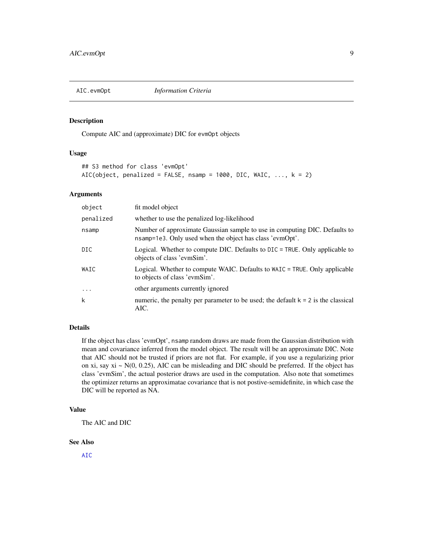<span id="page-8-0"></span>

#### Description

Compute AIC and (approximate) DIC for evmOpt objects

#### Usage

```
## S3 method for class 'evmOpt'
AIC(object, penalized = FALSE, nsamp = 1000, DIC, WAIC, \dots, k = 2)
```
# Arguments

| object    | fit model object                                                                                                                       |
|-----------|----------------------------------------------------------------------------------------------------------------------------------------|
| penalized | whether to use the penalized log-likelihood                                                                                            |
| nsamp     | Number of approximate Gaussian sample to use in computing DIC. Defaults to<br>nsamp=1e3. Only used when the object has class 'evmOpt'. |
| DIC.      | Logical. Whether to compute DIC. Defaults to DIC = TRUE. Only applicable to<br>objects of class 'evmSim'.                              |
| WAIC      | Logical. Whether to compute WAIC. Defaults to WAIC = TRUE. Only applicable<br>to objects of class 'evmSim'.                            |
| $\cdots$  | other arguments currently ignored                                                                                                      |
| k         | numeric, the penalty per parameter to be used; the default $k = 2$ is the classical<br>AIC.                                            |

# Details

If the object has class 'evmOpt', nsamp random draws are made from the Gaussian distribution with mean and covariance inferred from the model object. The result will be an approximate DIC. Note that AIC should not be trusted if priors are not flat. For example, if you use a regularizing prior on xi, say  $xi \sim N(0, 0.25)$ , AIC can be misleading and DIC should be preferred. If the object has class 'evmSim', the actual posterior draws are used in the computation. Also note that sometimes the optimizer returns an approximatae covariance that is not postive-semidefinite, in which case the DIC will be reported as NA.

## Value

The AIC and DIC

# See Also

[AIC](#page-0-0)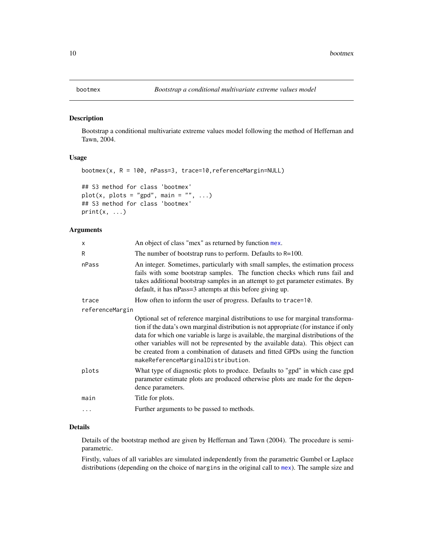<span id="page-9-1"></span><span id="page-9-0"></span>

#### Description

Bootstrap a conditional multivariate extreme values model following the method of Heffernan and Tawn, 2004.

#### Usage

```
bootmex(x, R = 100, nPass=3, trace=10,referenceMargin=NULL)
## S3 method for class 'bootmex'
plot(x, plots = "gpd", main = "", ...)
## S3 method for class 'bootmex'
print(x, \ldots)
```
#### Arguments

| x               | An object of class "mex" as returned by function mex.                                                                                                                                                                                                                                                                                                                                                                                                                      |
|-----------------|----------------------------------------------------------------------------------------------------------------------------------------------------------------------------------------------------------------------------------------------------------------------------------------------------------------------------------------------------------------------------------------------------------------------------------------------------------------------------|
| R               | The number of bootstrap runs to perform. Defaults to $R=100$ .                                                                                                                                                                                                                                                                                                                                                                                                             |
| nPass           | An integer. Sometimes, particularly with small samples, the estimation process<br>fails with some bootstrap samples. The function checks which runs fail and<br>takes additional bootstrap samples in an attempt to get parameter estimates. By<br>default, it has nPass=3 attempts at this before giving up.                                                                                                                                                              |
| trace           | How often to inform the user of progress. Defaults to trace=10.                                                                                                                                                                                                                                                                                                                                                                                                            |
| referenceMargin |                                                                                                                                                                                                                                                                                                                                                                                                                                                                            |
|                 | Optional set of reference marginal distributions to use for marginal transforma-<br>tion if the data's own marginal distribution is not appropriate (for instance if only<br>data for which one variable is large is available, the marginal distributions of the<br>other variables will not be represented by the available data). This object can<br>be created from a combination of datasets and fitted GPDs using the function<br>makeReferenceMarginalDistribution. |
| plots           | What type of diagnostic plots to produce. Defaults to "gpd" in which case gpd<br>parameter estimate plots are produced otherwise plots are made for the depen-<br>dence parameters.                                                                                                                                                                                                                                                                                        |
| main            | Title for plots.                                                                                                                                                                                                                                                                                                                                                                                                                                                           |
| $\ddots$        | Further arguments to be passed to methods.                                                                                                                                                                                                                                                                                                                                                                                                                                 |
|                 |                                                                                                                                                                                                                                                                                                                                                                                                                                                                            |

#### Details

Details of the bootstrap method are given by Heffernan and Tawn (2004). The procedure is semiparametric.

Firstly, values of all variables are simulated independently from the parametric Gumbel or Laplace distributions (depending on the choice of margins in the original call to [mex](#page-44-1)). The sample size and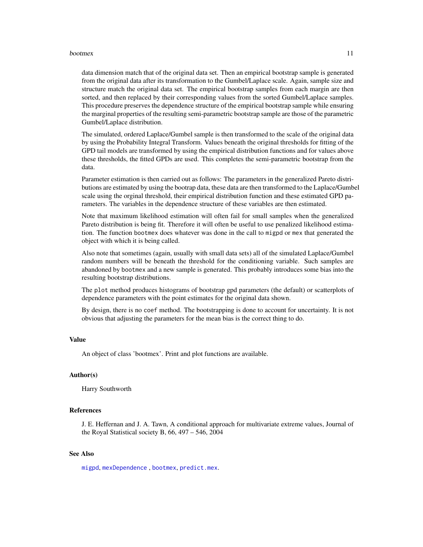#### bootmex 11

data dimension match that of the original data set. Then an empirical bootstrap sample is generated from the original data after its transformation to the Gumbel/Laplace scale. Again, sample size and structure match the original data set. The empirical bootstrap samples from each margin are then sorted, and then replaced by their corresponding values from the sorted Gumbel/Laplace samples. This procedure preserves the dependence structure of the empirical bootstrap sample while ensuring the marginal properties of the resulting semi-parametric bootstrap sample are those of the parametric Gumbel/Laplace distribution.

The simulated, ordered Laplace/Gumbel sample is then transformed to the scale of the original data by using the Probability Integral Transform. Values beneath the original thresholds for fitting of the GPD tail models are transformed by using the empirical distribution functions and for values above these thresholds, the fitted GPDs are used. This completes the semi-parametric bootstrap from the data.

Parameter estimation is then carried out as follows: The parameters in the generalized Pareto distributions are estimated by using the bootrap data, these data are then transformed to the Laplace/Gumbel scale using the orginal threshold, their empirical distribution function and these estimated GPD parameters. The variables in the dependence structure of these variables are then estimated.

Note that maximum likelihood estimation will often fail for small samples when the generalized Pareto distribution is being fit. Therefore it will often be useful to use penalized likelihood estimation. The function bootmex does whatever was done in the call to migpd or mex that generated the object with which it is being called.

Also note that sometimes (again, usually with small data sets) all of the simulated Laplace/Gumbel random numbers will be beneath the threshold for the conditioning variable. Such samples are abandoned by bootmex and a new sample is generated. This probably introduces some bias into the resulting bootstrap distributions.

The plot method produces histograms of bootstrap gpd parameters (the default) or scatterplots of dependence parameters with the point estimates for the original data shown.

By design, there is no coef method. The bootstrapping is done to account for uncertainty. It is not obvious that adjusting the parameters for the mean bias is the correct thing to do.

#### Value

An object of class 'bootmex'. Print and plot functions are available.

#### Author(s)

Harry Southworth

# References

J. E. Heffernan and J. A. Tawn, A conditional approach for multivariate extreme values, Journal of the Royal Statistical society B, 66, 497 – 546, 2004

#### See Also

[migpd](#page-50-1), [mexDependence](#page-64-1) , [bootmex](#page-9-1), [predict.mex](#page-44-1).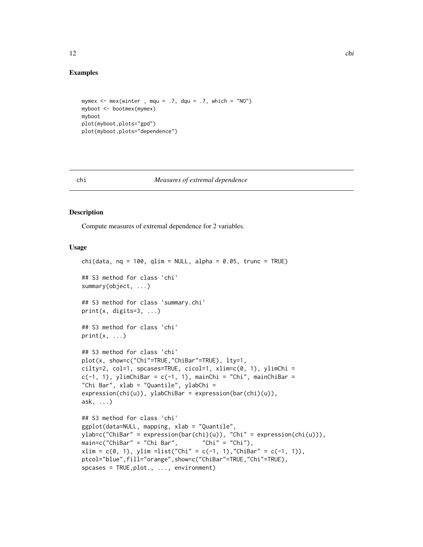# <span id="page-11-0"></span>Examples

```
mymex \leq mex(winter, mqu = .7, dqu = .7, which = "NO")
myboot <- bootmex(mymex)
myboot
plot(myboot,plots="gpd")
plot(myboot,plots="dependence")
```
#### chi *Measures of extremal dependence*

# Description

Compute measures of extremal dependence for 2 variables.

#### Usage

```
chi(data, nq = 100, qlim = NULL, alpha = 0.05, trunc = TRUE)## S3 method for class 'chi'
summary(object, ...)
## S3 method for class 'summary.chi'
print(x, \text{ digits=}3, \ldots)## S3 method for class 'chi'
print(x, \ldots)## S3 method for class 'chi'
plot(x, show=c("Chi"=TRUE,"ChiBar"=TRUE), lty=1,
cilty=2, col=1, spcases=TRUE, cicol=1, xlim=c(0, 1), ylimChi =
c(-1, 1), ylimChiBar = c(-1, 1), mainChi = "Chi", mainChiBar =
"Chi Bar", xlab = "Quantile", ylabChi =
expression(chi(u)), ylabChiBar = expression(bar(chi)(u)),
ask, ...)
## S3 method for class 'chi'
ggplot(data=NULL, mapping, xlab = "Quantile",
ylab=c("ChiBar" = expression(bar(chi)(u)), "Chi" = expression(chi(u))),
main = c("ChiBar" = "Chi Bar", "Chi" = "Chi",xlim = c(0, 1), ylim =list("Chi" = c(-1, 1), "ChiBar" = c(-1, 1)),ptcol="blue",fill="orange",show=c("ChiBar"=TRUE,"Chi"=TRUE),
spcases = TRUE, plot., ..., environment)
```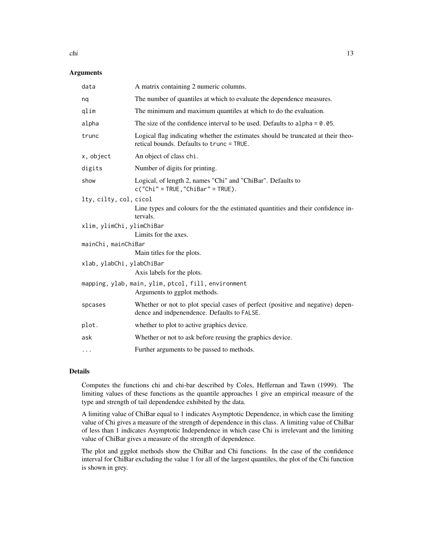# Arguments

| data                      | A matrix containing 2 numeric columns.                                                                                        |
|---------------------------|-------------------------------------------------------------------------------------------------------------------------------|
| nq                        | The number of quantiles at which to evaluate the dependence measures.                                                         |
| qlim                      | The minimum and maximum quantiles at which to do the evaluation.                                                              |
| alpha                     | The size of the confidence interval to be used. Defaults to alpha $= 0.05$ .                                                  |
| trunc                     | Logical flag indicating whether the estimates should be truncated at their theo-<br>retical bounds. Defaults to trunc = TRUE. |
| x, object                 | An object of class chi.                                                                                                       |
| digits                    | Number of digits for printing.                                                                                                |
| show                      | Logical, of length 2, names "Chi" and "ChiBar". Defaults to<br>$c("Chi" = TRUE, "ChiBar" = TRUE).$                            |
| lty, cilty, col, cicol    |                                                                                                                               |
|                           | Line types and colours for the the estimated quantities and their confidence in-<br>tervals.                                  |
| xlim, ylimChi, ylimChiBar |                                                                                                                               |
|                           | Limits for the axes.                                                                                                          |
| mainChi, mainChiBar       |                                                                                                                               |
|                           | Main titles for the plots.                                                                                                    |
| xlab, ylabChi, ylabChiBar |                                                                                                                               |
|                           | Axis labels for the plots.                                                                                                    |
|                           | mapping, ylab, main, ylim, ptcol, fill, environment<br>Arguments to ggplot methods.                                           |
| spcases                   | Whether or not to plot special cases of perfect (positive and negative) depen-<br>dence and indpenendence. Defaults to FALSE. |
| plot.                     | whether to plot to active graphics device.                                                                                    |
| ask                       | Whether or not to ask before reusing the graphics device.                                                                     |
| $\cdots$                  | Further arguments to be passed to methods.                                                                                    |

# Details

Computes the functions chi and chi-bar described by Coles, Heffernan and Tawn (1999). The limiting values of these functions as the quantile approaches 1 give an empirical measure of the type and strength of tail dependendce exhibited by the data.

A limiting value of ChiBar equal to 1 indicates Asymptotic Dependence, in which case the limiting value of Chi gives a measure of the strength of dependence in this class. A limiting value of ChiBar of less than 1 indicates Asymptotic Independence in which case Chi is irrelevant and the limiting value of ChiBar gives a measure of the strength of dependence.

The plot and ggplot methods show the ChiBar and Chi functions. In the case of the confidence interval for ChiBar excluding the value 1 for all of the largest quantiles, the plot of the Chi function is shown in grey.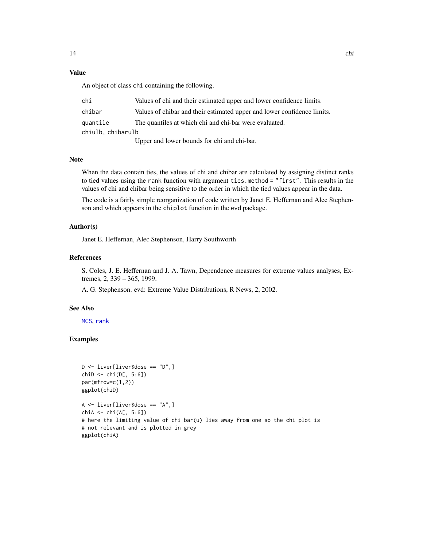# Value

An object of class chi containing the following.

| chi               | Values of chi and their estimated upper and lower confidence limits.    |
|-------------------|-------------------------------------------------------------------------|
| chibar            | Values of chibar and their estimated upper and lower confidence limits. |
| quantile          | The quantiles at which chi and chi-bar were evaluated.                  |
| chiulb, chibarulb |                                                                         |
|                   |                                                                         |

Upper and lower bounds for chi and chi-bar.

#### Note

When the data contain ties, the values of chi and chibar are calculated by assigning distinct ranks to tied values using the rank function with argument ties.method = "first". This results in the values of chi and chibar being sensitive to the order in which the tied values appear in the data.

The code is a fairly simple reorganization of code written by Janet E. Heffernan and Alec Stephenson and which appears in the chiplot function in the evd package.

#### Author(s)

Janet E. Heffernan, Alec Stephenson, Harry Southworth

#### References

S. Coles, J. E. Heffernan and J. A. Tawn, Dependence measures for extreme values analyses, Extremes, 2, 339 – 365, 1999.

A. G. Stephenson. evd: Extreme Value Distributions, R News, 2, 2002.

#### See Also

[MCS](#page-62-1), [rank](#page-0-0)

#### Examples

```
D <- liver[liver$dose == "D",]
chiD \leftarrow \text{chi}(D[, 5:6])par(mfrow=c(1,2))
ggplot(chiD)
A \leq -\text{ liver[liver}$dose == "A",]
chi A \leftarrow \text{chi}(A[, 5:6])# here the limiting value of chi bar(u) lies away from one so the chi plot is
# not relevant and is plotted in grey
ggplot(chiA)
```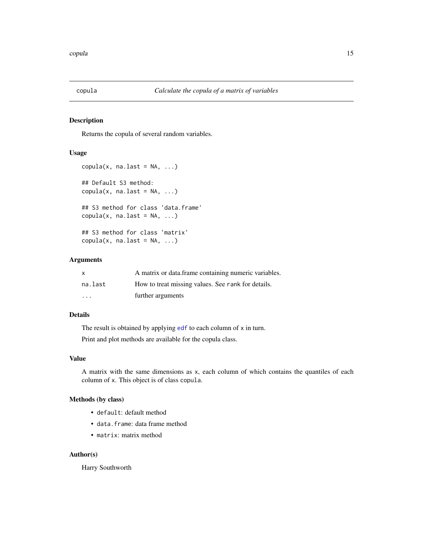<span id="page-14-1"></span><span id="page-14-0"></span>

#### Description

Returns the copula of several random variables.

## Usage

```
copula(x, na last = NA, ...)## Default S3 method:
copula(x, na-last = NA, ...)## S3 method for class 'data.frame'
copula(x, na-last = NA, ...)## S3 method for class 'matrix'
copula(x, na last = NA, ...)
```
## Arguments

| X                       | A matrix or data frame containing numeric variables. |
|-------------------------|------------------------------------------------------|
| na.last                 | How to treat missing values. See rank for details.   |
| $\cdot$ $\cdot$ $\cdot$ | further arguments                                    |

### Details

The result is obtained by applying [edf](#page-21-1) to each column of x in turn.

Print and plot methods are available for the copula class.

#### Value

A matrix with the same dimensions as x, each column of which contains the quantiles of each column of x. This object is of class copula.

#### Methods (by class)

- default: default method
- data.frame: data frame method
- matrix: matrix method

#### Author(s)

Harry Southworth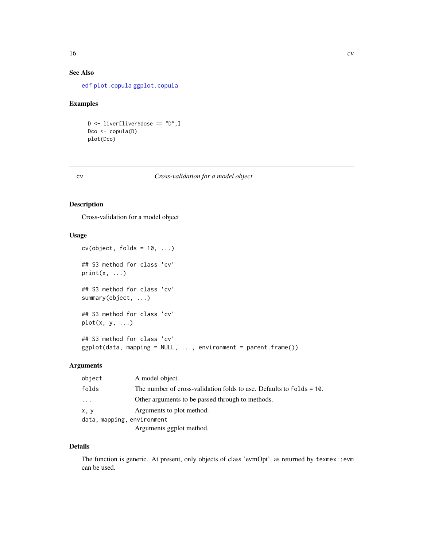# See Also

[edf](#page-21-1) [plot.copula](#page-73-1) [ggplot.copula](#page-38-1)

#### Examples

D <- liver[liver\$dose == "D",] Dco <- copula(D) plot(Dco)

#### cv *Cross-validation for a model object*

# Description

Cross-validation for a model object

# Usage

```
cv(object, folds = 10, ...)## S3 method for class 'cv'
print(x, \ldots)## S3 method for class 'cv'
summary(object, ...)
## S3 method for class 'cv'
plot(x, y, ...)
## S3 method for class 'cv'
ggplot(data, mapping = NULL, ..., environment = parent-frame())
```
#### Arguments

| object                     | A model object.                                                      |
|----------------------------|----------------------------------------------------------------------|
| folds                      | The number of cross-validation folds to use. Defaults to folds = 10. |
| $\ddots$                   | Other arguments to be passed through to methods.                     |
| x, y                       | Arguments to plot method.                                            |
| data, mapping, environment |                                                                      |
|                            | Arguments ggplot method.                                             |

#### Details

The function is generic. At present, only objects of class 'evmOpt', as returned by texmex::evm can be used.

<span id="page-15-0"></span>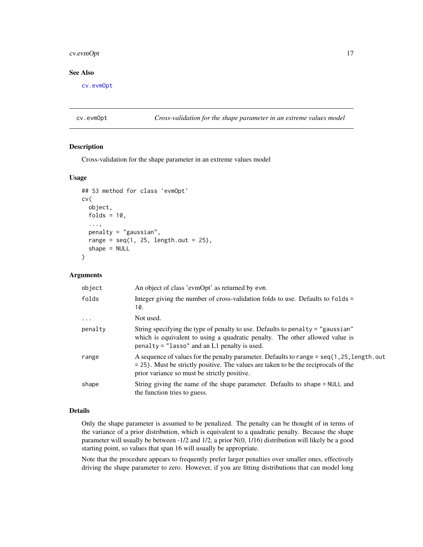# <span id="page-16-0"></span>cv.evmOpt 17

# See Also

[cv.evmOpt](#page-16-1)

<span id="page-16-1"></span>cv.evmOpt *Cross-validation for the shape parameter in an extreme values model*

#### Description

Cross-validation for the shape parameter in an extreme values model

#### Usage

```
## S3 method for class 'evmOpt'
cv(
  object,
  folds = 10,
  ...,
 penalty = "gaussian",
  range = seq(1, 25, length.out = 25),
  shape = NULL
)
```
#### Arguments

| object    | An object of class 'evmOpt' as returned by evm.                                                                                                                                                                                      |
|-----------|--------------------------------------------------------------------------------------------------------------------------------------------------------------------------------------------------------------------------------------|
| folds     | Integer giving the number of cross-validation folds to use. Defaults to folds =<br>10.                                                                                                                                               |
| $\ddotsc$ | Not used.                                                                                                                                                                                                                            |
| penalty   | String specifying the type of penalty to use. Defaults to penalty = "gaussian"<br>which is equivalent to using a quadratic penalty. The other allowed value is<br>$penalty = "lasso"$ and an L1 penalty is used.                     |
| range     | A sequence of values for the penalty parameter. Defaults to range = $seq(1, 25, length.out$<br>$=$ 25). Must be strictly positive. The values are taken to be the reciprocals of the<br>prior variance so must be strictly positive. |
| shape     | String giving the name of the shape parameter. Defaults to shape = NULL and<br>the function tries to guess.                                                                                                                          |

# Details

Only the shape parameter is assumed to be penalized. The penalty can be thought of in terms of the variance of a prior distribution, which is equivalent to a quadratic penalty. Because the shape parameter will usually be between -1/2 and 1/2, a prior N(0, 1/16) distribution will likely be a good starting point, so values that span 16 will usually be appropriate.

Note that the procedure appears to frequently prefer larger penalties over smaller ones, effectively driving the shape parameter to zero. However, if you are fitting distributions that can model long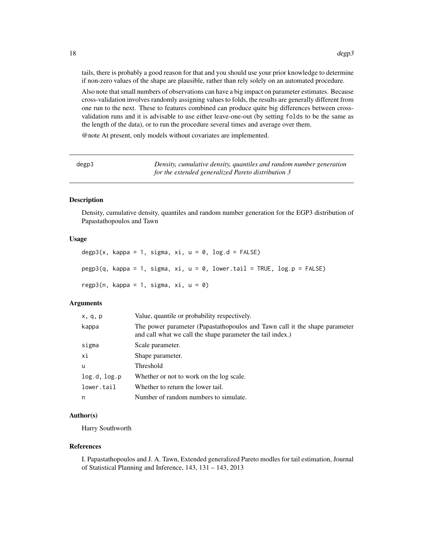<span id="page-17-0"></span>tails, there is probably a good reason for that and you should use your prior knowledge to determine if non-zero values of the shape are plausible, rather than rely solely on an automated procedure.

Also note that small numbers of observations can have a big impact on parameter estimates. Because cross-validation involves randomly assigning values to folds, the results are generally different from one run to the next. These to features combined can produce quite big differences between crossvalidation runs and it is advisable to use either leave-one-out (by setting folds to be the same as the length of the data), or to run the procedure several times and average over them.

@note At present, only models without covariates are implemented.

| degp3 | Density, cumulative density, quantiles and random number generation |
|-------|---------------------------------------------------------------------|
|       | for the extended generalized Pareto distribution 3                  |

#### Description

Density, cumulative density, quantiles and random number generation for the EGP3 distribution of Papastathopoulos and Tawn

# Usage

```
degp3(x, kappa = 1, sigma, xi, u = 0, log.d = FALSE)
pegp3(q, kappa = 1, sigma, xi, u = 0, lower.tail = TRUE, log.p = FALSE)resp3(n, kappa = 1, sigma, xi, u = 0)
```
#### **Arguments**

| x, q, p      | Value, quantile or probability respectively.                                                                                             |
|--------------|------------------------------------------------------------------------------------------------------------------------------------------|
| kappa        | The power parameter (Papastathopoulos and Tawn call it the shape parameter<br>and call what we call the shape parameter the tail index.) |
| sigma        | Scale parameter.                                                                                                                         |
| хi           | Shape parameter.                                                                                                                         |
| u            | Threshold                                                                                                                                |
| log.d, log.p | Whether or not to work on the log scale.                                                                                                 |
| lower.tail   | Whether to return the lower tail.                                                                                                        |
| n            | Number of random numbers to simulate.                                                                                                    |

#### Author(s)

Harry Southworth

#### References

I. Papastathopoulos and J. A. Tawn, Extended generalized Pareto modles for tail estimation, Journal of Statistical Planning and Inference, 143, 131 – 143, 2013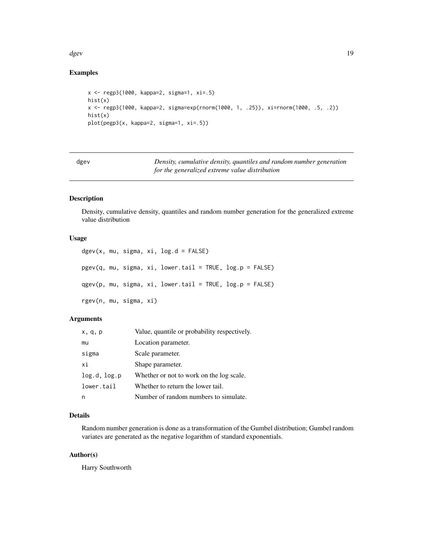#### <span id="page-18-0"></span>dgev and the state of the state of the state of the state of the state of the state of the state of the state of the state of the state of the state of the state of the state of the state of the state of the state of the s

# Examples

```
x <- regp3(1000, kappa=2, sigma=1, xi=.5)
hist(x)
x <- regp3(1000, kappa=2, sigma=exp(rnorm(1000, 1, .25)), xi=rnorm(1000, .5, .2))
hist(x)
plot(pegp3(x, kappa=2, sigma=1, xi=.5))
```

| dgev | Density, cumulative density, quantiles and random number generation |
|------|---------------------------------------------------------------------|
|      | for the generalized extreme value distribution                      |

# Description

Density, cumulative density, quantiles and random number generation for the generalized extreme value distribution

#### Usage

```
dgev(x, mu, sigma, xi, log.d = FALSE)pgev(q, mu, sigma, xi, lowertail = TRUE, <math>log.p = FALSE)
qgev(p, mu, sigma, xi, lower.tail = TRUE, log.p = FALSE)
rgev(n, mu, sigma, xi)
```
# Arguments

| x, q, p      | Value, quantile or probability respectively. |
|--------------|----------------------------------------------|
| mu           | Location parameter.                          |
| sigma        | Scale parameter.                             |
| xi           | Shape parameter.                             |
| log.d, log.p | Whether or not to work on the log scale.     |
| lower.tail   | Whether to return the lower tail.            |
|              | Number of random numbers to simulate.        |

# Details

Random number generation is done as a transformation of the Gumbel distribution; Gumbel random variates are generated as the negative logarithm of standard exponentials.

#### Author(s)

Harry Southworth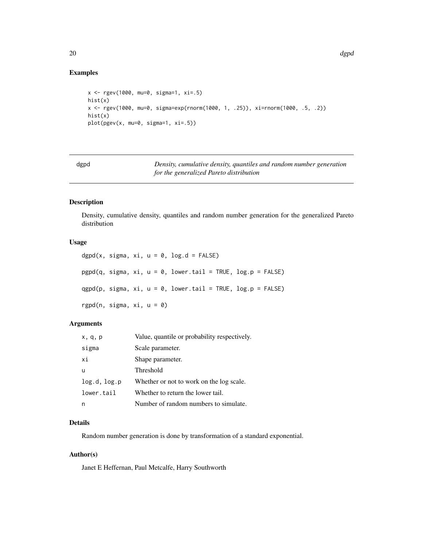# Examples

```
x <- rgev(1000, mu=0, sigma=1, xi=.5)
hist(x)
x <- rgev(1000, mu=0, sigma=exp(rnorm(1000, 1, .25)), xi=rnorm(1000, .5, .2))
hist(x)
plot(pgev(x, mu=0, sigma=1, xi=.5))
```
dgpd *Density, cumulative density, quantiles and random number generation for the generalized Pareto distribution*

# Description

Density, cumulative density, quantiles and random number generation for the generalized Pareto distribution

## Usage

dgpd(x, sigma, xi,  $u = 0$ , log.d = FALSE) pgpd(q, sigma, xi, u = 0, lower.tail = TRUE, log.p = FALSE)  $qgpd(p, sigma, xi, u = 0, lower.tail = TRUE, log.p = FALSE)$ rgpd(n, sigma,  $xi$ ,  $u = 0$ )

### Arguments

| x, q, p      | Value, quantile or probability respectively. |
|--------------|----------------------------------------------|
| sigma        | Scale parameter.                             |
| хi           | Shape parameter.                             |
| u            | <b>Threshold</b>                             |
| log.d, log.p | Whether or not to work on the log scale.     |
| lower.tail   | Whether to return the lower tail.            |
| n            | Number of random numbers to simulate.        |

#### Details

Random number generation is done by transformation of a standard exponential.

#### Author(s)

Janet E Heffernan, Paul Metcalfe, Harry Southworth

<span id="page-19-0"></span>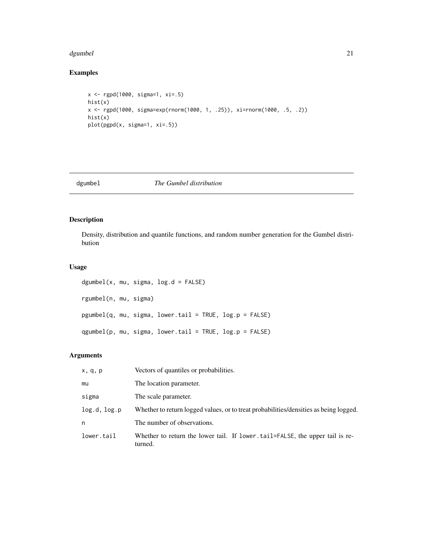#### <span id="page-20-0"></span>dgumbel 21

# Examples

```
x <- rgpd(1000, sigma=1, xi=.5)
hist(x)
x <- rgpd(1000, sigma=exp(rnorm(1000, 1, .25)), xi=rnorm(1000, .5, .2))
hist(x)
plot(pgpd(x, sigma=1, xi=.5))
```
# dgumbel *The Gumbel distribution*

# Description

Density, distribution and quantile functions, and random number generation for the Gumbel distribution

# Usage

dgumbel(x, mu, sigma, log.d = FALSE) rgumbel(n, mu, sigma) pgumbel(q, mu, sigma, lower.tail = TRUE, log.p = FALSE) qgumbel(p, mu, sigma, lower.tail = TRUE, log.p = FALSE)

# Arguments

| x, q, p      | Vectors of quantiles or probabilities.                                                  |
|--------------|-----------------------------------------------------------------------------------------|
| mu           | The location parameter.                                                                 |
| sigma        | The scale parameter.                                                                    |
| log.d, log.p | Whether to return logged values, or to treat probabilities/densities as being logged.   |
| n            | The number of observations.                                                             |
| lower.tail   | Whether to return the lower tail. If lower tail=FALSE, the upper tail is re-<br>turned. |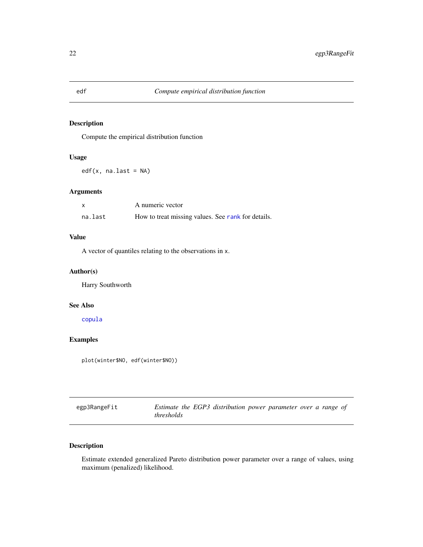# Description

Compute the empirical distribution function

# Usage

 $edf(x, na-last = NA)$ 

# Arguments

|         | A numeric vector                                   |
|---------|----------------------------------------------------|
| na.last | How to treat missing values. See rank for details. |

#### Value

A vector of quantiles relating to the observations in x.

#### Author(s)

Harry Southworth

# See Also

[copula](#page-14-1)

# Examples

plot(winter\$NO, edf(winter\$NO))

| egp3RangeFit | Estimate the EGP3 distribution power parameter over a range of |  |  |
|--------------|----------------------------------------------------------------|--|--|
|              | thresholds                                                     |  |  |

# Description

Estimate extended generalized Pareto distribution power parameter over a range of values, using maximum (penalized) likelihood.

<span id="page-21-1"></span><span id="page-21-0"></span>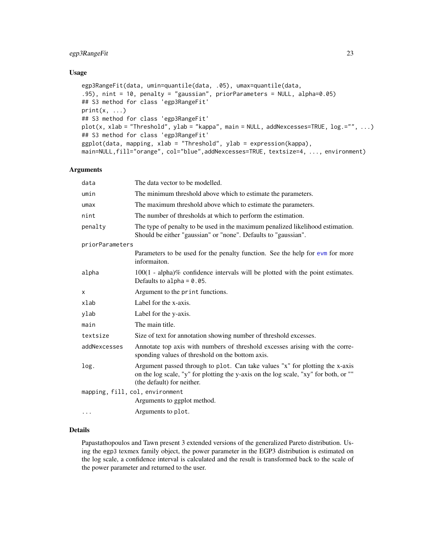# egp3RangeFit 23

#### Usage

```
egp3RangeFit(data, umin=quantile(data, .05), umax=quantile(data,
.95), nint = 10, penalty = "gaussian", priorParameters = NULL, alpha=0.05)
## S3 method for class 'egp3RangeFit'
print(x, \ldots)## S3 method for class 'egp3RangeFit'
plot(x, xlab = "Threshold", ylab = "kappa", main = NULL, addNexcesses=TRUE, log.="", ...)
## S3 method for class 'egp3RangeFit'
ggplot(data, mapping, xlab = "Threshold", ylab = expression(kappa),
main=NULL,fill="orange", col="blue",addNexcesses=TRUE, textsize=4, ..., environment)
```
#### Arguments

| data                            | The data vector to be modelled.                                                                                                                                                                    |
|---------------------------------|----------------------------------------------------------------------------------------------------------------------------------------------------------------------------------------------------|
| umin                            | The minimum threshold above which to estimate the parameters.                                                                                                                                      |
| umax                            | The maximum threshold above which to estimate the parameters.                                                                                                                                      |
| nint                            | The number of thresholds at which to perform the estimation.                                                                                                                                       |
| penalty                         | The type of penalty to be used in the maximum penalized likelihood estimation.<br>Should be either "gaussian" or "none". Defaults to "gaussian".                                                   |
| priorParameters                 |                                                                                                                                                                                                    |
|                                 | Parameters to be used for the penalty function. See the help for evm for more<br>informaiton.                                                                                                      |
| alpha                           | $100(1 - alpha)\%$ confidence intervals will be plotted with the point estimates.<br>Defaults to alpha = $0.05$ .                                                                                  |
| x                               | Argument to the print functions.                                                                                                                                                                   |
| xlab                            | Label for the x-axis.                                                                                                                                                                              |
| ylab                            | Label for the y-axis.                                                                                                                                                                              |
| main                            | The main title.                                                                                                                                                                                    |
| textsize                        | Size of text for annotation showing number of threshold excesses.                                                                                                                                  |
| addNexcesses                    | Annotate top axis with numbers of threshold excesses arising with the corre-<br>sponding values of threshold on the bottom axis.                                                                   |
| log.                            | Argument passed through to plot. Can take values "x" for plotting the x-axis<br>on the log scale, "y" for plotting the y-axis on the log scale, "xy" for both, or ""<br>(the default) for neither. |
| mapping, fill, col, environment |                                                                                                                                                                                                    |
|                                 | Arguments to ggplot method.                                                                                                                                                                        |
| $\cdots$                        | Arguments to plot.                                                                                                                                                                                 |

#### Details

Papastathopoulos and Tawn present 3 extended versions of the generalized Pareto distribution. Using the egp3 texmex family object, the power parameter in the EGP3 distribution is estimated on the log scale, a confidence interval is calculated and the result is transformed back to the scale of the power parameter and returned to the user.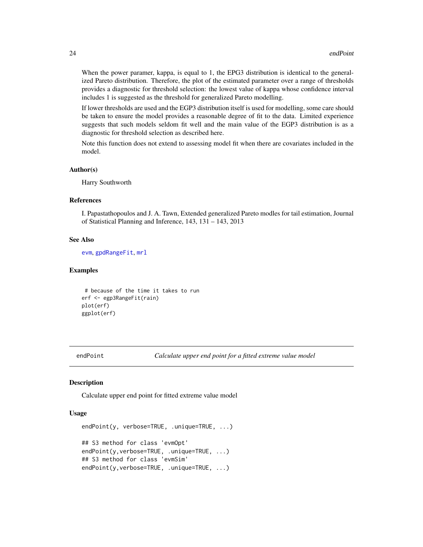When the power paramer, kappa, is equal to 1, the EPG3 distribution is identical to the generalized Pareto distribution. Therefore, the plot of the estimated parameter over a range of thresholds provides a diagnostic for threshold selection: the lowest value of kappa whose confidence interval includes 1 is suggested as the threshold for generalized Pareto modelling.

If lower thresholds are used and the EGP3 distribution itself is used for modelling, some care should be taken to ensure the model provides a reasonable degree of fit to the data. Limited experience suggests that such models seldom fit well and the main value of the EGP3 distribution is as a diagnostic for threshold selection as described here.

Note this function does not extend to assessing model fit when there are covariates included in the model.

#### Author(s)

Harry Southworth

#### References

I. Papastathopoulos and J. A. Tawn, Extended generalized Pareto modles for tail estimation, Journal of Statistical Planning and Inference, 143, 131 – 143, 2013

# See Also

[evm](#page-24-1), [gpdRangeFit](#page-55-1), [mrl](#page-71-1)

#### Examples

```
# because of the time it takes to run
erf <- egp3RangeFit(rain)
plot(erf)
ggplot(erf)
```
endPoint *Calculate upper end point for a fitted extreme value model*

#### Description

Calculate upper end point for fitted extreme value model

#### Usage

```
endPoint(y, verbose=TRUE, .unique=TRUE, ...)
```

```
## S3 method for class 'evmOpt'
endPoint(y, verbose=TRUE, .unique=TRUE, ...)
## S3 method for class 'evmSim'
endPoint(y, verbose=TRUE, .unique=TRUE, ...)
```
<span id="page-23-0"></span>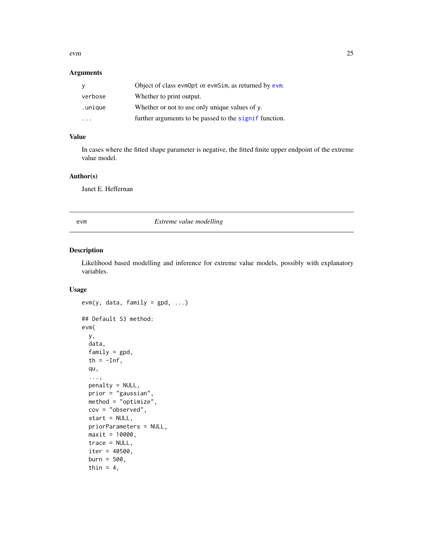#### <span id="page-24-0"></span>evm 25

# Arguments

| y       | Object of class evmOpt or evmSim, as returned by evm.  |
|---------|--------------------------------------------------------|
| verbose | Whether to print output.                               |
| .unique | Whether or not to use only unique values of $y$ .      |
|         | further arguments to be passed to the signif function. |

# Value

In cases where the fitted shape parameter is negative, the fitted finite upper endpoint of the extreme value model.

# Author(s)

Janet E. Heffernan

<span id="page-24-1"></span>evm *Extreme value modelling*

# Description

Likelihood based modelling and inference for extreme value models, possibly with explanatory variables.

### Usage

```
evm(y, data, family = gpd, ...)## Default S3 method:
evm(
 y,
 data,
  family = gpd,
  th = -Inf,
  qu,
  ...,
 penalty = NULL,
 prior = "gaussian",
 method = "optimize",
 cov = "observed",start = NULL,
 priorParameters = NULL,
 maxit = 10000,
  trace = NULL,
  iter = 40500,
  burn = 500,
  thin = 4,
```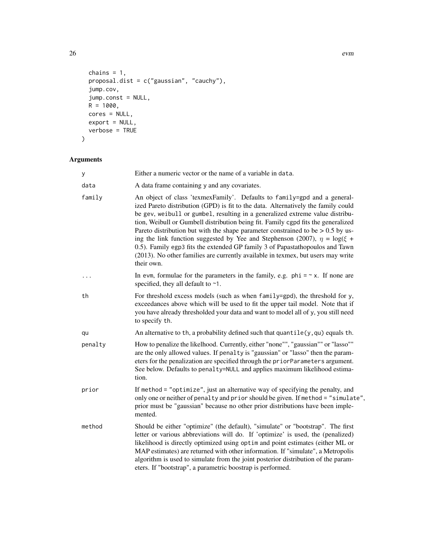```
chains = 1,
 proposal.dist = c("gaussian", "cauchy"),
  jump.cov,
  jump.const = NULL,
 R = 1000,cores = NULL,
 export = NULL,verbose = TRUE
\mathcal{L}
```
# Arguments

| y        | Either a numeric vector or the name of a variable in data.                                                                                                                                                                                                                                                                                                                                                                                                                                                                                                                                                                                                                                      |
|----------|-------------------------------------------------------------------------------------------------------------------------------------------------------------------------------------------------------------------------------------------------------------------------------------------------------------------------------------------------------------------------------------------------------------------------------------------------------------------------------------------------------------------------------------------------------------------------------------------------------------------------------------------------------------------------------------------------|
| data     | A data frame containing y and any covariates.                                                                                                                                                                                                                                                                                                                                                                                                                                                                                                                                                                                                                                                   |
| family   | An object of class 'texmexFamily'. Defaults to family=gpd and a general-<br>ized Pareto distribution (GPD) is fit to the data. Alternatively the family could<br>be gev, weibull or gumbel, resulting in a generalized extreme value distribu-<br>tion, Weibull or Gumbell distribution being fit. Family cgpd fits the generalized<br>Pareto distribution but with the shape parameter constrained to be $> 0.5$ by us-<br>ing the link function suggested by Yee and Stephenson (2007), $\eta = \log(\xi +$<br>0.5). Family egp3 fits the extended GP family 3 of Papastathopoulos and Tawn<br>(2013). No other families are currently available in texmex, but users may write<br>their own. |
| $\cdots$ | In evm, formulae for the parameters in the family, e.g. $phi = \gamma x$ . If none are<br>specified, they all default to $\sim$ 1.                                                                                                                                                                                                                                                                                                                                                                                                                                                                                                                                                              |
| th       | For threshold excess models (such as when family=gpd), the threshold for y,<br>exceedances above which will be used to fit the upper tail model. Note that if<br>you have already thresholded your data and want to model all of y, you still need<br>to specify th.                                                                                                                                                                                                                                                                                                                                                                                                                            |
| qu       | An alternative to th, a probability defined such that $quantile(y, qu)$ equals th.                                                                                                                                                                                                                                                                                                                                                                                                                                                                                                                                                                                                              |
| penalty  | How to penalize the likelhood. Currently, either "none"", "gaussian"" or "lasso""<br>are the only allowed values. If penalty is "gaussian" or "lasso" then the param-<br>eters for the penalization are specified through the priorParameters argument.<br>See below. Defaults to penalty=NULL and applies maximum likelihood estima-<br>tion.                                                                                                                                                                                                                                                                                                                                                  |
| prior    | If method = "optimize", just an alternative way of specifying the penalty, and<br>only one or neither of penalty and prior should be given. If method = "simulate",<br>prior must be "gaussian" because no other prior distributions have been imple-<br>mented.                                                                                                                                                                                                                                                                                                                                                                                                                                |
| method   | Should be either "optimize" (the default), "simulate" or "bootstrap". The first<br>letter or various abbreviations will do. If 'optimize' is used, the (penalized)<br>likelihood is directly optimized using optim and point estimates (either ML or<br>MAP estimates) are returned with other information. If "simulate", a Metropolis<br>algorithm is used to simulate from the joint posterior distribution of the param-<br>eters. If "bootstrap", a parametric boostrap is performed.                                                                                                                                                                                                      |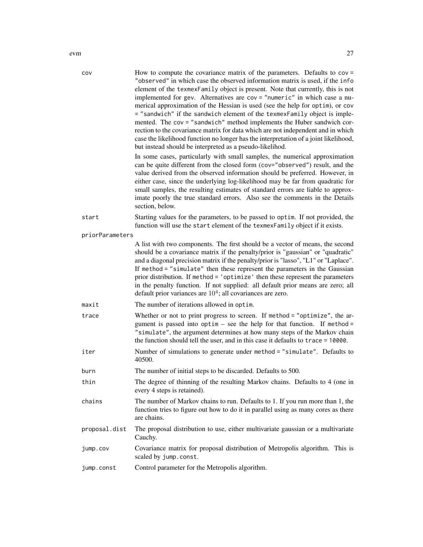| COV             | How to compute the covariance matrix of the parameters. Defaults to $cov =$<br>"observed" in which case the observed information matrix is used, if the info<br>element of the texmexFamily object is present. Note that currently, this is not<br>implemented for gev. Alternatives are cov = "numeric" in which case a nu-<br>merical approximation of the Hessian is used (see the help for optim), or cov<br>= "sandwich" if the sandwich element of the texmexFamily object is imple-<br>mented. The cov = "sandwich" method implements the Huber sandwich cor-<br>rection to the covariance matrix for data which are not independent and in which<br>case the likelihood function no longer has the interpretation of a joint likelihood,<br>but instead should be interpreted as a pseudo-likelihod.<br>In some cases, particularly with small samples, the numerical approximation<br>can be quite different from the closed form (cov="observed") result, and the<br>value derived from the observed information should be preferred. However, in<br>either case, since the underlying log-likelihood may be far from quadratic for<br>small samples, the resulting estimates of standard errors are liable to approx-<br>imate poorly the true standard errors. Also see the comments in the Details |
|-----------------|-----------------------------------------------------------------------------------------------------------------------------------------------------------------------------------------------------------------------------------------------------------------------------------------------------------------------------------------------------------------------------------------------------------------------------------------------------------------------------------------------------------------------------------------------------------------------------------------------------------------------------------------------------------------------------------------------------------------------------------------------------------------------------------------------------------------------------------------------------------------------------------------------------------------------------------------------------------------------------------------------------------------------------------------------------------------------------------------------------------------------------------------------------------------------------------------------------------------------------------------------------------------------------------------------------------------|
|                 | section, below.                                                                                                                                                                                                                                                                                                                                                                                                                                                                                                                                                                                                                                                                                                                                                                                                                                                                                                                                                                                                                                                                                                                                                                                                                                                                                                 |
| start           | Starting values for the parameters, to be passed to optim. If not provided, the<br>function will use the start element of the texmexFamily object if it exists.                                                                                                                                                                                                                                                                                                                                                                                                                                                                                                                                                                                                                                                                                                                                                                                                                                                                                                                                                                                                                                                                                                                                                 |
| priorParameters |                                                                                                                                                                                                                                                                                                                                                                                                                                                                                                                                                                                                                                                                                                                                                                                                                                                                                                                                                                                                                                                                                                                                                                                                                                                                                                                 |
|                 | A list with two components. The first should be a vector of means, the second<br>should be a covariance matrix if the penalty/prior is "gaussian" or "quadratic"<br>and a diagonal precision matrix if the penalty/prior is "lasso", "L1" or "Laplace".<br>If method = "simulate" then these represent the parameters in the Gaussian<br>prior distribution. If method = 'optimize' then these represent the parameters<br>in the penalty function. If not supplied: all default prior means are zero; all<br>default prior variances are $104$ ; all covariances are zero.                                                                                                                                                                                                                                                                                                                                                                                                                                                                                                                                                                                                                                                                                                                                     |
| maxit           | The number of iterations allowed in optim.                                                                                                                                                                                                                                                                                                                                                                                                                                                                                                                                                                                                                                                                                                                                                                                                                                                                                                                                                                                                                                                                                                                                                                                                                                                                      |
| trace           | Whether or not to print progress to screen. If method = "optimize", the ar-<br>gument is passed into optim - see the help for that function. If method =<br>"simulate", the argument determines at how many steps of the Markov chain<br>the function should tell the user, and in this case it defaults to trace = 10000.                                                                                                                                                                                                                                                                                                                                                                                                                                                                                                                                                                                                                                                                                                                                                                                                                                                                                                                                                                                      |
| iter            | Number of simulations to generate under method = "simulate". Defaults to<br>40500.                                                                                                                                                                                                                                                                                                                                                                                                                                                                                                                                                                                                                                                                                                                                                                                                                                                                                                                                                                                                                                                                                                                                                                                                                              |
| burn            | The number of initial steps to be discarded. Defaults to 500.                                                                                                                                                                                                                                                                                                                                                                                                                                                                                                                                                                                                                                                                                                                                                                                                                                                                                                                                                                                                                                                                                                                                                                                                                                                   |
| thin            | The degree of thinning of the resulting Markov chains. Defaults to 4 (one in<br>every 4 steps is retained).                                                                                                                                                                                                                                                                                                                                                                                                                                                                                                                                                                                                                                                                                                                                                                                                                                                                                                                                                                                                                                                                                                                                                                                                     |
| chains          | The number of Markov chains to run. Defaults to 1. If you run more than 1, the<br>function tries to figure out how to do it in parallel using as many cores as there<br>are chains.                                                                                                                                                                                                                                                                                                                                                                                                                                                                                                                                                                                                                                                                                                                                                                                                                                                                                                                                                                                                                                                                                                                             |
| proposal.dist   | The proposal distribution to use, either multivariate gaussian or a multivariate<br>Cauchy.                                                                                                                                                                                                                                                                                                                                                                                                                                                                                                                                                                                                                                                                                                                                                                                                                                                                                                                                                                                                                                                                                                                                                                                                                     |
| jump.cov        | Covariance matrix for proposal distribution of Metropolis algorithm. This is<br>scaled by jump.const.                                                                                                                                                                                                                                                                                                                                                                                                                                                                                                                                                                                                                                                                                                                                                                                                                                                                                                                                                                                                                                                                                                                                                                                                           |
| jump.const      | Control parameter for the Metropolis algorithm.                                                                                                                                                                                                                                                                                                                                                                                                                                                                                                                                                                                                                                                                                                                                                                                                                                                                                                                                                                                                                                                                                                                                                                                                                                                                 |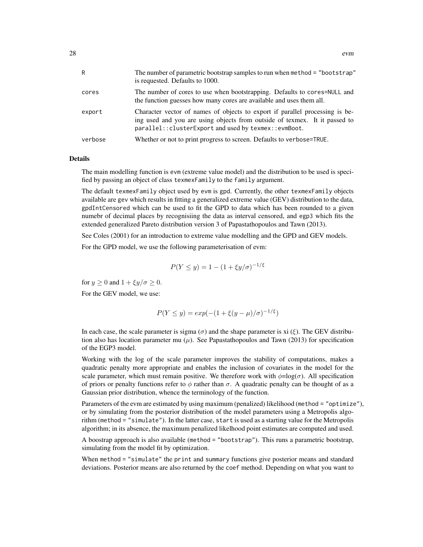| R       | The number of parametric bootstrap samples to run when method = "bootstrap"<br>is requested. Defaults to 1000.                                                                                                       |
|---------|----------------------------------------------------------------------------------------------------------------------------------------------------------------------------------------------------------------------|
| cores   | The number of cores to use when bootstrapping. Defaults to cores=NULL and<br>the function guesses how many cores are available and uses them all.                                                                    |
| export  | Character vector of names of objects to export if parallel processing is be-<br>ing used and you are using objects from outside of texmex. It it passed to<br>parallel:: clusterExport and used by texmex:: evmBoot. |
| verbose | Whether or not to print progress to screen. Defaults to verbose=TRUE.                                                                                                                                                |

#### Details

The main modelling function is evm (extreme value model) and the distribution to be used is specified by passing an object of class texmexFamily to the family argument.

The default texmexFamily object used by evm is gpd. Currently, the other texmexFamily objects available are gev which results in fitting a generalized extreme value (GEV) distribution to the data, gpdIntCensored which can be used to fit the GPD to data which has been rounded to a given numebr of decimal places by recognisiing the data as interval censored, and egp3 which fits the extended generalized Pareto distribution version 3 of Papastathopoulos and Tawn (2013).

See Coles (2001) for an introduction to extreme value modelling and the GPD and GEV models.

For the GPD model, we use the following parameterisation of evm:

$$
P(Y \le y) = 1 - (1 + \xi y/\sigma)^{-1/\xi}
$$

for  $y > 0$  and  $1 + \frac{\varepsilon y}{\sigma} > 0$ .

For the GEV model, we use:

$$
P(Y \le y) = exp(-(1 + \xi(y - \mu)/\sigma)^{-1/\xi})
$$

In each case, the scale parameter is sigma ( $\sigma$ ) and the shape parameter is xi ( $\xi$ ). The GEV distribution also has location parameter mu  $(\mu)$ . See Papastathopoulos and Tawn (2013) for specification of the EGP3 model.

Working with the log of the scale parameter improves the stability of computations, makes a quadratic penalty more appropriate and enables the inclusion of covariates in the model for the scale parameter, which must remain positive. We therefore work with  $\phi = \log(\sigma)$ . All specification of priors or penalty functions refer to  $\phi$  rather than  $\sigma$ . A quadratic penalty can be thought of as a Gaussian prior distribution, whence the terminology of the function.

Parameters of the evm are estimated by using maximum (penalized) likelihood (method = "optimize"), or by simulating from the posterior distribution of the model parameters using a Metropolis algorithm (method = "simulate"). In the latter case, start is used as a starting value for the Metropolis algorithm; in its absence, the maximum penalized likelhood point estimates are computed and used.

A boostrap approach is also available (method = "bootstrap"). This runs a parametric bootstrap, simulating from the model fit by optimization.

When method = "simulate" the print and summary functions give posterior means and standard deviations. Posterior means are also returned by the coef method. Depending on what you want to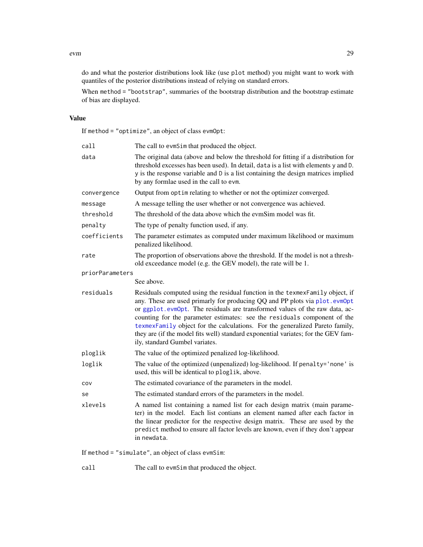#### evm and the contract of the contract of the contract of the contract of the contract of the contract of the contract of the contract of the contract of the contract of the contract of the contract of the contract of the co

do and what the posterior distributions look like (use plot method) you might want to work with quantiles of the posterior distributions instead of relying on standard errors.

When method = "bootstrap", summaries of the bootstrap distribution and the bootstrap estimate of bias are displayed.

#### Value

If method = "optimize", an object of class evmOpt:

| call            | The call to evmSim that produced the object.                                                                                                                                                                                                                                                                                                                                                                                                                                                                                  |
|-----------------|-------------------------------------------------------------------------------------------------------------------------------------------------------------------------------------------------------------------------------------------------------------------------------------------------------------------------------------------------------------------------------------------------------------------------------------------------------------------------------------------------------------------------------|
| data            | The original data (above and below the threshold for fitting if a distribution for<br>threshold excesses has been used). In detail, data is a list with elements y and D.<br>y is the response variable and D is a list containing the design matrices implied<br>by any formlae used in the call to evm.                                                                                                                                                                                                                     |
| convergence     | Output from optim relating to whether or not the optimizer converged.                                                                                                                                                                                                                                                                                                                                                                                                                                                         |
| message         | A message telling the user whether or not convergence was achieved.                                                                                                                                                                                                                                                                                                                                                                                                                                                           |
| threshold       | The threshold of the data above which the evmSim model was fit.                                                                                                                                                                                                                                                                                                                                                                                                                                                               |
| penalty         | The type of penalty function used, if any.                                                                                                                                                                                                                                                                                                                                                                                                                                                                                    |
| coefficients    | The parameter estimates as computed under maximum likelihood or maximum<br>penalized likelihood.                                                                                                                                                                                                                                                                                                                                                                                                                              |
| rate            | The proportion of observations above the threshold. If the model is not a thresh-<br>old exceedance model (e.g. the GEV model), the rate will be 1.                                                                                                                                                                                                                                                                                                                                                                           |
| priorParameters |                                                                                                                                                                                                                                                                                                                                                                                                                                                                                                                               |
|                 | See above.                                                                                                                                                                                                                                                                                                                                                                                                                                                                                                                    |
| residuals       | Residuals computed using the residual function in the texmexFamily object, if<br>any. These are used primarly for producing QQ and PP plots via plot.evmOpt<br>or ggplot.evmOpt. The residuals are transformed values of the raw data, ac-<br>counting for the parameter estimates: see the residuals component of the<br>texmexFamily object for the calculations. For the generalized Pareto family,<br>they are (if the model fits well) standard exponential variates; for the GEV fam-<br>ily, standard Gumbel variates. |
| ploglik         | The value of the optimized penalized log-likelihood.                                                                                                                                                                                                                                                                                                                                                                                                                                                                          |
| loglik          | The value of the optimized (unpenalized) log-likelihood. If penalty='none' is<br>used, this will be identical to ploglik, above.                                                                                                                                                                                                                                                                                                                                                                                              |
| COV             | The estimated covariance of the parameters in the model.                                                                                                                                                                                                                                                                                                                                                                                                                                                                      |
| se              | The estimated standard errors of the parameters in the model.                                                                                                                                                                                                                                                                                                                                                                                                                                                                 |
| xlevels         | A named list containing a named list for each design matrix (main parame-<br>ter) in the model. Each list contians an element named after each factor in<br>the linear predictor for the respective design matrix. These are used by the<br>predict method to ensure all factor levels are known, even if they don't appear<br>in newdata.                                                                                                                                                                                    |
|                 | If method = "simulate", an object of class evmSim:                                                                                                                                                                                                                                                                                                                                                                                                                                                                            |

call The call to evmSim that produced the object.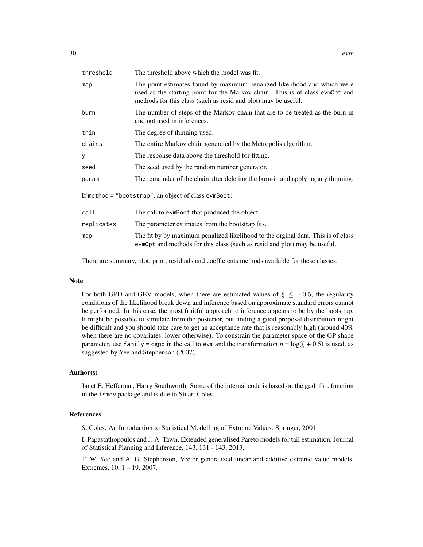| threshold                                            | The threshold above which the model was fit.                                                                                                                                                                               |
|------------------------------------------------------|----------------------------------------------------------------------------------------------------------------------------------------------------------------------------------------------------------------------------|
| map                                                  | The point estimates found by maximum penalized likelihood and which were<br>used as the starting point for the Markov chain. This is of class evmOpt and<br>methods for this class (such as resid and plot) may be useful. |
| burn                                                 | The number of steps of the Markov chain that are to be treated as the burn-in<br>and not used in inferences.                                                                                                               |
| thin                                                 | The degree of thinning used.                                                                                                                                                                                               |
| chains                                               | The entire Markov chain generated by the Metropolis algorithm.                                                                                                                                                             |
| У                                                    | The response data above the threshold for fitting.                                                                                                                                                                         |
| seed                                                 | The seed used by the random number generator.                                                                                                                                                                              |
| param                                                | The remainder of the chain after deleting the burn-in and applying any thinning.                                                                                                                                           |
| If method = "bootstrap", an object of class evmBoot: |                                                                                                                                                                                                                            |
| call                                                 | The call to evmBoot that produced the object.                                                                                                                                                                              |
| replicates                                           | The parameter estimates from the bootstrap fits.                                                                                                                                                                           |
| map                                                  | The fit by by maximum penalized likelihood to the orginal data. This is of class<br>evmOpt and methods for this class (such as resid and plot) may be useful.                                                              |

There are summary, plot, print, residuals and coefficients methods available for these classes.

#### Note

For both GPD and GEV models, when there are estimated values of  $\xi \leq -0.5$ , the regularity conditions of the likelihood break down and inference based on approximate standard errors cannot be performed. In this case, the most fruitful approach to inference appears to be by the bootstrap. It might be possible to simulate from the posterior, but finding a good proposal distribution might be difficult and you should take care to get an acceptance rate that is reasonably high (around 40% when there are no covariates, lower otherwise). To constrain the parameter space of the GP shape parameter, use family = cgpd in the call to evm and the transformation  $\eta = \log(\xi + 0.5)$  is used, as suggested by Yee and Stephenson (2007).

#### Author(s)

Janet E. Heffernan, Harry Southworth. Some of the internal code is based on the gpd.fit function in the ismev package and is due to Stuart Coles.

#### References

S. Coles. An Introduction to Statistical Modelling of Extreme Values. Springer, 2001.

I. Papastathopoulos and J. A. Tawn, Extended generalised Pareto models for tail estimation, Journal of Statistical Planning and Inference, 143, 131 - 143, 2013.

T. W. Yee and A. G. Stephenson, Vector generalized linear and additive extreme value models, Extremes, 10, 1 – 19, 2007.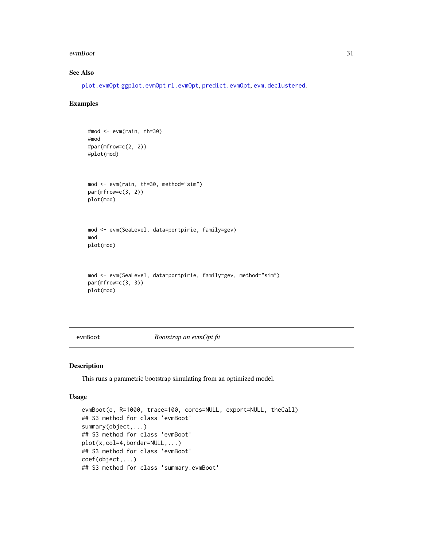#### <span id="page-30-0"></span>evmBoot 31

# See Also

[plot.evmOpt](#page-73-2) [ggplot.evmOpt](#page-42-1) [rl.evmOpt](#page-79-1), [predict.evmOpt](#page-75-1), [evm.declustered](#page-34-1).

#### Examples

```
#mod <- evm(rain, th=30)
#mod
#par(mfrow=c(2, 2))
#plot(mod)
mod <- evm(rain, th=30, method="sim")
par(mfrow=c(3, 2))
plot(mod)
mod <- evm(SeaLevel, data=portpirie, family=gev)
mod
plot(mod)
mod <- evm(SeaLevel, data=portpirie, family=gev, method="sim")
par(mfrow=c(3, 3))
plot(mod)
```
<span id="page-30-1"></span>evmBoot *Bootstrap an evmOpt fit*

#### Description

This runs a parametric bootstrap simulating from an optimized model.

#### Usage

```
evmBoot(o, R=1000, trace=100, cores=NULL, export=NULL, theCall)
## S3 method for class 'evmBoot'
summary(object,...)
## S3 method for class 'evmBoot'
plot(x,col=4,border=NULL,...)
## S3 method for class 'evmBoot'
coef(object,...)
## S3 method for class 'summary.evmBoot'
```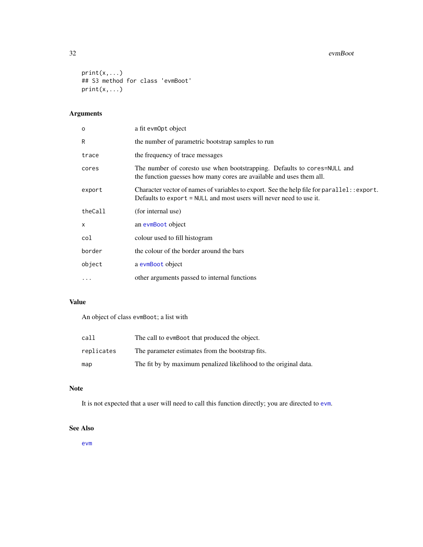#### 32 evmBoot

```
print(x,...)## S3 method for class 'evmBoot'
print(x,...)
```
# Arguments

| $\circ$  | a fit evmOpt object                                                                                                                                                |
|----------|--------------------------------------------------------------------------------------------------------------------------------------------------------------------|
| R        | the number of parametric bootstrap samples to run                                                                                                                  |
| trace    | the frequency of trace messages                                                                                                                                    |
| cores    | The number of coresto use when bootstrapping. Defaults to cores=NULL and<br>the function guesses how many cores are available and uses them all.                   |
| export   | Character vector of names of variables to export. See the help file for parallel: : export.<br>Defaults to export = NULL and most users will never need to use it. |
| theCall  | (for internal use)                                                                                                                                                 |
| X        | an evmBoot object                                                                                                                                                  |
| col      | colour used to fill histogram                                                                                                                                      |
| border   | the colour of the border around the bars                                                                                                                           |
| object   | a evmBoot object                                                                                                                                                   |
| $\cdots$ | other arguments passed to internal functions                                                                                                                       |

# Value

An object of class evmBoot; a list with

| call       | The call to ever Boot that produced the object.                  |
|------------|------------------------------------------------------------------|
| replicates | The parameter estimates from the bootstrap fits.                 |
| map        | The fit by by maximum penalized likelihood to the original data. |

# Note

It is not expected that a user will need to call this function directly; you are directed to [evm](#page-24-1).

# See Also

[evm](#page-24-1)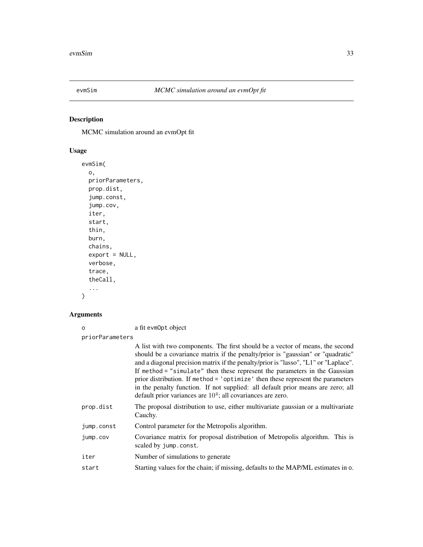<span id="page-32-0"></span>

# Description

MCMC simulation around an evmOpt fit

# Usage

```
evmSim(
 o,
 priorParameters,
 prop.dist,
  jump.const,
  jump.cov,
 iter,
  start,
  thin,
 burn,
 chains,
 export = NULL,verbose,
  trace,
  theCall,
  ...
)
```
# Arguments

| $\Omega$        | a fit evmOpt object                                                                                                                                                                                                                                                                                                                                                                                                                                                                                                                                                         |
|-----------------|-----------------------------------------------------------------------------------------------------------------------------------------------------------------------------------------------------------------------------------------------------------------------------------------------------------------------------------------------------------------------------------------------------------------------------------------------------------------------------------------------------------------------------------------------------------------------------|
| priorParameters |                                                                                                                                                                                                                                                                                                                                                                                                                                                                                                                                                                             |
|                 | A list with two components. The first should be a vector of means, the second<br>should be a covariance matrix if the penalty/prior is "gaussian" or "quadratic"<br>and a diagonal precision matrix if the penalty/prior is "lasso", "L1" or "Laplace".<br>If method = "simulate" then these represent the parameters in the Gaussian<br>prior distribution. If method = 'optimize' then these represent the parameters<br>in the penalty function. If not supplied: all default prior means are zero; all<br>default prior variances are $104$ ; all covariances are zero. |
| prop.dist       | The proposal distribution to use, either multivariate gaussian or a multivariate<br>Cauchy.                                                                                                                                                                                                                                                                                                                                                                                                                                                                                 |
| jump.const      | Control parameter for the Metropolis algorithm.                                                                                                                                                                                                                                                                                                                                                                                                                                                                                                                             |
| jump.cov        | Covariance matrix for proposal distribution of Metropolis algorithm. This is<br>scaled by jump.const.                                                                                                                                                                                                                                                                                                                                                                                                                                                                       |
| iter            | Number of simulations to generate                                                                                                                                                                                                                                                                                                                                                                                                                                                                                                                                           |
| start           | Starting values for the chain; if missing, defaults to the MAP/ML estimates in o.                                                                                                                                                                                                                                                                                                                                                                                                                                                                                           |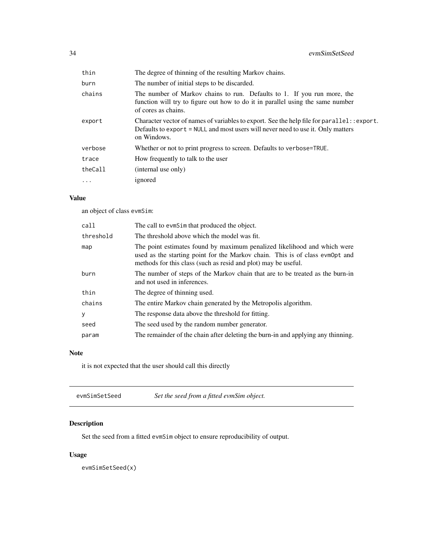<span id="page-33-0"></span>

| thin     | The degree of thinning of the resulting Markov chains.                                                                                                                                           |
|----------|--------------------------------------------------------------------------------------------------------------------------------------------------------------------------------------------------|
| burn     | The number of initial steps to be discarded.                                                                                                                                                     |
| chains   | The number of Markov chains to run. Defaults to 1. If you run more, the<br>function will try to figure out how to do it in parallel using the same number<br>of cores as chains.                 |
| export   | Character vector of names of variables to export. See the help file for $parallel:$ : export.<br>Defaults to export = NULL and most users will never need to use it. Only matters<br>on Windows. |
| verbose  | Whether or not to print progress to screen. Defaults to verbose=TRUE.                                                                                                                            |
| trace    | How frequently to talk to the user                                                                                                                                                               |
| theCall  | (internal use only)                                                                                                                                                                              |
| $\cdots$ | ignored                                                                                                                                                                                          |
|          |                                                                                                                                                                                                  |

# Value

an object of class evmSim:

| call      | The call to evmSim that produced the object.                                                                                                                                                                               |
|-----------|----------------------------------------------------------------------------------------------------------------------------------------------------------------------------------------------------------------------------|
| threshold | The threshold above which the model was fit.                                                                                                                                                                               |
| map       | The point estimates found by maximum penalized likelihood and which were<br>used as the starting point for the Markov chain. This is of class evmopt and<br>methods for this class (such as resid and plot) may be useful. |
| burn      | The number of steps of the Markov chain that are to be treated as the burn-in<br>and not used in inferences.                                                                                                               |
| thin      | The degree of thinning used.                                                                                                                                                                                               |
| chains    | The entire Markov chain generated by the Metropolis algorithm.                                                                                                                                                             |
| У         | The response data above the threshold for fitting.                                                                                                                                                                         |
| seed      | The seed used by the random number generator.                                                                                                                                                                              |
| param     | The remainder of the chain after deleting the burn-in and applying any thinning.                                                                                                                                           |

# Note

it is not expected that the user should call this directly

| Set the seed from a fitted evmSim object. |
|-------------------------------------------|
|                                           |

# Description

Set the seed from a fitted evmSim object to ensure reproducibility of output.

# Usage

evmSimSetSeed(x)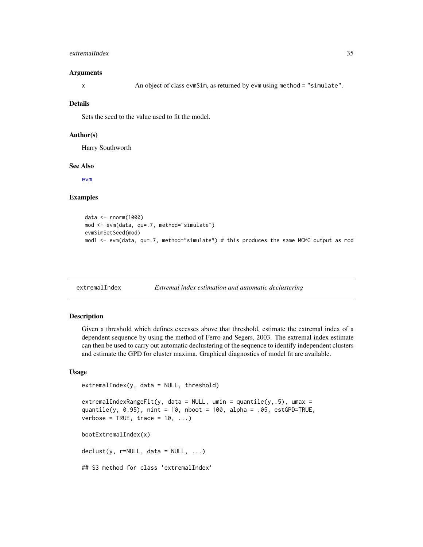#### <span id="page-34-0"></span>extremalIndex 35

#### Arguments

x An object of class evmSim, as returned by evm using method = "simulate".

#### Details

Sets the seed to the value used to fit the model.

#### Author(s)

Harry Southworth

#### See Also

[evm](#page-24-1)

#### Examples

```
data <- rnorm(1000)
mod <- evm(data, qu=.7, method="simulate")
evmSimSetSeed(mod)
mod1 <- evm(data, qu=.7, method="simulate") # this produces the same MCMC output as mod
```
extremalIndex *Extremal index estimation and automatic declustering*

#### <span id="page-34-1"></span>Description

Given a threshold which defines excesses above that threshold, estimate the extremal index of a dependent sequence by using the method of Ferro and Segers, 2003. The extremal index estimate can then be used to carry out automatic declustering of the sequence to identify independent clusters and estimate the GPD for cluster maxima. Graphical diagnostics of model fit are available.

#### Usage

```
extremalIndex(y, data = NULL, threshold)
```
extremalIndexRangeFit(y, data = NULL, umin = quantile(y,.5), umax = quantile(y, 0.95), nint = 10, nboot = 100, alpha = .05, estGPD=TRUE, verbose = TRUE, trace =  $10, ...$ )

bootExtremalIndex(x)

 $\text{declust}(y, \text{ r=NULL}, \text{ data = NULL}, \dots)$ 

## S3 method for class 'extremalIndex'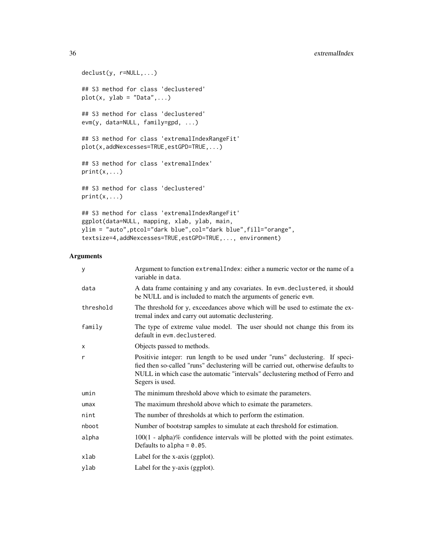```
declust(y, r=NULL,...)
## S3 method for class 'declustered'
plot(x, ylab = "Data", ...)## S3 method for class 'declustered'
evm(y, data=NULL, family=gpd, ...)
## S3 method for class 'extremalIndexRangeFit'
plot(x,addNexcesses=TRUE,estGPD=TRUE,...)
## S3 method for class 'extremalIndex'
print(x,...)## S3 method for class 'declustered'
print(x,...)## S3 method for class 'extremalIndexRangeFit'
ggplot(data=NULL, mapping, xlab, ylab, main,
ylim = "auto",ptcol="dark blue",col="dark blue",fill="orange",
textsize=4,addNexcesses=TRUE,estGPD=TRUE,..., environment)
```
#### Arguments

| У         | Argument to function extremal Index: either a numeric vector or the name of a<br>variable in data.                                                                                                                                                                      |
|-----------|-------------------------------------------------------------------------------------------------------------------------------------------------------------------------------------------------------------------------------------------------------------------------|
| data      | A data frame containing y and any covariates. In evm. declustered, it should<br>be NULL and is included to match the arguments of generic evm.                                                                                                                          |
| threshold | The threshold for y, exceedances above which will be used to estimate the ex-<br>tremal index and carry out automatic declustering.                                                                                                                                     |
| family    | The type of extreme value model. The user should not change this from its<br>default in evm. declustered.                                                                                                                                                               |
| X         | Objects passed to methods.                                                                                                                                                                                                                                              |
| r         | Positivie integer: run length to be used under "runs" declustering. If speci-<br>fied then so-called "runs" declustering will be carried out, otherwise defaults to<br>NULL in which case the automatic "intervals" declustering method of Ferro and<br>Segers is used. |
| umin      | The minimum threshold above which to esimate the parameters.                                                                                                                                                                                                            |
| umax      | The maximum threshold above which to esimate the parameters.                                                                                                                                                                                                            |
| nint      | The number of thresholds at which to perform the estimation.                                                                                                                                                                                                            |
| nboot     | Number of bootstrap samples to simulate at each threshold for estimation.                                                                                                                                                                                               |
| alpha     | $100(1 - alpha)\%$ confidence intervals will be plotted with the point estimates.<br>Defaults to alpha = $0.05$ .                                                                                                                                                       |
| xlab      | Label for the x-axis (ggplot).                                                                                                                                                                                                                                          |
| ylab      | Label for the y-axis (ggplot).                                                                                                                                                                                                                                          |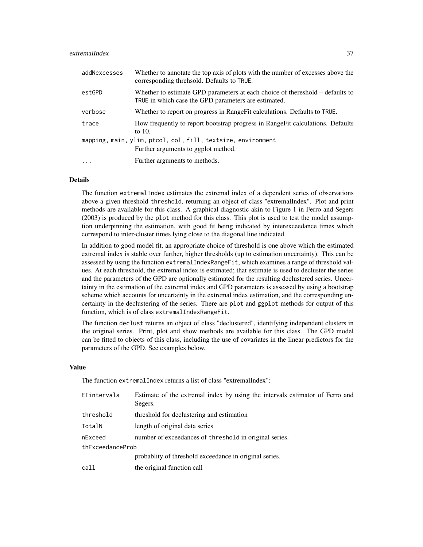## extremalIndex 37

| addNexcesses | Whether to annotate the top axis of plots with the number of excesses above the<br>corresponding threhsold. Defaults to TRUE.         |
|--------------|---------------------------------------------------------------------------------------------------------------------------------------|
| estGPD       | Whether to estimate GPD parameters at each choice of thereshold – defaults to<br>TRUE in which case the GPD parameters are estimated. |
| verbose      | Whether to report on progress in Range Fit calculations. Defaults to TRUE.                                                            |
| trace        | How frequently to report bootstrap progress in Range Fit calculations. Defaults<br>to $10$ .                                          |
|              | mapping, main, ylim, ptcol, col, fill, textsize, environment                                                                          |
|              | Further arguments to ggplot method.                                                                                                   |
| $\cdots$     | Further arguments to methods.                                                                                                         |

## Details

The function extremalIndex estimates the extremal index of a dependent series of observations above a given threshold threshold, returning an object of class "extremalIndex". Plot and print methods are available for this class. A graphical diagnostic akin to Figure 1 in Ferro and Segers (2003) is produced by the plot method for this class. This plot is used to test the model assumption underpinning the estimation, with good fit being indicated by interexceedance times which correspond to inter-cluster times lying close to the diagonal line indicated.

In addition to good model fit, an appropriate choice of threshold is one above which the estimated extremal index is stable over further, higher thresholds (up to estimation uncertainty). This can be assessed by using the function extremalIndexRangeFit, which examines a range of threshold values. At each threshold, the extremal index is estimated; that estimate is used to decluster the series and the parameters of the GPD are optionally estimated for the resulting declustered series. Uncertainty in the estimation of the extremal index and GPD parameters is assessed by using a bootstrap scheme which accounts for uncertainty in the extremal index estimation, and the corresponding uncertainty in the declustering of the series. There are plot and ggplot methods for output of this function, which is of class extremalIndexRangeFit.

The function declust returns an object of class "declustered", identifying independent clusters in the original series. Print, plot and show methods are available for this class. The GPD model can be fitted to objects of this class, including the use of covariates in the linear predictors for the parameters of the GPD. See examples below.

#### Value

The function extremalIndex returns a list of class "extremalIndex":

| Elintervals      | Estimate of the extremal index by using the intervals estimator of Ferro and<br>Segers. |
|------------------|-----------------------------------------------------------------------------------------|
| threshold        | threshold for declustering and estimation                                               |
| TotalN           | length of original data series                                                          |
| nExceed          | number of exceedances of threshold in original series.                                  |
| thExceedanceProb |                                                                                         |
|                  | probablity of threshold exceedance in original series.                                  |
| call             | the original function call                                                              |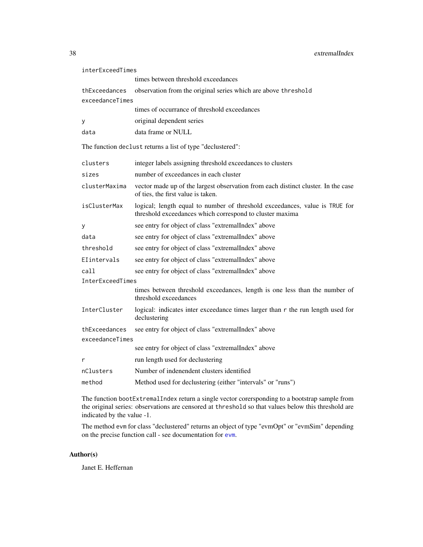| interExceedTimes |                                                                                                                                         |
|------------------|-----------------------------------------------------------------------------------------------------------------------------------------|
|                  | times between threshold exceedances                                                                                                     |
| thExceedances    | observation from the original series which are above threshold                                                                          |
| exceedanceTimes  |                                                                                                                                         |
|                  | times of occurrance of threshold exceedances                                                                                            |
| у                | original dependent series                                                                                                               |
| data             | data frame or NULL                                                                                                                      |
|                  | The function declust returns a list of type "declustered":                                                                              |
| clusters         | integer labels assigning threshold exceedances to clusters                                                                              |
| sizes            | number of exceedances in each cluster                                                                                                   |
| clusterMaxima    | vector made up of the largest observation from each distinct cluster. In the case<br>of ties, the first value is taken.                 |
| isClusterMax     | logical; length equal to number of threshold exceedances, value is TRUE for<br>threshold exceedances which correspond to cluster maxima |
| у                | see entry for object of class "extremalIndex" above                                                                                     |
| data             | see entry for object of class "extremalIndex" above                                                                                     |
| threshold        | see entry for object of class "extremalIndex" above                                                                                     |
| Elintervals      | see entry for object of class "extremalIndex" above                                                                                     |
| call             | see entry for object of class "extremalIndex" above                                                                                     |
| InterExceedTimes |                                                                                                                                         |
|                  | times between threshold exceedances, length is one less than the number of<br>threshold exceedances                                     |
| InterCluster     | logical: indicates inter exceedance times larger than r the run length used for<br>declustering                                         |
| thExceedances    | see entry for object of class "extremalIndex" above                                                                                     |
| exceedanceTimes  |                                                                                                                                         |
|                  | see entry for object of class "extremalIndex" above                                                                                     |
| r                | run length used for declustering                                                                                                        |
| nClusters        | Number of indenendent clusters identified                                                                                               |
| method           | Method used for declustering (either "intervals" or "runs")                                                                             |

The function bootExtremalIndex return a single vector corersponding to a bootstrap sample from the original series: observations are censored at threshold so that values below this threshold are indicated by the value -1.

The method evm for class "declustered" returns an object of type "evmOpt" or "evmSim" depending on the precise function call - see documentation for [evm](#page-24-0).

## Author(s)

Janet E. Heffernan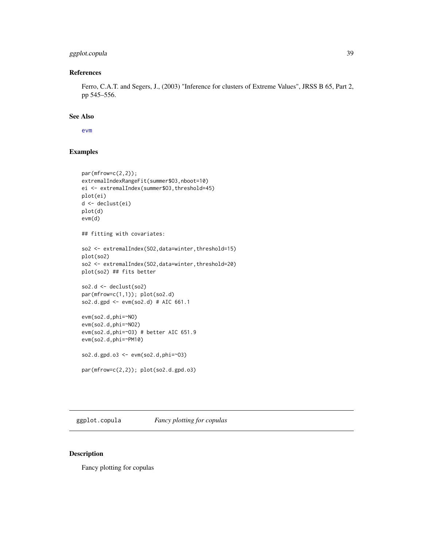## ggplot.copula 39

## References

Ferro, C.A.T. and Segers, J., (2003) "Inference for clusters of Extreme Values", JRSS B 65, Part 2, pp 545–556.

#### See Also

[evm](#page-24-0)

# Examples

```
par(mfrow=c(2,2));extremalIndexRangeFit(summer$O3,nboot=10)
ei <- extremalIndex(summer$O3,threshold=45)
plot(ei)
d <- declust(ei)
plot(d)
evm(d)
## fitting with covariates:
so2 <- extremalIndex(SO2,data=winter,threshold=15)
plot(so2)
so2 <- extremalIndex(SO2,data=winter,threshold=20)
plot(so2) ## fits better
so2.d \leftarrow declust(so2)par(mfrow=c(1,1)); plot(so2.d)
so2.d.gpd <- evm(so2.d) # AIC 661.1
evm(so2.d,phi=~NO)
evm(so2.d,phi=~NO2)
evm(so2.d,phi=~O3) # better AIC 651.9
evm(so2.d,phi=~PM10)
so2.d.gpd.o3 <- evm(so2.d,phi=~O3)
par(mfrow=c(2,2)); plot(so2.d.gpd.o3)
```
ggplot.copula *Fancy plotting for copulas*

## Description

Fancy plotting for copulas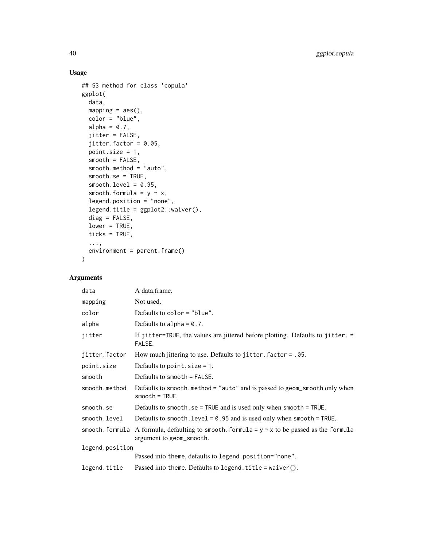# Usage

```
## S3 method for class 'copula'
ggplot(
  data,
 mapping = acs(),
 color = "blue",
 alpha = 0.7,
  jitter = FALSE,
  jitter.factor = 0.05,
 point.size = 1,
  smooth = FALSE,
  smooth.method = "auto",
  smooth.se = TRUE,
  smooth.level = 0.95,
  smooth.formula = y \sim x,
  legend.position = "none",
  legend.title = ggplot2::waiver(),
 diag = FALSE,lower = TRUE,ticks = TRUE,
  ...,
 environment = parent.frame()
\mathcal{L}
```

| data            | A data.frame.                                                                                                                 |
|-----------------|-------------------------------------------------------------------------------------------------------------------------------|
| mapping         | Not used.                                                                                                                     |
| color           | Defaults to color $=$ "blue".                                                                                                 |
| alpha           | Defaults to alpha = $0.7$ .                                                                                                   |
| jitter          | If jitter=TRUE, the values are jittered before plotting. Defaults to jitter. =<br>FALSE.                                      |
| jitter.factor   | How much jittering to use. Defaults to jitter. $factor = .05$ .                                                               |
| point.size      | Defaults to point $.size = 1$ .                                                                                               |
| smooth          | Defaults to smooth $=$ FAI SF.                                                                                                |
| smooth.method   | Defaults to smooth.method = "auto" and is passed to geom_smooth only when<br>$smooth = TRUE.$                                 |
| smooth.se       | Defaults to smooth. se = TRUE and is used only when smooth = TRUE.                                                            |
| smooth.level    | Defaults to smooth. $level = 0.95$ and is used only when smooth = TRUE.                                                       |
|                 | smooth. formula A formula, defaulting to smooth. formula = $y \sim x$ to be passed as the formula<br>argument to geom_smooth. |
| legend.position |                                                                                                                               |
|                 | Passed into theme, defaults to legend.position="none".                                                                        |
| legend.title    | Passed into theme. Defaults to legend. $title = wavier()$ .                                                                   |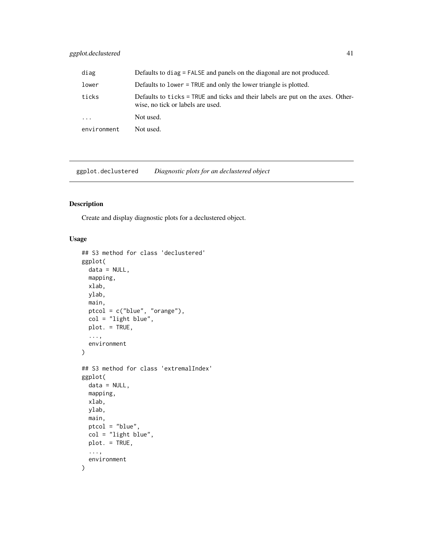## ggplot.declustered 41

| diag        | Defaults to diag = FALSE and panels on the diagonal are not produced.                                                |
|-------------|----------------------------------------------------------------------------------------------------------------------|
| lower       | Defaults to lower = TRUE and only the lower triangle is plotted.                                                     |
| ticks       | Defaults to ticks = TRUE and ticks and their labels are put on the axes. Other-<br>wise, no tick or labels are used. |
| $\cdots$    | Not used.                                                                                                            |
| environment | Not used.                                                                                                            |

ggplot.declustered *Diagnostic plots for an declustered object*

## Description

Create and display diagnostic plots for a declustered object.

```
## S3 method for class 'declustered'
ggplot(
 data = NULL,
 mapping,
 xlab,
 ylab,
 main,
 ptcol = c("blue", "orange"),
 col = "light blue",
 plot. = TRUE,
  ...,
  environment
)
## S3 method for class 'extremalIndex'
ggplot(
 data = NULL,
 mapping,
 xlab,
 ylab,
 main,
 ptcol = "blue",
 col = "light blue",
 plot. = TRUE,
  ...,
  environment
\mathcal{E}
```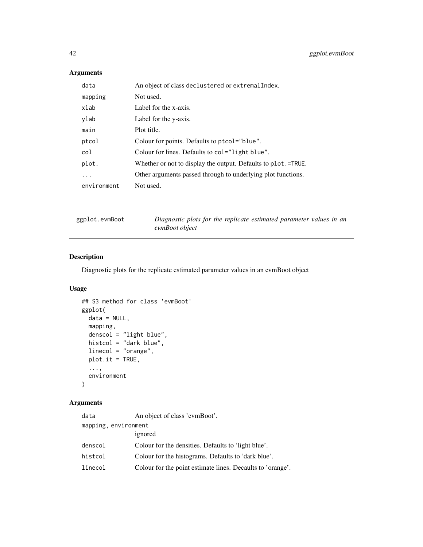# Arguments

| data        | An object of class declustered or extremalIndex.              |
|-------------|---------------------------------------------------------------|
| mapping     | Not used.                                                     |
| xlab        | Label for the x-axis.                                         |
| ylab        | Label for the y-axis.                                         |
| main        | Plot title.                                                   |
| ptcol       | Colour for points. Defaults to ptcol="blue".                  |
| col         | Colour for lines. Defaults to col="light blue".               |
| plot.       | Whether or not to display the output. Defaults to plot.=TRUE. |
| .           | Other arguments passed through to underlying plot functions.  |
| environment | Not used.                                                     |
|             |                                                               |

ggplot.evmBoot *Diagnostic plots for the replicate estimated parameter values in an evmBoot object*

## Description

Diagnostic plots for the replicate estimated parameter values in an evmBoot object

## Usage

```
## S3 method for class 'evmBoot'
ggplot(
 data = NULL,
 mapping,
 denscol = "light blue",
 histcol = "dark blue",
 linecol = "orange",
 plot.it = TRUE,...,
 environment
)
```

| data                 | An object of class 'evmBoot'.                              |
|----------------------|------------------------------------------------------------|
| mapping, environment |                                                            |
|                      | ignored                                                    |
| denscol              | Colour for the densities. Defaults to 'light blue'.        |
| histcol              | Colour for the histograms. Defaults to 'dark blue'.        |
| linecol              | Colour for the point estimate lines. Decaults to 'orange'. |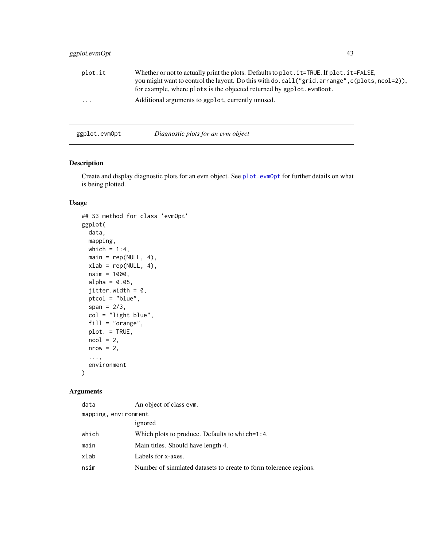# ggplot.evmOpt 43

| plot.it<br>$\ddotsc$ | Whether or not to actually print the plots. Defaults to plot. it=TRUE. If plot. it=FALSE,<br>you might want to control the layout. Do this with do. call ("grid. arrange", c(plots, ncol=2)),<br>for example, where plots is the objected returned by ggplot.evmBoot.<br>Additional arguments to ggplot, currently unused. |
|----------------------|----------------------------------------------------------------------------------------------------------------------------------------------------------------------------------------------------------------------------------------------------------------------------------------------------------------------------|
| ggplot.evmOpt        | Diagnostic plots for an evm object                                                                                                                                                                                                                                                                                         |

# Description

Create and display diagnostic plots for an evm object. See [plot.evmOpt](#page-73-0) for further details on what is being plotted.

## Usage

```
## S3 method for class 'evmOpt'
ggplot(
 data,
 mapping,
 which = 1:4,
 main = rep(NULL, 4),xlab = rep(NULL, 4),nsim = 1000,
 alpha = 0.05,
  jitter.width = 0,
 ptcol = "blue",
  span = 2/3,
  col = "light blue",
  fill = "orange",
 plot. = TRUE,
 ncol = 2,
 nrow = 2,
  ...,
  environment
\mathcal{L}
```

| data                 | An object of class evm.                                           |
|----------------------|-------------------------------------------------------------------|
| mapping, environment |                                                                   |
|                      | ignored                                                           |
| which                | Which plots to produce. Defaults to which=1:4.                    |
| main                 | Main titles. Should have length 4.                                |
| xlab                 | Labels for x-axes.                                                |
| nsim                 | Number of simulated datasets to create to form tolerence regions. |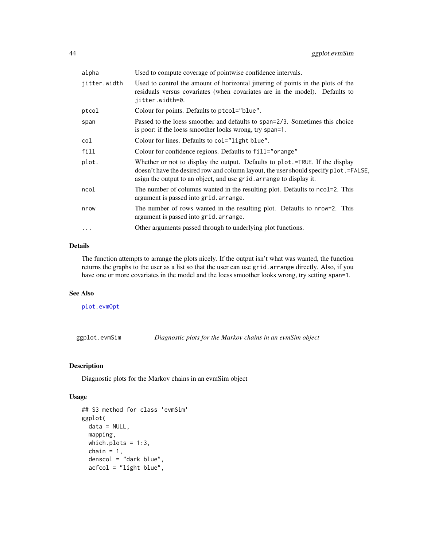| alpha        | Used to compute coverage of pointwise confidence intervals.                                                                                                                                                                                 |
|--------------|---------------------------------------------------------------------------------------------------------------------------------------------------------------------------------------------------------------------------------------------|
| jitter.width | Used to control the amount of horizontal jittering of points in the plots of the<br>residuals versus covariates (when covariates are in the model). Defaults to<br>jitter.width=0.                                                          |
| ptcol        | Colour for points. Defaults to ptcol="blue".                                                                                                                                                                                                |
| span         | Passed to the loess smoother and defaults to span=2/3. Sometimes this choice<br>is poor: if the loess smoother looks wrong, try span=1.                                                                                                     |
| col          | Colour for lines. Defaults to col="light blue".                                                                                                                                                                                             |
| fill         | Colour for confidence regions. Defaults to fill="orange"                                                                                                                                                                                    |
| plot.        | Whether or not to display the output. Defaults to plot.=TRUE. If the display<br>doesn't have the desired row and column layout, the user should specify plot.=FALSE,<br>asign the output to an object, and use grid. arrange to display it. |
| ncol         | The number of columns wanted in the resulting plot. Defaults to ncol=2. This<br>argument is passed into grid. arrange.                                                                                                                      |
| nrow         | The number of rows wanted in the resulting plot. Defaults to nrow=2. This<br>argument is passed into grid. arrange.                                                                                                                         |
| .            | Other arguments passed through to underlying plot functions.                                                                                                                                                                                |
|              |                                                                                                                                                                                                                                             |

#### Details

The function attempts to arrange the plots nicely. If the output isn't what was wanted, the function returns the graphs to the user as a list so that the user can use grid.arrange directly. Also, if you have one or more covariates in the model and the loess smoother looks wrong, try setting span=1.

## See Also

[plot.evmOpt](#page-73-0)

ggplot.evmSim *Diagnostic plots for the Markov chains in an evmSim object*

#### Description

Diagnostic plots for the Markov chains in an evmSim object

```
## S3 method for class 'evmSim'
ggplot(
 data = NULL,mapping,
 which.plots = 1:3,
 chain = 1,denscol = "dark blue",
  acfcol = "light blue",
```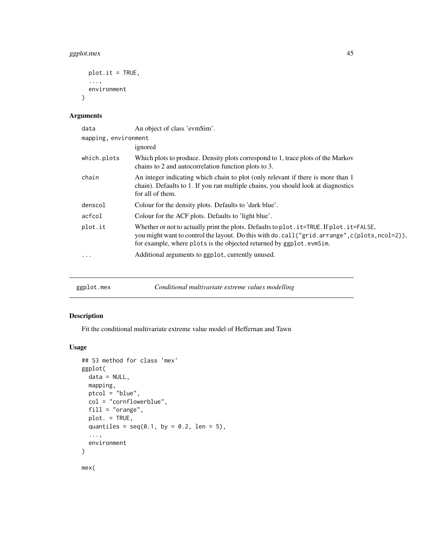# ggplot.mex 45

```
plot.it = TRUE,...,
  environment
\mathcal{L}
```
## Arguments

| data                 | An object of class 'evmSim'.                                                                                                                                                                                                                                           |
|----------------------|------------------------------------------------------------------------------------------------------------------------------------------------------------------------------------------------------------------------------------------------------------------------|
| mapping, environment |                                                                                                                                                                                                                                                                        |
|                      | ignored                                                                                                                                                                                                                                                                |
| which.plots          | Which plots to produce. Density plots correspond to 1, trace plots of the Markov<br>chains to 2 and autocorrelation function plots to 3.                                                                                                                               |
| chain                | An integer indicating which chain to plot (only relevant if there is more than 1<br>chain). Defaults to 1. If you ran multiple chains, you should look at diagnostics<br>for all of them.                                                                              |
| denscol              | Colour for the density plots. Defaults to 'dark blue'.                                                                                                                                                                                                                 |
| acfcol               | Colour for the ACF plots. Defaults to 'light blue'.                                                                                                                                                                                                                    |
| plot.it              | Whether or not to actually print the plots. Defaults to plot . it=TRUE. If plot . it=FALSE,<br>you might want to control the layout. Do this with do. call ("grid. arrange", c(plots, ncol=2)),<br>for example, where plots is the objected returned by ggplot.evmSim. |
| .                    | Additional arguments to ggplot, currently unused.                                                                                                                                                                                                                      |
|                      |                                                                                                                                                                                                                                                                        |

| Conditional multivariate extreme values modelling<br>ggplot.mex |  |
|-----------------------------------------------------------------|--|
|-----------------------------------------------------------------|--|

# <span id="page-44-0"></span>Description

Fit the conditional multivariate extreme value model of Heffernan and Tawn

```
## S3 method for class 'mex'
ggplot(
 data = NULL,mapping,
 ptcol = "blue",
 col = "cornflowerblue",
 fill = "orange",
 plot. = TRUE,
 quantiles = seq(0.1, by = 0.2, len = 5),
  ...,
 environment
)
mex(
```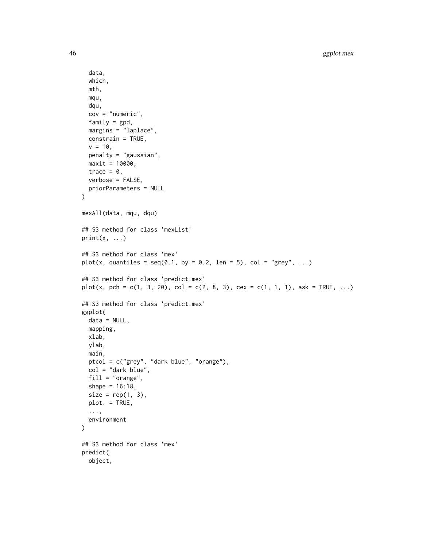```
data,
  which,
  mth,
  mqu,
  dqu,
  cov = "numeric",
  family = gpd,
 margins = "laplace",
  constrain = TRUE,
  v = 10,
 penalty = "gaussian",
 maxit = 10000,trace = \theta,
 verbose = FALSE,
 priorParameters = NULL
\mathcal{L}mexAll(data, mqu, dqu)
## S3 method for class 'mexList'
print(x, \ldots)## S3 method for class 'mex'
plot(x, quantiles = seq(0.1, by = 0.2, len = 5), col = "grey", ...)
## S3 method for class 'predict.mex'
plot(x, pch = c(1, 3, 20), col = c(2, 8, 3), cex = c(1, 1, 1), ask = TRUE, ...)
## S3 method for class 'predict.mex'
ggplot(
 data = NULL,
 mapping,
 xlab,
 ylab,
 main,
 ptcol = c("grey", "dark blue", "orange"),
 col = "dark blue",fill = "orange",
  shape = 16:18,
  size = rep(1, 3),plot. = TRUE,
  ...,
 environment
)
## S3 method for class 'mex'
predict(
 object,
```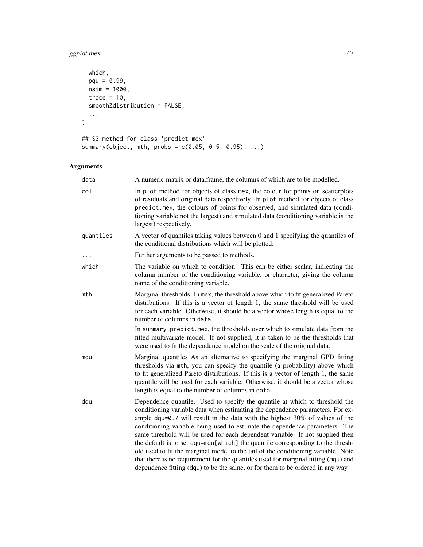# ggplot.mex 47

```
which,
  pqu = 0.99,nsim = 1000,
  trace = 10,
  smoothZdistribution = FALSE,
  ...
\mathcal{L}## S3 method for class 'predict.mex'
summary(object, mth, probs = c(0.05, 0.5, 0.95), ...)
```

| data      | A numeric matrix or data.frame, the columns of which are to be modelled.                                                                                                                                                                                                                                                                                                                                                                                                                                                                                                                                                                                                                                                                                      |
|-----------|---------------------------------------------------------------------------------------------------------------------------------------------------------------------------------------------------------------------------------------------------------------------------------------------------------------------------------------------------------------------------------------------------------------------------------------------------------------------------------------------------------------------------------------------------------------------------------------------------------------------------------------------------------------------------------------------------------------------------------------------------------------|
| col       | In plot method for objects of class mex, the colour for points on scatterplots<br>of residuals and original data respectively. In plot method for objects of class<br>predict.mex, the colours of points for observed, and simulated data (condi-<br>tioning variable not the largest) and simulated data (conditioning variable is the<br>largest) respectively.                                                                                                                                                                                                                                                                                                                                                                                             |
| quantiles | A vector of quantiles taking values between 0 and 1 specifying the quantiles of<br>the conditional distributions which will be plotted.                                                                                                                                                                                                                                                                                                                                                                                                                                                                                                                                                                                                                       |
|           | Further arguments to be passed to methods.                                                                                                                                                                                                                                                                                                                                                                                                                                                                                                                                                                                                                                                                                                                    |
| which     | The variable on which to condition. This can be either scalar, indicating the<br>column number of the conditioning variable, or character, giving the column<br>name of the conditioning variable.                                                                                                                                                                                                                                                                                                                                                                                                                                                                                                                                                            |
| mth       | Marginal thresholds. In mex, the threshold above which to fit generalized Pareto<br>distributions. If this is a vector of length 1, the same threshold will be used<br>for each variable. Otherwise, it should be a vector whose length is equal to the<br>number of columns in data.                                                                                                                                                                                                                                                                                                                                                                                                                                                                         |
|           | In summary predict mex, the thresholds over which to simulate data from the<br>fitted multivariate model. If not supplied, it is taken to be the thresholds that<br>were used to fit the dependence model on the scale of the original data.                                                                                                                                                                                                                                                                                                                                                                                                                                                                                                                  |
| mqu       | Marginal quantiles As an alternative to specifying the marginal GPD fitting<br>thresholds via mth, you can specify the quantile (a probability) above which<br>to fit generalized Pareto distributions. If this is a vector of length 1, the same<br>quantile will be used for each variable. Otherwise, it should be a vector whose<br>length is equal to the number of columns in data.                                                                                                                                                                                                                                                                                                                                                                     |
| dqu       | Dependence quantile. Used to specify the quantile at which to threshold the<br>conditioning variable data when estimating the dependence parameters. For ex-<br>ample dqu=0.7 will result in the data with the highest $30\%$ of values of the<br>conditioning variable being used to estimate the dependence parameters. The<br>same threshold will be used for each dependent variable. If not supplied then<br>the default is to set dqu=mqu[which] the quantile corresponding to the thresh-<br>old used to fit the marginal model to the tail of the conditioning variable. Note<br>that there is no requirement for the quantiles used for marginal fitting (mqu) and<br>dependence fitting (dqu) to be the same, or for them to be ordered in any way. |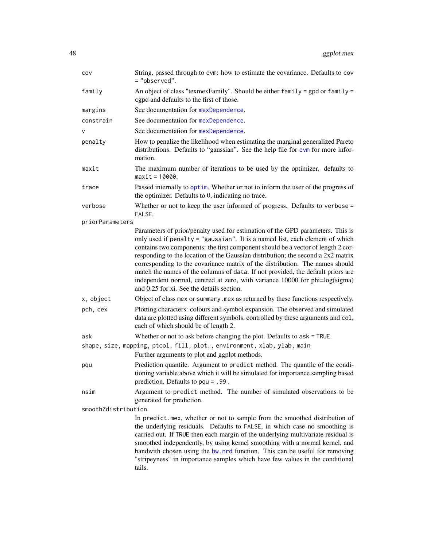| COV                 | String, passed through to evm: how to estimate the covariance. Defaults to cov<br>= "observed".                                                                                                                                                                                                                                                                                                                                                                                                                                                                                                                                       |  |
|---------------------|---------------------------------------------------------------------------------------------------------------------------------------------------------------------------------------------------------------------------------------------------------------------------------------------------------------------------------------------------------------------------------------------------------------------------------------------------------------------------------------------------------------------------------------------------------------------------------------------------------------------------------------|--|
| family              | An object of class "texmexFamily". Should be either family = gpd or family =<br>cgpd and defaults to the first of those.                                                                                                                                                                                                                                                                                                                                                                                                                                                                                                              |  |
| margins             | See documentation for mexDependence.                                                                                                                                                                                                                                                                                                                                                                                                                                                                                                                                                                                                  |  |
| constrain           | See documentation for mexDependence.                                                                                                                                                                                                                                                                                                                                                                                                                                                                                                                                                                                                  |  |
| v                   | See documentation for mexDependence.                                                                                                                                                                                                                                                                                                                                                                                                                                                                                                                                                                                                  |  |
| penalty             | How to penalize the likelihood when estimating the marginal generalized Pareto<br>distributions. Defaults to "gaussian". See the help file for evm for more infor-<br>mation.                                                                                                                                                                                                                                                                                                                                                                                                                                                         |  |
| maxit               | The maximum number of iterations to be used by the optimizer. defaults to<br>$maxit = 10000$ .                                                                                                                                                                                                                                                                                                                                                                                                                                                                                                                                        |  |
| trace               | Passed internally to optim. Whether or not to inform the user of the progress of<br>the optimizer. Defaults to 0, indicating no trace.                                                                                                                                                                                                                                                                                                                                                                                                                                                                                                |  |
| verbose             | Whether or not to keep the user informed of progress. Defaults to verbose $=$<br>FALSE.                                                                                                                                                                                                                                                                                                                                                                                                                                                                                                                                               |  |
| priorParameters     |                                                                                                                                                                                                                                                                                                                                                                                                                                                                                                                                                                                                                                       |  |
|                     | Parameters of prior/penalty used for estimation of the GPD parameters. This is<br>only used if penalty = "gaussian". It is a named list, each element of which<br>contains two components: the first component should be a vector of length 2 cor-<br>responding to the location of the Gaussian distribution; the second a 2x2 matrix<br>corresponding to the covariance matrix of the distribution. The names should<br>match the names of the columns of data. If not provided, the default priors are<br>independent normal, centred at zero, with variance 10000 for phi=log(sigma)<br>and 0.25 for xi. See the details section. |  |
| x, object           | Object of class mex or summary. mex as returned by these functions respectively.                                                                                                                                                                                                                                                                                                                                                                                                                                                                                                                                                      |  |
| pch, cex            | Plotting characters: colours and symbol expansion. The observed and simulated<br>data are plotted using different symbols, controlled by these arguments and col,<br>each of which should be of length 2.                                                                                                                                                                                                                                                                                                                                                                                                                             |  |
| ask                 | Whether or not to ask before changing the plot. Defaults to $ask = TRUE$ .                                                                                                                                                                                                                                                                                                                                                                                                                                                                                                                                                            |  |
|                     | shape, size, mapping, ptcol, fill, plot., environment, xlab, ylab, main<br>Further arguments to plot and ggplot methods.                                                                                                                                                                                                                                                                                                                                                                                                                                                                                                              |  |
| pqu                 | Prediction quantile. Argument to predict method. The quantile of the condi-<br>tioning variable above which it will be simulated for importance sampling based<br>prediction. Defaults to $pqu = .99$ .                                                                                                                                                                                                                                                                                                                                                                                                                               |  |
| nsim                | Argument to predict method. The number of simulated observations to be<br>generated for prediction.                                                                                                                                                                                                                                                                                                                                                                                                                                                                                                                                   |  |
| smoothZdistribution |                                                                                                                                                                                                                                                                                                                                                                                                                                                                                                                                                                                                                                       |  |
|                     | In predict.mex, whether or not to sample from the smoothed distribution of<br>the underlying residuals. Defaults to FALSE, in which case no smoothing is<br>carried out. If TRUE then each margin of the underlying multivariate residual is<br>smoothed independently, by using kernel smoothing with a normal kernel, and<br>bandwith chosen using the bw.nrd function. This can be useful for removing<br>"stripeyness" in importance samples which have few values in the conditional<br>tails.                                                                                                                                   |  |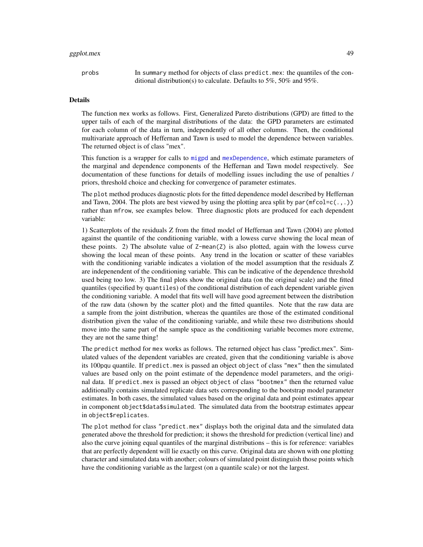## ggplot.mex 49

probs In summary method for objects of class predict.mex: the quantiles of the conditional distribution(s) to calculate. Defaults to 5%, 50% and 95%.

#### Details

The function mex works as follows. First, Generalized Pareto distributions (GPD) are fitted to the upper tails of each of the marginal distributions of the data: the GPD parameters are estimated for each column of the data in turn, independently of all other columns. Then, the conditional multivariate approach of Heffernan and Tawn is used to model the dependence between variables. The returned object is of class "mex".

This function is a wrapper for calls to [migpd](#page-50-0) and [mexDependence](#page-64-0), which estimate parameters of the marginal and dependence components of the Heffernan and Tawn model respectively. See documentation of these functions for details of modelling issues including the use of penalties / priors, threshold choice and checking for convergence of parameter estimates.

The plot method produces diagnostic plots for the fitted dependence model described by Heffernan and Tawn, 2004. The plots are best viewed by using the plotting area split by par $(\text{mfcol} = c(.,.))$ rather than mfrow, see examples below. Three diagnostic plots are produced for each dependent variable:

1) Scatterplots of the residuals Z from the fitted model of Heffernan and Tawn (2004) are plotted against the quantile of the conditioning variable, with a lowess curve showing the local mean of these points. 2) The absolute value of  $Z$ -mean( $Z$ ) is also plotted, again with the lowess curve showing the local mean of these points. Any trend in the location or scatter of these variables with the conditioning variable indicates a violation of the model assumption that the residuals Z are indepenendent of the conditioning variable. This can be indicative of the dependence threshold used being too low. 3) The final plots show the original data (on the original scale) and the fitted quantiles (specified by quantiles) of the conditional distribution of each dependent variable given the conditioning variable. A model that fits well will have good agreement between the distribution of the raw data (shown by the scatter plot) and the fitted quantiles. Note that the raw data are a sample from the joint distribution, whereas the quantiles are those of the estimated conditional distribution given the value of the conditioning variable, and while these two distributions should move into the same part of the sample space as the conditioning variable becomes more extreme, they are not the same thing!

The predict method for mex works as follows. The returned object has class "predict.mex". Simulated values of the dependent variables are created, given that the conditioning variable is above its 100pqu quantile. If predict.mex is passed an object object of class "mex" then the simulated values are based only on the point estimate of the dependence model parameters, and the original data. If predict.mex is passed an object object of class "bootmex" then the returned value additionally contains simulated replicate data sets corresponding to the bootstrap model parameter estimates. In both cases, the simulated values based on the original data and point estimates appear in component object\$data\$simulated. The simulated data from the bootstrap estimates appear in object\$replicates.

The plot method for class "predict.mex" displays both the original data and the simulated data generated above the threshold for prediction; it shows the threshold for prediction (vertical line) and also the curve joining equal quantiles of the marginal distributions – this is for reference: variables that are perfectly dependent will lie exactly on this curve. Original data are shown with one plotting character and simulated data with another; colours of simulated point distinguish those points which have the conditioning variable as the largest (on a quantile scale) or not the largest.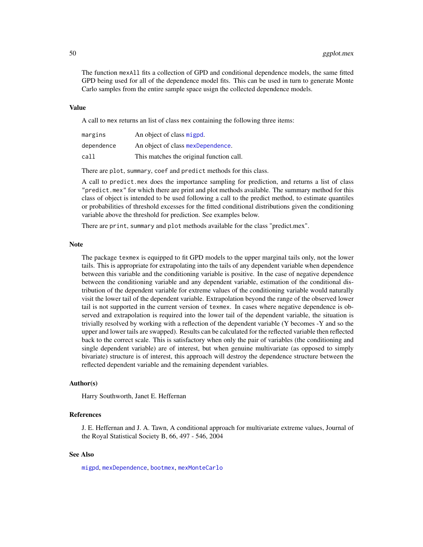The function mexAll fits a collection of GPD and conditional dependence models, the same fitted GPD being used for all of the dependence model fits. This can be used in turn to generate Monte Carlo samples from the entire sample space usign the collected dependence models.

#### Value

A call to mex returns an list of class mex containing the following three items:

| margins    | An object of class migpd.                |
|------------|------------------------------------------|
| dependence | An object of class mexDependence.        |
| call       | This matches the original function call. |

There are plot, summary, coef and predict methods for this class.

A call to predict.mex does the importance sampling for prediction, and returns a list of class "predict.mex" for which there are print and plot methods available. The summary method for this class of object is intended to be used following a call to the predict method, to estimate quantiles or probabilities of threshold excesses for the fitted conditional distributions given the conditioning variable above the threshold for prediction. See examples below.

There are print, summary and plot methods available for the class "predict.mex".

#### **Note**

The package texmex is equipped to fit GPD models to the upper marginal tails only, not the lower tails. This is appropriate for extrapolating into the tails of any dependent variable when dependence between this variable and the conditioning variable is positive. In the case of negative dependence between the conditioning variable and any dependent variable, estimation of the conditional distribution of the dependent variable for extreme values of the conditioning variable would naturally visit the lower tail of the dependent variable. Extrapolation beyond the range of the observed lower tail is not supported in the current version of texmex. In cases where negative dependence is observed and extrapolation is required into the lower tail of the dependent variable, the situation is trivially resolved by working with a reflection of the dependent variable (Y becomes -Y and so the upper and lower tails are swapped). Results can be calculated for the reflected variable then reflected back to the correct scale. This is satisfactory when only the pair of variables (the conditioning and single dependent variable) are of interest, but when genuine multivariate (as opposed to simply bivariate) structure is of interest, this approach will destroy the dependence structure between the reflected dependent variable and the remaining dependent variables.

#### Author(s)

Harry Southworth, Janet E. Heffernan

## References

J. E. Heffernan and J. A. Tawn, A conditional approach for multivariate extreme values, Journal of the Royal Statistical Society B, 66, 497 - 546, 2004

#### See Also

[migpd](#page-50-0), [mexDependence](#page-64-0), [bootmex](#page-9-0), [mexMonteCarlo](#page-67-0)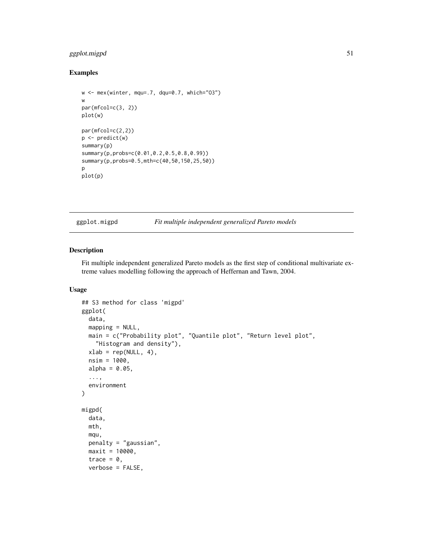## ggplot.migpd 51

## Examples

```
w <- mex(winter, mqu=.7, dqu=0.7, which="O3")
w
par(mfcol=c(3, 2))
plot(w)
par(mfcol=c(2,2))
p <- predict(w)
summary(p)
summary(p,probs=c(0.01,0.2,0.5,0.8,0.99))
summary(p,probs=0.5,mth=c(40,50,150,25,50))
p
plot(p)
```
ggplot.migpd *Fit multiple independent generalized Pareto models*

## <span id="page-50-0"></span>Description

Fit multiple independent generalized Pareto models as the first step of conditional multivariate extreme values modelling following the approach of Heffernan and Tawn, 2004.

```
## S3 method for class 'migpd'
ggplot(
  data,
 mapping = NULL,
 main = c("Probability plot", "Quantile plot", "Return level plot",
    "Histogram and density"),
 xlab = rep(NULL, 4),nsim = 1000,
 alpha = 0.05,
  ...,
 environment
)
migpd(
 data,
 mth,
 mqu,
 penalty = "gaussian",
 maxit = 10000,trace = \theta,
  verbose = FALSE,
```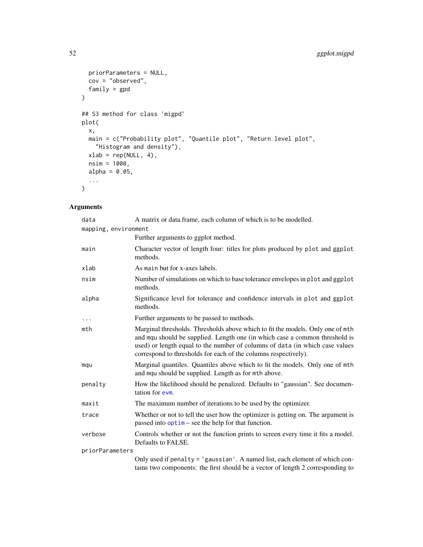```
priorParameters = NULL,
  cov = "observed",family = gpd\mathcal{L}## S3 method for class 'migpd'
plot(
  x,
 main = c("Probability plot", "Quantile plot", "Return level plot",
    "Histogram and density"),
  xlab = rep(NULL, 4),nsim = 1000,
  alpha = 0.05,
  ...
\mathcal{L}
```

| data                 | A matrix or data.frame, each column of which is to be modelled.                                                                                                                                                                                                                                                  |
|----------------------|------------------------------------------------------------------------------------------------------------------------------------------------------------------------------------------------------------------------------------------------------------------------------------------------------------------|
| mapping, environment |                                                                                                                                                                                                                                                                                                                  |
|                      | Further arguments to ggplot method.                                                                                                                                                                                                                                                                              |
| main                 | Character vector of length four: titles for plots produced by plot and ggplot<br>methods.                                                                                                                                                                                                                        |
| xlab                 | As main but for x-axes labels.                                                                                                                                                                                                                                                                                   |
| nsim                 | Number of simulations on which to base tolerance envelopes in plot and ggplot<br>methods.                                                                                                                                                                                                                        |
| alpha                | Significance level for tolerance and confidence intervals in plot and ggplot<br>methods.                                                                                                                                                                                                                         |
| $\cdots$             | Further arguments to be passed to methods.                                                                                                                                                                                                                                                                       |
| mth                  | Marginal thresholds. Thresholds above which to fit the models. Only one of mth<br>and mqu should be supplied. Length one (in which case a common threshold is<br>used) or length equal to the number of columns of data (in which case values<br>correspond to thresholds for each of the columns respectively). |
| mqu                  | Marginal quantiles. Quantiles above which to fit the models. Only one of mth<br>and mqu should be supplied. Length as for mth above.                                                                                                                                                                             |
| penalty              | How the likelihood should be penalized. Defaults to "gaussian". See documen-<br>tation for evm.                                                                                                                                                                                                                  |
| maxit                | The maximum number of iterations to be used by the optimizer.                                                                                                                                                                                                                                                    |
| trace                | Whether or not to tell the user how the optimizer is getting on. The argument is<br>passed into $option - see$ the help for that function.                                                                                                                                                                       |
| verbose              | Controls whether or not the function prints to screen every time it fits a model.<br>Defaults to FALSE.                                                                                                                                                                                                          |
| priorParameters      |                                                                                                                                                                                                                                                                                                                  |
|                      | Only used if penalty = 'gaussian'. A named list, each element of which con-<br>tains two components: the first should be a vector of length 2 corresponding to                                                                                                                                                   |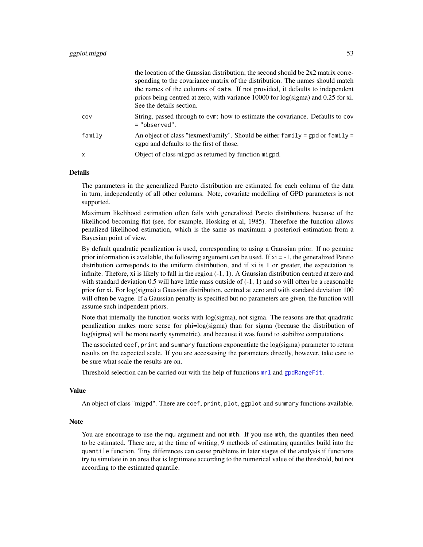| COV<br>$=$ "observed".<br>family<br>egpd and defaults to the first of those.<br>Object of class migpd as returned by function migpd.<br>х |  | the location of the Gaussian distribution; the second should be $2x2$ matrix corre-<br>sponding to the covariance matrix of the distribution. The names should match<br>the names of the columns of data. If not provided, it defaults to independent<br>priors being centred at zero, with variance 10000 for log(sigma) and 0.25 for xi.<br>See the details section. |
|-------------------------------------------------------------------------------------------------------------------------------------------|--|------------------------------------------------------------------------------------------------------------------------------------------------------------------------------------------------------------------------------------------------------------------------------------------------------------------------------------------------------------------------|
|                                                                                                                                           |  | String, passed through to evm: how to estimate the covariance. Defaults to cov                                                                                                                                                                                                                                                                                         |
|                                                                                                                                           |  | An object of class "texmexFamily". Should be either family = gpd or family =                                                                                                                                                                                                                                                                                           |
|                                                                                                                                           |  |                                                                                                                                                                                                                                                                                                                                                                        |

the location of the Gaussian distribution; the second should be 2x2 matrix corre-

#### Details

The parameters in the generalized Pareto distribution are estimated for each column of the data in turn, independently of all other columns. Note, covariate modelling of GPD parameters is not supported.

Maximum likelihood estimation often fails with generalized Pareto distributions because of the likelihood becoming flat (see, for example, Hosking et al, 1985). Therefore the function allows penalized likelihood estimation, which is the same as maximum a posteriori estimation from a Bayesian point of view.

By default quadratic penalization is used, corresponding to using a Gaussian prior. If no genuine prior information is available, the following argument can be used. If  $xi = -1$ , the generalized Pareto distribution corresponds to the uniform distribution, and if xi is 1 or greater, the expectation is infinite. Thefore, xi is likely to fall in the region (-1, 1). A Gaussian distribution centred at zero and with standard deviation 0.5 will have little mass outside of  $(-1, 1)$  and so will often be a reasonable prior for xi. For log(sigma) a Gaussian distribution, centred at zero and with standard deviation 100 will often be vague. If a Gaussian penalty is specified but no parameters are given, the function will assume such indpendent priors.

Note that internally the function works with log(sigma), not sigma. The reasons are that quadratic penalization makes more sense for phi=log(sigma) than for sigma (because the distribution of log(sigma) will be more nearly symmetric), and because it was found to stabilize computations.

The associated coef, print and summary functions exponentiate the log(sigma) parameter to return results on the expected scale. If you are accessesing the parameters directly, however, take care to be sure what scale the results are on.

Threshold selection can be carried out with the help of functions  $mrl$  and [gpdRangeFit](#page-55-0).

#### Value

An object of class "migpd". There are coef, print, plot, ggplot and summary functions available.

#### Note

You are encourage to use the mqu argument and not mth. If you use mth, the quantiles then need to be estimated. There are, at the time of writing, 9 methods of estimating quantiles build into the quantile function. Tiny differences can cause problems in later stages of the analysis if functions try to simulate in an area that is legitimate according to the numerical value of the threshold, but not according to the estimated quantile.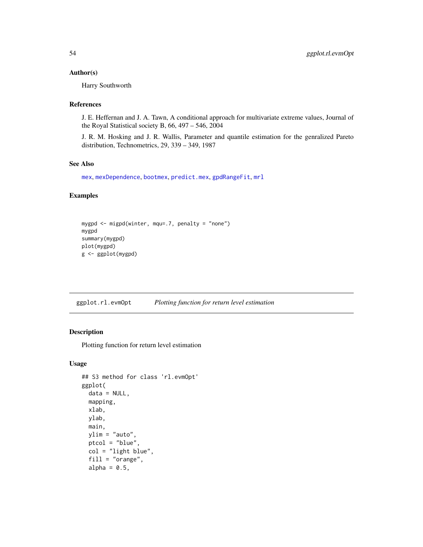#### Author(s)

Harry Southworth

## References

J. E. Heffernan and J. A. Tawn, A conditional approach for multivariate extreme values, Journal of the Royal Statistical society B, 66, 497 – 546, 2004

J. R. M. Hosking and J. R. Wallis, Parameter and quantile estimation for the genralized Pareto distribution, Technometrics, 29, 339 – 349, 1987

## See Also

```
mex, mexDependence, bootmex, predict.mex, gpdRangeFit, mrl
```
## Examples

```
mygpd <- migpd(winter, mqu=.7, penalty = "none")
mygpd
summary(mygpd)
plot(mygpd)
g <- ggplot(mygpd)
```
ggplot.rl.evmOpt *Plotting function for return level estimation*

#### Description

Plotting function for return level estimation

```
## S3 method for class 'rl.evmOpt'
ggplot(
  data = NULL,
 mapping,
  xlab,
 ylab,
 main,
 ylim = "auto",
  ptcol = "blue",
  col = "light blue",
  fill = "orange",
  alpha = 0.5,
```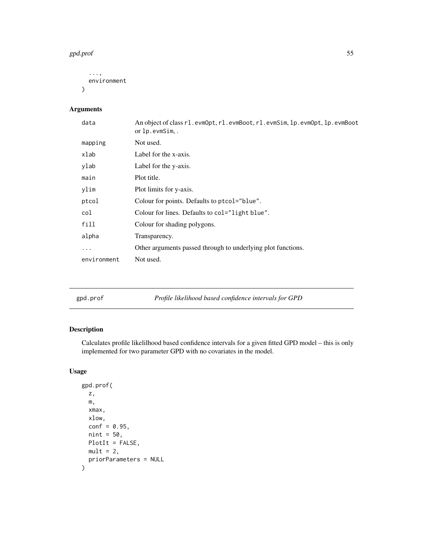#### gpd.prof 55

```
...,
 environment
)
```
# Arguments

| data        | An object of class r1.evmOpt, r1.evmBoot, r1.evmSim, 1p.evmOpt, 1p.evmBoot<br>or lp.evmSim |
|-------------|--------------------------------------------------------------------------------------------|
| mapping     | Not used.                                                                                  |
| xlab        | Label for the x-axis.                                                                      |
| ylab        | Label for the y-axis.                                                                      |
| main        | Plot title.                                                                                |
| ylim        | Plot limits for y-axis.                                                                    |
| ptcol       | Colour for points. Defaults to ptcol="blue".                                               |
| col         | Colour for lines. Defaults to col="light blue".                                            |
| fill        | Colour for shading polygons.                                                               |
| alpha       | Transparency.                                                                              |
| .           | Other arguments passed through to underlying plot functions.                               |
| environment | Not used.                                                                                  |
|             |                                                                                            |

| Profile likelihood based confidence intervals for GPD<br>gpd.prof |  |
|-------------------------------------------------------------------|--|
|-------------------------------------------------------------------|--|

# Description

Calculates profile likelilhood based confidence intervals for a given fitted GPD model – this is only implemented for two parameter GPD with no covariates in the model.

```
gpd.prof(
 z,
 m,
 xmax,
 xlow,
 conf = 0.95,nint = 50,
 PlotIt = FALSE,
 mult = 2,priorParameters = NULL
\mathcal{L}
```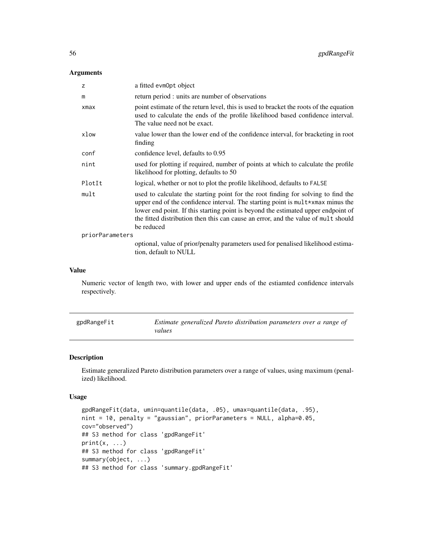## Arguments

| z               | a fitted evmOpt object                                                                                                                                                                                                                                                                                                                                        |
|-----------------|---------------------------------------------------------------------------------------------------------------------------------------------------------------------------------------------------------------------------------------------------------------------------------------------------------------------------------------------------------------|
| m               | return period : units are number of observations                                                                                                                                                                                                                                                                                                              |
| xmax            | point estimate of the return level, this is used to bracket the roots of the equation<br>used to calculate the ends of the profile likelihood based confidence interval.<br>The value need not be exact.                                                                                                                                                      |
| xlow            | value lower than the lower end of the confidence interval, for bracketing in root<br>finding                                                                                                                                                                                                                                                                  |
| conf            | confidence level, defaults to 0.95                                                                                                                                                                                                                                                                                                                            |
| nint            | used for plotting if required, number of points at which to calculate the profile<br>likelihood for plotting, defaults to 50                                                                                                                                                                                                                                  |
| PlotIt          | logical, whether or not to plot the profile likelihood, defaults to FALSE                                                                                                                                                                                                                                                                                     |
| mult            | used to calculate the starting point for the root finding for solving to find the<br>upper end of the confidence interval. The starting point is mult*xmax minus the<br>lower end point. If this starting point is beyond the estimated upper endpoint of<br>the fitted distribution then this can cause an error, and the value of mult should<br>be reduced |
| priorParameters |                                                                                                                                                                                                                                                                                                                                                               |
|                 | optional, value of prior/penalty parameters used for penalised likelihood estima-<br>tion, default to NULL                                                                                                                                                                                                                                                    |

#### Value

Numeric vector of length two, with lower and upper ends of the estiamted confidence intervals respectively.

<span id="page-55-0"></span>

| gpdRangeFit | Estimate generalized Pareto distribution parameters over a range of |
|-------------|---------------------------------------------------------------------|
|             | values                                                              |

## Description

Estimate generalized Pareto distribution parameters over a range of values, using maximum (penalized) likelihood.

```
gpdRangeFit(data, umin=quantile(data, .05), umax=quantile(data, .95),
nint = 10, penalty = "gaussian", priorParameters = NULL, alpha=0.05,
cov="observed")
## S3 method for class 'gpdRangeFit'
print(x, \ldots)## S3 method for class 'gpdRangeFit'
summary(object, ...)
## S3 method for class 'summary.gpdRangeFit'
```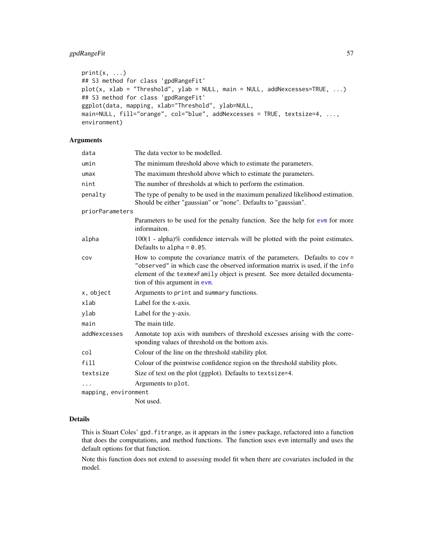## gpdRangeFit 57

```
print(x, \ldots)## S3 method for class 'gpdRangeFit'
plot(x, xlab = "Threshold", ylab = NULL, main = NULL, addNexcesses = TRUE, ...)## S3 method for class 'gpdRangeFit'
ggplot(data, mapping, xlab="Threshold", ylab=NULL,
main=NULL, fill="orange", col="blue", addNexcesses = TRUE, textsize=4, ...,
environment)
```
#### Arguments

| data                 | The data vector to be modelled.                                                                                                                                                                                                                                              |
|----------------------|------------------------------------------------------------------------------------------------------------------------------------------------------------------------------------------------------------------------------------------------------------------------------|
| umin                 | The minimum threshold above which to estimate the parameters.                                                                                                                                                                                                                |
| umax                 | The maximum threshold above which to estimate the parameters.                                                                                                                                                                                                                |
| nint                 | The number of thresholds at which to perform the estimation.                                                                                                                                                                                                                 |
| penalty              | The type of penalty to be used in the maximum penalized likelihood estimation.<br>Should be either "gaussian" or "none". Defaults to "gaussian".                                                                                                                             |
| priorParameters      |                                                                                                                                                                                                                                                                              |
|                      | Parameters to be used for the penalty function. See the help for evm for more<br>informaiton.                                                                                                                                                                                |
| alpha                | $100(1 - alpha)\%$ confidence intervals will be plotted with the point estimates.<br>Defaults to alpha = $0.05$ .                                                                                                                                                            |
| cov                  | How to compute the covariance matrix of the parameters. Defaults to $cov =$<br>"observed" in which case the observed information matrix is used, if the info<br>element of the texmexFamily object is present. See more detailed documenta-<br>tion of this argument in evm. |
| x, object            | Arguments to print and summary functions.                                                                                                                                                                                                                                    |
| xlab                 | Label for the x-axis.                                                                                                                                                                                                                                                        |
| ylab                 | Label for the y-axis.                                                                                                                                                                                                                                                        |
| main                 | The main title.                                                                                                                                                                                                                                                              |
| addNexcesses         | Annotate top axis with numbers of threshold excesses arising with the corre-<br>sponding values of threshold on the bottom axis.                                                                                                                                             |
| col                  | Colour of the line on the threshold stability plot.                                                                                                                                                                                                                          |
| fill                 | Colour of the pointwise confidence region on the threshold stability plots.                                                                                                                                                                                                  |
| textsize             | Size of text on the plot (ggplot). Defaults to textsize=4.                                                                                                                                                                                                                   |
|                      | Arguments to plot.                                                                                                                                                                                                                                                           |
| mapping, environment |                                                                                                                                                                                                                                                                              |
|                      | Not used.                                                                                                                                                                                                                                                                    |

#### Details

This is Stuart Coles' gpd.fitrange, as it appears in the ismev package, refactored into a function that does the computations, and method functions. The function uses evm internally and uses the default options for that function.

Note this function does not extend to assessing model fit when there are covariates included in the model.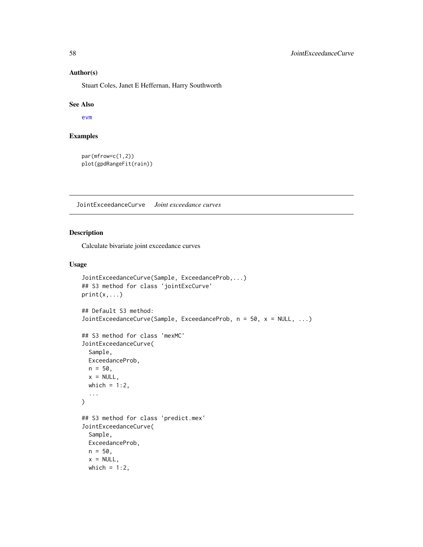#### Author(s)

Stuart Coles, Janet E Heffernan, Harry Southworth

#### See Also

[evm](#page-24-0)

## Examples

```
par(mfrow=c(1,2))
plot(gpdRangeFit(rain))
```
JointExceedanceCurve *Joint exceedance curves*

## Description

Calculate bivariate joint exceedance curves

```
JointExceedanceCurve(Sample, ExceedanceProb,...)
## S3 method for class 'jointExcCurve'
print(x, \ldots)## Default S3 method:
JointExceedanceCurve(Sample, ExceedanceProb, n = 50, x = NULL, ...)
## S3 method for class 'mexMC'
JointExceedanceCurve(
  Sample,
 ExceedanceProb,
 n = 50,
 x = NULL,which = 1:2,
  ...
)
## S3 method for class 'predict.mex'
JointExceedanceCurve(
  Sample,
 ExceedanceProb,
 n = 50,
  x = NULL,which = 1:2,
```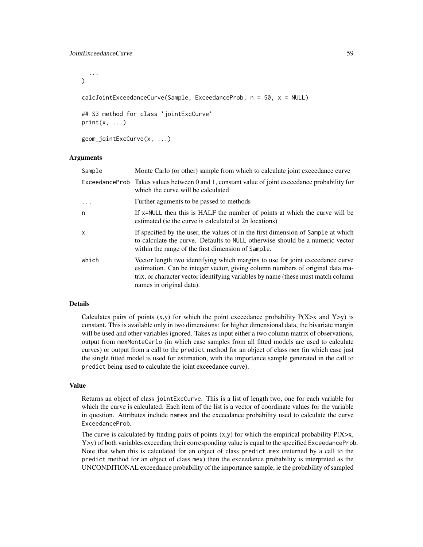...  $\lambda$ calcJointExceedanceCurve(Sample, ExceedanceProb, n = 50, x = NULL) ## S3 method for class 'jointExcCurve'

 $print(x, \ldots)$ 

geom\_jointExcCurve(x, ...)

#### Arguments

| Sample            | Monte Carlo (or other) sample from which to calculate joint exceedance curve                                                                                                                                                                                                   |
|-------------------|--------------------------------------------------------------------------------------------------------------------------------------------------------------------------------------------------------------------------------------------------------------------------------|
|                   | Exceedance Prob Takes values between 0 and 1, constant value of joint exceedance probability for<br>which the curve will be calculated                                                                                                                                         |
| $\cdot\cdot\cdot$ | Further aguments to be passed to methods                                                                                                                                                                                                                                       |
| n                 | If x=NULL then this is HALF the number of points at which the curve will be<br>estimated (ie the curve is calculated at 2n locations)                                                                                                                                          |
| X                 | If specified by the user, the values of in the first dimension of Sample at which<br>to calculate the curve. Defaults to NULL otherwise should be a numeric vector<br>within the range of the first dimension of Sample.                                                       |
| which             | Vector length two identifying which margins to use for joint exceedance curve<br>estimation. Can be integer vector, giving column numbers of original data ma-<br>trix, or character vector identifying variables by name (these must match column<br>names in original data). |

#### Details

Calculates pairs of points  $(x,y)$  for which the point exceedance probability  $P(X>x)$  and  $Y>y$ ) is constant. This is available only in two dimensions: for higher dimensional data, the bivariate margin will be used and other variables ignored. Takes as input either a two column matrix of observations, output from mexMonteCarlo (in which case samples from all fitted models are used to calculate curves) or output from a call to the predict method for an object of class mex (in which case just the single fitted model is used for estimation, with the importance sample generated in the call to predict being used to calculate the joint exceedance curve).

#### Value

Returns an object of class jointExcCurve. This is a list of length two, one for each variable for which the curve is calculated. Each item of the list is a vector of coordinate values for the variable in question. Attributes include names and the exceedance probability used to calculate the curve ExceedanceProb.

The curve is calculated by finding pairs of points  $(x,y)$  for which the empirical probability  $P(X>x,$  $Y>y$ ) of both variables exceeding their corresponding value is equal to the specified ExceedanceProb. Note that when this is calculated for an object of class predict.mex (returned by a call to the predict method for an object of class mex) then the exceedance probability is interpreted as the UNCONDITIONAL exceedance probability of the importance sample, ie the probability of sampled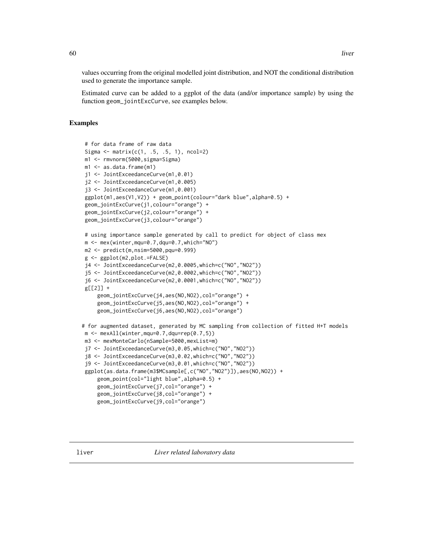values occurring from the original modelled joint distribution, and NOT the conditional distribution used to generate the importance sample.

Estimated curve can be added to a ggplot of the data (and/or importance sample) by using the function geom\_jointExcCurve, see examples below.

## Examples

```
# for data frame of raw data
Sigma \leq matrix(c(1, .5, .5, 1), ncol=2)
m1 <- rmvnorm(5000,sigma=Sigma)
m1 <- as.data.frame(m1)
j1 <- JointExceedanceCurve(m1,0.01)
j2 <- JointExceedanceCurve(m1,0.005)
j3 <- JointExceedanceCurve(m1,0.001)
ggplot(m1,aes(V1,V2)) + geom_point(colour="dark blue",alpha=0.5) +
geom_jointExcCurve(j1,colour="orange") +
geom_jointExcCurve(j2,colour="orange") +
geom_jointExcCurve(j3,colour="orange")
# using importance sample generated by call to predict for object of class mex
m <- mex(winter,mqu=0.7,dqu=0.7,which="NO")
m2 <- predict(m,nsim=5000,pqu=0.999)
g <- ggplot(m2,plot.=FALSE)
j4 <- JointExceedanceCurve(m2,0.0005,which=c("NO","NO2"))
j5 <- JointExceedanceCurve(m2,0.0002,which=c("NO","NO2"))
j6 <- JointExceedanceCurve(m2,0.0001,which=c("NO","NO2"))
g[[2]] +geom_jointExcCurve(j4,aes(NO,NO2),col="orange") +
     geom_jointExcCurve(j5,aes(NO,NO2),col="orange") +
    geom_jointExcCurve(j6,aes(NO,NO2),col="orange")
# for augmented dataset, generated by MC sampling from collection of fitted H+T models
m \le - mexAll(winter, mqu=0.7, dqu=rep(0.7,5))
m3 <- mexMonteCarlo(nSample=5000,mexList=m)
j7 <- JointExceedanceCurve(m3,0.05,which=c("NO","NO2"))
j8 <- JointExceedanceCurve(m3,0.02,which=c("NO","NO2"))
j9 <- JointExceedanceCurve(m3,0.01,which=c("NO","NO2"))
ggplot(as.data.frame(m3$MCsample[,c("NO","NO2")]),aes(NO,NO2)) +
     geom_point(col="light blue",alpha=0.5) +
     geom_jointExcCurve(j7,col="orange") +
    geom_jointExcCurve(j8,col="orange") +
     geom_jointExcCurve(j9,col="orange")
```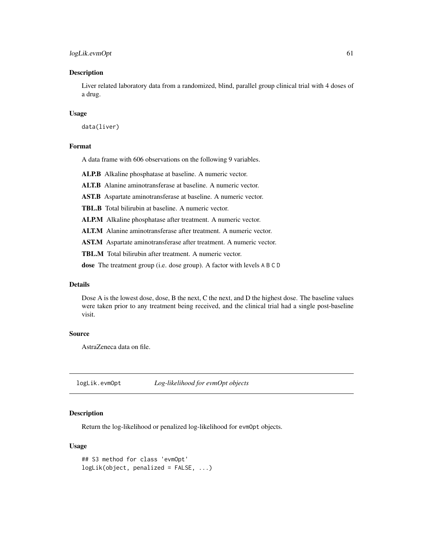## logLik.evmOpt 61

#### Description

Liver related laboratory data from a randomized, blind, parallel group clinical trial with 4 doses of a drug.

#### Usage

data(liver)

#### Format

A data frame with 606 observations on the following 9 variables.

ALP.B Alkaline phosphatase at baseline. A numeric vector.

ALT.B Alanine aminotransferase at baseline. A numeric vector.

AST.B Aspartate aminotransferase at baseline. A numeric vector.

TBL.B Total bilirubin at baseline. A numeric vector.

ALP.M Alkaline phosphatase after treatment. A numeric vector.

ALT.M Alanine aminotransferase after treatment. A numeric vector.

AST.M Aspartate aminotransferase after treatment. A numeric vector.

TBL.M Total bilirubin after treatment. A numeric vector.

dose The treatment group (i.e. dose group). A factor with levels A B C D

## Details

Dose A is the lowest dose, dose, B the next, C the next, and D the highest dose. The baseline values were taken prior to any treatment being received, and the clinical trial had a single post-baseline visit.

#### Source

AstraZeneca data on file.

logLik.evmOpt *Log-likelihood for evmOpt objects*

#### Description

Return the log-likelihood or penalized log-likelihood for evmOpt objects.

```
## S3 method for class 'evmOpt'
logLik(object, penalized = FALSE, ...)
```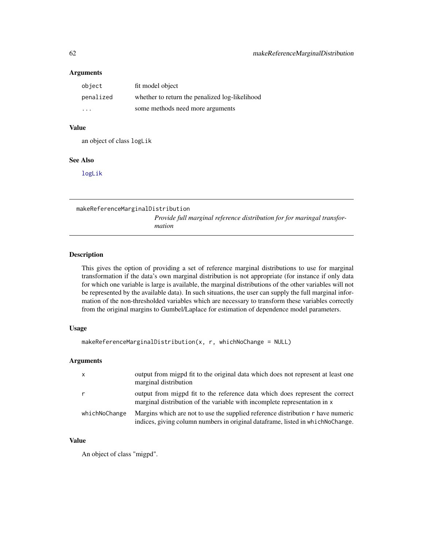#### Arguments

| object    | fit model object                               |
|-----------|------------------------------------------------|
| penalized | whether to return the penalized log-likelihood |
| .         | some methods need more arguments               |

## Value

an object of class logLik

## See Also

[logLik](#page-0-0)

makeReferenceMarginalDistribution

*Provide full marginal reference distribution for for maringal transformation*

## Description

This gives the option of providing a set of reference marginal distributions to use for marginal transformation if the data's own marginal distribution is not appropriate (for instance if only data for which one variable is large is available, the marginal distributions of the other variables will not be represented by the available data). In such situations, the user can supply the full marginal information of the non-thresholded variables which are necessary to transform these variables correctly from the original margins to Gumbel/Laplace for estimation of dependence model parameters.

#### Usage

```
makeReferenceMarginalDistribution(x, r, whichNoChange = NULL)
```
## Arguments

|               | output from migpd fit to the original data which does not represent at least one<br>marginal distribution                                                           |
|---------------|---------------------------------------------------------------------------------------------------------------------------------------------------------------------|
|               | output from migpd fit to the reference data which does represent the correct<br>marginal distribution of the variable with incomplete representation in x           |
| whichNoChange | Margins which are not to use the supplied reference distribution r have numeric<br>indices, giving column numbers in original data frame, listed in which NoChange. |

## Value

An object of class "migpd".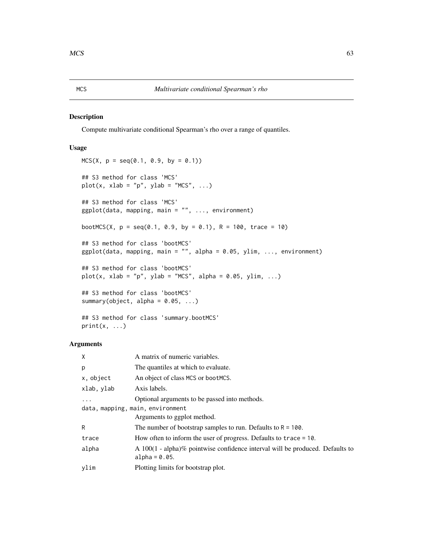#### MCS *Multivariate conditional Spearman's rho*

#### Description

Compute multivariate conditional Spearman's rho over a range of quantiles.

## Usage

```
MCS(X, p = seq(0.1, 0.9, by = 0.1))## S3 method for class 'MCS'
plot(x, xlab = "p", ylab = "MCS", \ldots)
## S3 method for class 'MCS'
ggplot(data, mapping, main = "", ..., environment)bootMCS(X, p = seq(0.1, 0.9, by = 0.1), R = 100, trace = 10)
## S3 method for class 'bootMCS'
ggplot(data, mapping, main = "", alpha = 0.05, ylim, ..., environment)## S3 method for class 'bootMCS'
plot(x, xlab = "p", ylab = "MCS", alpha = 0.05, ylim, ...)## S3 method for class 'bootMCS'
summary(object, alpha = 0.05, ...)
```

```
## S3 method for class 'summary.bootMCS'
print(x, \ldots)
```

| X                                | A matrix of numeric variables.                                                                       |  |
|----------------------------------|------------------------------------------------------------------------------------------------------|--|
| p                                | The quantiles at which to evaluate.                                                                  |  |
| x, object                        | An object of class MCS or bootMCS.                                                                   |  |
| xlab, ylab                       | Axis labels.                                                                                         |  |
|                                  | Optional arguments to be passed into methods.                                                        |  |
| data, mapping, main, environment |                                                                                                      |  |
|                                  | Arguments to ggplot method.                                                                          |  |
| R                                | The number of bootstrap samples to run. Defaults to $R = 100$ .                                      |  |
| trace                            | How often to inform the user of progress. Defaults to trace $= 10$ .                                 |  |
| alpha                            | A $100(1 - alpha)\%$ pointwise confidence interval will be produced. Defaults to<br>$alpha = 0.05$ . |  |
| ylim                             | Plotting limits for bootstrap plot.                                                                  |  |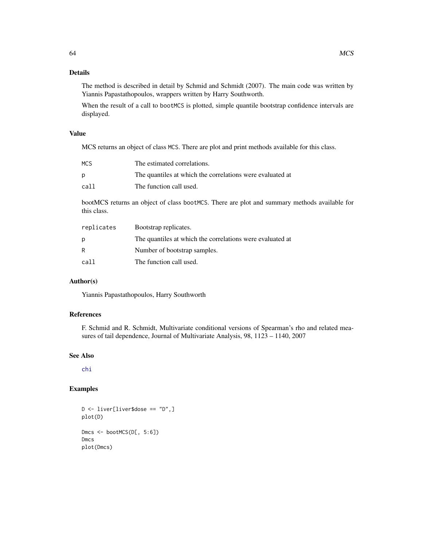## Details

The method is described in detail by Schmid and Schmidt (2007). The main code was written by Yiannis Papastathopoulos, wrappers written by Harry Southworth.

When the result of a call to bootMCS is plotted, simple quantile bootstrap confidence intervals are displayed.

## Value

MCS returns an object of class MCS. There are plot and print methods available for this class.

| <b>MCS</b> | The estimated correlations.                               |
|------------|-----------------------------------------------------------|
| p          | The quantiles at which the correlations were evaluated at |
| call       | The function call used.                                   |

bootMCS returns an object of class bootMCS. There are plot and summary methods available for this class.

| replicates | Bootstrap replicates.                                     |
|------------|-----------------------------------------------------------|
| D          | The quantiles at which the correlations were evaluated at |
| R          | Number of bootstrap samples.                              |
| call       | The function call used.                                   |

## Author(s)

Yiannis Papastathopoulos, Harry Southworth

## References

F. Schmid and R. Schmidt, Multivariate conditional versions of Spearman's rho and related measures of tail dependence, Journal of Multivariate Analysis, 98, 1123 – 1140, 2007

#### See Also

[chi](#page-11-0)

#### Examples

```
D <- liver[liver$dose == "D",]
plot(D)
Dmcs <- bootMCS(D[, 5:6])
Dmcs
plot(Dmcs)
```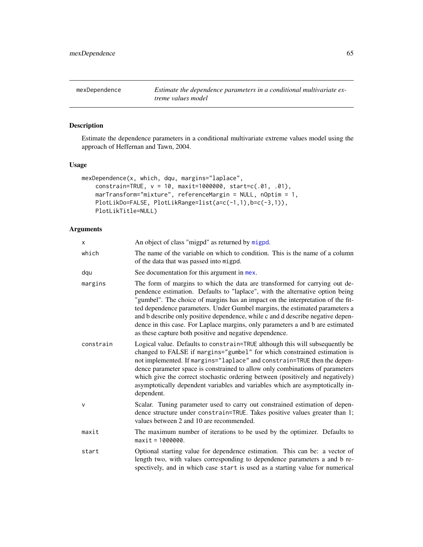<span id="page-64-0"></span>

## Description

Estimate the dependence parameters in a conditional multivariate extreme values model using the approach of Heffernan and Tawn, 2004.

#### Usage

```
mexDependence(x, which, dqu, margins="laplace",
   constrain=TRUE, v = 10, maxit=1000000, start=c(.01, .01),
   marTransform="mixture", referenceMargin = NULL, nOptim = 1,
   PlotLikDo=FALSE, PlotLikRange=list(a=c(-1,1),b=c(-3,1)),
   PlotLikTitle=NULL)
```

| X         | An object of class "migpd" as returned by migpd.                                                                                                                                                                                                                                                                                                                                                                                                                                                                                                              |
|-----------|---------------------------------------------------------------------------------------------------------------------------------------------------------------------------------------------------------------------------------------------------------------------------------------------------------------------------------------------------------------------------------------------------------------------------------------------------------------------------------------------------------------------------------------------------------------|
| which     | The name of the variable on which to condition. This is the name of a column<br>of the data that was passed into migpd.                                                                                                                                                                                                                                                                                                                                                                                                                                       |
| dqu       | See documentation for this argument in mex.                                                                                                                                                                                                                                                                                                                                                                                                                                                                                                                   |
| margins   | The form of margins to which the data are transformed for carrying out de-<br>pendence estimation. Defaults to "laplace", with the alternative option being<br>"gumbel". The choice of margins has an impact on the interpretation of the fit-<br>ted dependence parameters. Under Gumbel margins, the estimated parameters a<br>and b describe only positive dependence, while c and d describe negative depen-<br>dence in this case. For Laplace margins, only parameters a and b are estimated<br>as these capture both positive and negative dependence. |
| constrain | Logical value. Defaults to constrain=TRUE although this will subsequently be<br>changed to FALSE if margins="gumbel" for which constrained estimation is<br>not implemented. If margins="laplace" and constrain=TRUE then the depen-<br>dence parameter space is constrained to allow only combinations of parameters<br>which give the correct stochastic ordering between (positively and negatively)<br>asymptotically dependent variables and variables which are asymptotically in-<br>dependent.                                                        |
| V         | Scalar. Tuning parameter used to carry out constrained estimation of depen-<br>dence structure under constrain=TRUE. Takes positive values greater than 1;<br>values between 2 and 10 are recommended.                                                                                                                                                                                                                                                                                                                                                        |
| maxit     | The maximum number of iterations to be used by the optimizer. Defaults to<br>$maxit = 1000000$ .                                                                                                                                                                                                                                                                                                                                                                                                                                                              |
| start     | Optional starting value for dependence estimation. This can be: a vector of<br>length two, with values corresponding to dependence parameters a and b re-<br>spectively, and in which case start is used as a starting value for numerical                                                                                                                                                                                                                                                                                                                    |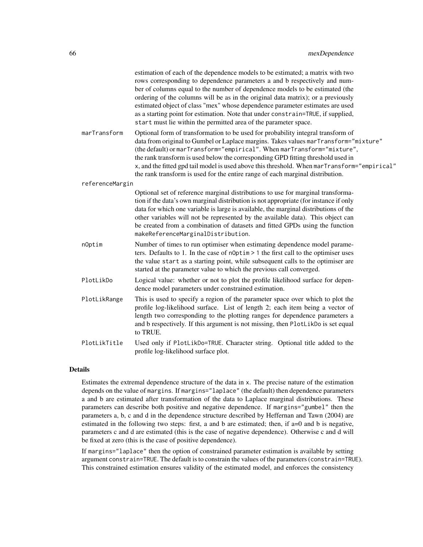|                 | estimation of each of the dependence models to be estimated; a matrix with two<br>rows corresponding to dependence parameters a and b respectively and num-<br>ber of columns equal to the number of dependence models to be estimated (the<br>ordering of the columns will be as in the original data matrix); or a previously<br>estimated object of class "mex" whose dependence parameter estimates are used<br>as a starting point for estimation. Note that under constrain=TRUE, if supplied,<br>start must lie within the permitted area of the parameter space. |
|-----------------|--------------------------------------------------------------------------------------------------------------------------------------------------------------------------------------------------------------------------------------------------------------------------------------------------------------------------------------------------------------------------------------------------------------------------------------------------------------------------------------------------------------------------------------------------------------------------|
| marTransform    | Optional form of transformation to be used for probability integral transform of<br>data from original to Gumbel or Laplace margins. Takes values marTransform="mixture"<br>(the default) or marTransform="empirical". When marTransform="mixture",<br>the rank transform is used below the corresponding GPD fitting threshold used in<br>x, and the fitted gpd tail model is used above this threshold. When marTransform="empirical"<br>the rank transform is used for the entire range of each marginal distribution.                                                |
| referenceMargin |                                                                                                                                                                                                                                                                                                                                                                                                                                                                                                                                                                          |
|                 | Optional set of reference marginal distributions to use for marginal transforma-<br>tion if the data's own marginal distribution is not appropriate (for instance if only<br>data for which one variable is large is available, the marginal distributions of the<br>other variables will not be represented by the available data). This object can<br>be created from a combination of datasets and fitted GPDs using the function<br>makeReferenceMarginalDistribution.                                                                                               |
| nOptim          | Number of times to run optimiser when estimating dependence model parame-<br>ters. Defaults to 1. In the case of n0ptim > 1 the first call to the optimiser uses<br>the value start as a starting point, while subsequent calls to the optimiser are<br>started at the parameter value to which the previous call converged.                                                                                                                                                                                                                                             |
| PlotLikDo       | Logical value: whether or not to plot the profile likelihood surface for depen-<br>dence model parameters under constrained estimation.                                                                                                                                                                                                                                                                                                                                                                                                                                  |
| PlotLikRange    | This is used to specify a region of the parameter space over which to plot the<br>profile log-likelihood surface. List of length 2; each item being a vector of<br>length two corresponding to the plotting ranges for dependence parameters a<br>and b respectively. If this argument is not missing, then PlotLikDo is set equal<br>to TRUE.                                                                                                                                                                                                                           |
| PlotLikTitle    | Used only if PlotLikDo=TRUE. Character string. Optional title added to the<br>profile log-likelihood surface plot.                                                                                                                                                                                                                                                                                                                                                                                                                                                       |

## Details

Estimates the extremal dependence structure of the data in x. The precise nature of the estimation depends on the value of margins. If margins="laplace" (the default) then dependence parameters a and b are estimated after transformation of the data to Laplace marginal distributions. These parameters can describe both positive and negative dependence. If margins="gumbel" then the parameters a, b, c and d in the dependence structure described by Heffernan and Tawn (2004) are estimated in the following two steps: first, a and b are estimated; then, if a=0 and b is negative, parameters c and d are estimated (this is the case of negative dependence). Otherwise c and d will be fixed at zero (this is the case of positive dependence).

If margins="laplace" then the option of constrained parameter estimation is available by setting argument constrain=TRUE. The default is to constrain the values of the parameters (constrain=TRUE). This constrained estimation ensures validity of the estimated model, and enforces the consistency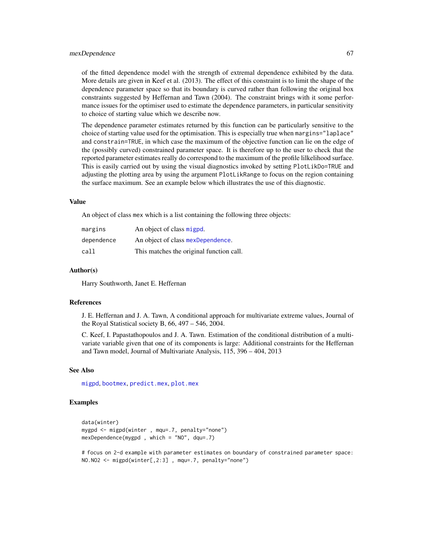#### mexDependence 67

of the fitted dependence model with the strength of extremal dependence exhibited by the data. More details are given in Keef et al. (2013). The effect of this constraint is to limit the shape of the dependence parameter space so that its boundary is curved rather than following the original box constraints suggested by Heffernan and Tawn (2004). The constraint brings with it some performance issues for the optimiser used to estimate the dependence parameters, in particular sensitivity to choice of starting value which we describe now.

The dependence parameter estimates returned by this function can be particularly sensitive to the choice of starting value used for the optimisation. This is especially true when margins="laplace" and constrain=TRUE, in which case the maximum of the objective function can lie on the edge of the (possibly curved) constrained parameter space. It is therefore up to the user to check that the reported parameter estimates really do correspond to the maximum of the profile lilkelihood surface. This is easily carried out by using the visual diagnostics invoked by setting PlotLikDo=TRUE and adjusting the plotting area by using the argument PlotLikRange to focus on the region containing the surface maximum. See an example below which illustrates the use of this diagnostic.

#### Value

An object of class mex which is a list containing the following three objects:

| margins    | An object of class migpd.                |
|------------|------------------------------------------|
| dependence | An object of class mexDependence.        |
| call       | This matches the original function call. |

#### Author(s)

Harry Southworth, Janet E. Heffernan

#### References

J. E. Heffernan and J. A. Tawn, A conditional approach for multivariate extreme values, Journal of the Royal Statistical society B,  $66$ ,  $497 - 546$ ,  $2004$ .

C. Keef, I. Papastathopoulos and J. A. Tawn. Estimation of the conditional distribution of a multivariate variable given that one of its components is large: Additional constraints for the Heffernan and Tawn model, Journal of Multivariate Analysis, 115, 396 – 404, 2013

#### See Also

[migpd](#page-50-0), [bootmex](#page-9-0), [predict.mex](#page-44-0), [plot.mex](#page-44-0)

#### Examples

```
data(winter)
mygpd <- migpd(winter , mqu=.7, penalty="none")
mexDependence(mygpd , which = "NO", dqu=.7)
```
# focus on 2-d example with parameter estimates on boundary of constrained parameter space: NO.NO2 <- migpd(winter[,2:3] , mqu=.7, penalty="none")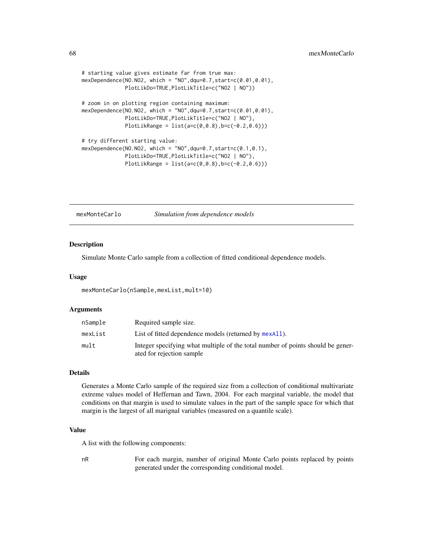```
# starting value gives estimate far from true max:
mexDependence (NO.NO2, which = "NO", dqu=0.7, start=c(0.01, 0.01),PlotLikDo=TRUE,PlotLikTitle=c("NO2 | NO"))
# zoom in on plotting region containing maximum:
mexDependence(NO.NO2, which = "NO",dqu=0.7,start=c(0.01,0.01),
              PlotLikDo=TRUE,PlotLikTitle=c("NO2 | NO"),
              PlotLikRange = list(a=c(0, 0.8), b=c(-0.2, 0.6)))# try different starting value:
mexDependence(NO.NO2, which = "NO",dqu=0.7,start=c(0.1,0.1),
              PlotLikDo=TRUE,PlotLikTitle=c("NO2 | NO"),
              PlotLikRange = list(a=c(0,0.8), b=c(-0.2,0.6)))
```
<span id="page-67-0"></span>mexMonteCarlo *Simulation from dependence models*

#### **Description**

Simulate Monte Carlo sample from a collection of fitted conditional dependence models.

#### Usage

```
mexMonteCarlo(nSample,mexList,mult=10)
```
#### Arguments

| nSample | Required sample size.                                                                                        |
|---------|--------------------------------------------------------------------------------------------------------------|
| mexList | List of fitted dependence models (returned by mexAll).                                                       |
| mult    | Integer specifying what multiple of the total number of points should be gener-<br>ated for rejection sample |

## Details

Generates a Monte Carlo sample of the required size from a collection of conditional multivariate extreme values model of Heffernan and Tawn, 2004. For each marginal variable, the model that conditions on that margin is used to simulate values in the part of the sample space for which that margin is the largest of all marignal variables (measured on a quantile scale).

#### Value

A list with the following components:

nR For each margin, number of original Monte Carlo points replaced by points generated under the corresponding conditional model.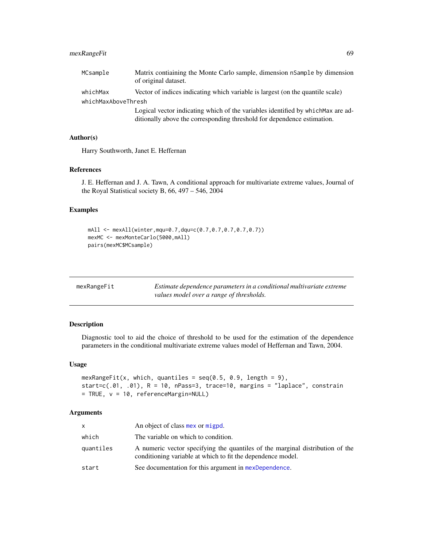## mexRangeFit 69

| MCsample            | Matrix contiaining the Monte Carlo sample, dimension nSample by dimension<br>of original dataset.                                                           |  |
|---------------------|-------------------------------------------------------------------------------------------------------------------------------------------------------------|--|
| whichMax            | Vector of indices indicating which variable is largest (on the quantile scale)                                                                              |  |
| whichMaxAboveThresh |                                                                                                                                                             |  |
|                     | Logical vector indicating which of the variables identified by which Max are ad-<br>ditionally above the corresponding threshold for dependence estimation. |  |

## Author(s)

Harry Southworth, Janet E. Heffernan

#### References

J. E. Heffernan and J. A. Tawn, A conditional approach for multivariate extreme values, Journal of the Royal Statistical society B, 66, 497 – 546, 2004

## Examples

```
mAll <- mexAll(winter,mqu=0.7,dqu=c(0.7,0.7,0.7,0.7,0.7))
mexMC <- mexMonteCarlo(5000,mAll)
pairs(mexMC$MCsample)
```

| mexRangeFit | Estimate dependence parameters in a conditional multivariate extreme |
|-------------|----------------------------------------------------------------------|
|             | values model over a range of thresholds.                             |

## Description

Diagnostic tool to aid the choice of threshold to be used for the estimation of the dependence parameters in the conditional multivariate extreme values model of Heffernan and Tawn, 2004.

### Usage

```
mexRangeFit(x, which, quantiles = seq(0.5, 0.9, length = 9),start=c(.01, .01), R = 10, nPass=3, trace=10, margins = "laplace", constrain
= TRUE, v = 10, referenceMargin=NULL)
```

| X         | An object of class mex or migpd.                                                                                                             |
|-----------|----------------------------------------------------------------------------------------------------------------------------------------------|
| which     | The variable on which to condition.                                                                                                          |
| quantiles | A numeric vector specifying the quantiles of the marginal distribution of the<br>conditioning variable at which to fit the dependence model. |
| start     | See documentation for this argument in mexDependence.                                                                                        |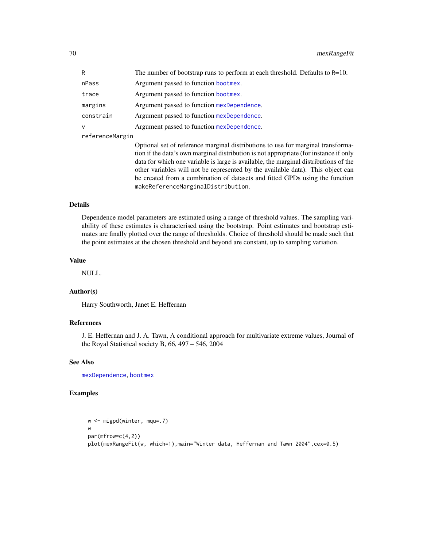| R               | The number of bootstrap runs to perform at each threshold. Defaults to $R=10$ .                                                                                                                                                                                                                                                                                                                                                                                            |
|-----------------|----------------------------------------------------------------------------------------------------------------------------------------------------------------------------------------------------------------------------------------------------------------------------------------------------------------------------------------------------------------------------------------------------------------------------------------------------------------------------|
| nPass           | Argument passed to function bootmex.                                                                                                                                                                                                                                                                                                                                                                                                                                       |
| trace           | Argument passed to function bootmex.                                                                                                                                                                                                                                                                                                                                                                                                                                       |
| margins         | Argument passed to function mexDependence.                                                                                                                                                                                                                                                                                                                                                                                                                                 |
| constrain       | Argument passed to function mexDependence.                                                                                                                                                                                                                                                                                                                                                                                                                                 |
| $\mathsf{V}$    | Argument passed to function mexDependence.                                                                                                                                                                                                                                                                                                                                                                                                                                 |
| referenceMargin |                                                                                                                                                                                                                                                                                                                                                                                                                                                                            |
|                 | Optional set of reference marginal distributions to use for marginal transforma-<br>tion if the data's own marginal distribution is not appropriate (for instance if only<br>data for which one variable is large is available, the marginal distributions of the<br>other variables will not be represented by the available data). This object can<br>be created from a combination of datasets and fitted GPDs using the function<br>makeReferenceMarginalDistribution. |

#### Details

Dependence model parameters are estimated using a range of threshold values. The sampling variability of these estimates is characterised using the bootstrap. Point estimates and bootstrap estimates are finally plotted over the range of thresholds. Choice of threshold should be made such that the point estimates at the chosen threshold and beyond are constant, up to sampling variation.

#### Value

NULL.

#### Author(s)

Harry Southworth, Janet E. Heffernan

## References

J. E. Heffernan and J. A. Tawn, A conditional approach for multivariate extreme values, Journal of the Royal Statistical society B, 66, 497 – 546, 2004

#### See Also

[mexDependence](#page-64-0), [bootmex](#page-9-0)

#### Examples

```
w <- migpd(winter, mqu=.7)
w
par(mfrow=c(4,2))
plot(mexRangeFit(w, which=1),main="Winter data, Heffernan and Tawn 2004",cex=0.5)
```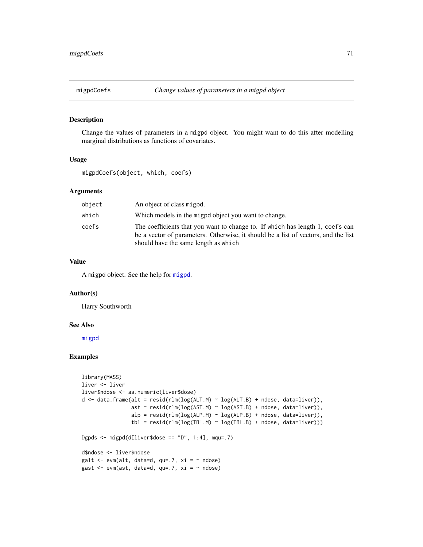#### Description

Change the values of parameters in a migpd object. You might want to do this after modelling marginal distributions as functions of covariates.

## Usage

migpdCoefs(object, which, coefs)

#### Arguments

| object | An object of class migpd.                                                                                                                                                                                   |
|--------|-------------------------------------------------------------------------------------------------------------------------------------------------------------------------------------------------------------|
| which  | Which models in the migpd object you want to change.                                                                                                                                                        |
| coefs  | The coefficients that you want to change to. If which has length 1, coefs can<br>be a vector of parameters. Otherwise, it should be a list of vectors, and the list<br>should have the same length as which |

## Value

A migpd object. See the help for [migpd](#page-50-0).

#### Author(s)

Harry Southworth

#### See Also

[migpd](#page-50-0)

## Examples

```
library(MASS)
liver <- liver
liver$ndose <- as.numeric(liver$dose)
d <- data.frame(alt = resid(rlm(log(ALT.M) ~ log(ALT.B) + ndose, data=liver)),
                ast = result(rlm(log(AST.M) ~ log(AST.B) + ndose, data=live)),alp = resid(rlm(log(ALP.M) ~ log(ALP.B) + ndose, data=liver)),tbl = resid(rlm(log(TBL.M) ~ log(TBL.B) + ndose, data=live)))Dgpds <- migpd(d[liver$dose == "D", 1:4], mqu=.7)
d$ndose <- liver$ndose
galt \leq evm(alt, data=d, qu=.7, xi = \sim ndose)
gast \leq evm(ast, data=d, qu=.7, xi = \sim ndose)
```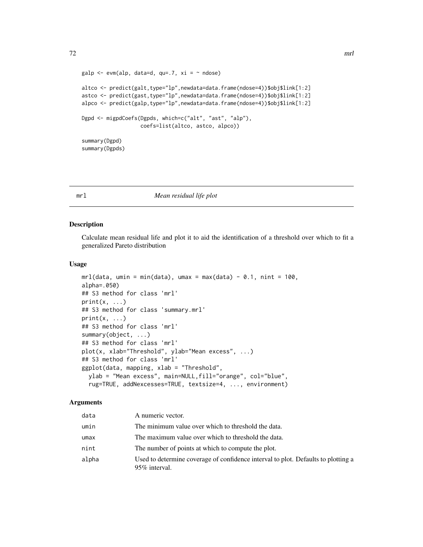```
galp <- evm(alp, data=d, qu=.7, xi = \sim ndose)
altco <- predict(galt,type="lp",newdata=data.frame(ndose=4))$obj$link[1:2]
astco <- predict(gast,type="lp",newdata=data.frame(ndose=4))$obj$link[1:2]
alpco <- predict(galp,type="lp",newdata=data.frame(ndose=4))$obj$link[1:2]
Dgpd <- migpdCoefs(Dgpds, which=c("alt", "ast", "alp"),
                   coefs=list(altco, astco, alpco))
summary(Dgpd)
summary(Dgpds)
```
#### <span id="page-71-0"></span>mrl *Mean residual life plot*

#### Description

Calculate mean residual life and plot it to aid the identification of a threshold over which to fit a generalized Pareto distribution

#### Usage

```
mrl(data, umin = min(data), umax = max(data) - 0.1, nint = 100,alpha=.050)
## S3 method for class 'mrl'
print(x, \ldots)## S3 method for class 'summary.mrl'
print(x, \ldots)## S3 method for class 'mrl'
summary(object, ...)
## S3 method for class 'mrl'
plot(x, xlab="Threshold", ylab="Mean excess", ...)
## S3 method for class 'mrl'
ggplot(data, mapping, xlab = "Threshold",
 ylab = "Mean excess", main=NULL,fill="orange", col="blue",
  rug=TRUE, addNexcesses=TRUE, textsize=4, ..., environment)
```

| data  | A numeric vector.                                                                                  |
|-------|----------------------------------------------------------------------------------------------------|
| umin  | The minimum value over which to threshold the data.                                                |
| umax  | The maximum value over which to threshold the data.                                                |
| nint  | The number of points at which to compute the plot.                                                 |
| alpha | Used to determine coverage of confidence interval to plot. Defaults to plotting a<br>95% interval. |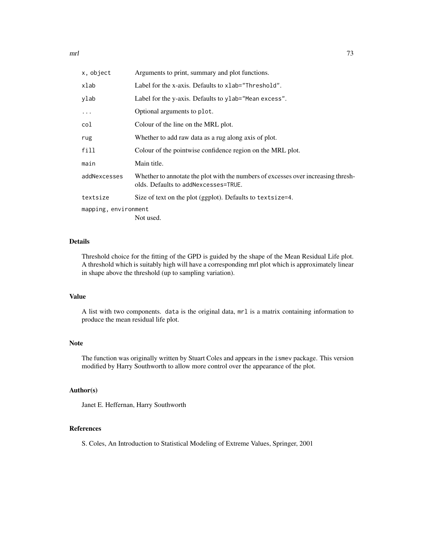$mrl$   $\hspace{1.5cm}$  73

| x, object            | Arguments to print, summary and plot functions.                                                                           |
|----------------------|---------------------------------------------------------------------------------------------------------------------------|
| xlab                 | Label for the x-axis. Defaults to xlab="Threshold".                                                                       |
| ylab                 | Label for the y-axis. Defaults to ylab="Mean excess".                                                                     |
| $\ddots$             | Optional arguments to plot.                                                                                               |
| col                  | Colour of the line on the MRL plot.                                                                                       |
| rug                  | Whether to add raw data as a rug along axis of plot.                                                                      |
| fill                 | Colour of the pointwise confidence region on the MRL plot.                                                                |
| main                 | Main title.                                                                                                               |
| addNexcesses         | Whether to annotate the plot with the numbers of excesses over increasing thresh-<br>olds. Defaults to addNexcesses=TRUE. |
| textsize             | Size of text on the plot (ggplot). Defaults to textsize=4.                                                                |
| mapping, environment |                                                                                                                           |
|                      | Not used.                                                                                                                 |

# Details

Threshold choice for the fitting of the GPD is guided by the shape of the Mean Residual Life plot. A threshold which is suitably high will have a corresponding mrl plot which is approximately linear in shape above the threshold (up to sampling variation).

# Value

A list with two components. data is the original data, mrl is a matrix containing information to produce the mean residual life plot.

# Note

The function was originally written by Stuart Coles and appears in the ismev package. This version modified by Harry Southworth to allow more control over the appearance of the plot.

## Author(s)

Janet E. Heffernan, Harry Southworth

# References

S. Coles, An Introduction to Statistical Modeling of Extreme Values, Springer, 2001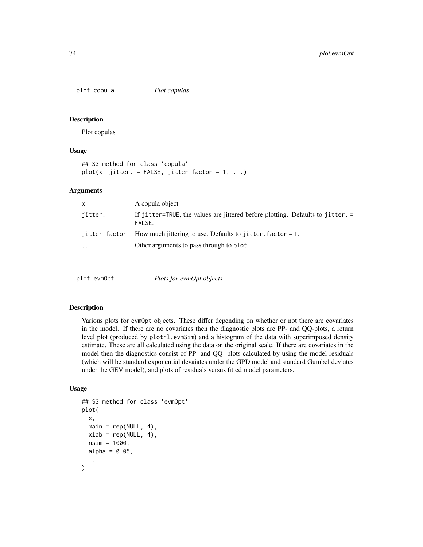<span id="page-73-0"></span>plot.copula *Plot copulas*

# Description

Plot copulas

# Usage

```
## S3 method for class 'copula'
plot(x, jitter. = FALSE, jitter.factor = 1, ...)
```
## Arguments

| $\mathsf{x}$  | A copula object                                                                          |
|---------------|------------------------------------------------------------------------------------------|
| jitter.       | If jitter=TRUE, the values are jittered before plotting. Defaults to jitter. =<br>FALSE. |
| jitter.factor | How much jittering to use. Defaults to jitter. $factor = 1$ .                            |
| $\ddotsc$     | Other arguments to pass through to plot.                                                 |
|               |                                                                                          |

| plot.evmOpt | Plots for evmOpt objects |  |
|-------------|--------------------------|--|
|-------------|--------------------------|--|

## Description

Various plots for evmOpt objects. These differ depending on whether or not there are covariates in the model. If there are no covariates then the diagnostic plots are PP- and QQ-plots, a return level plot (produced by plotrl.evmSim) and a histogram of the data with superimposed density estimate. These are all calculated using the data on the original scale. If there are covariates in the model then the diagnostics consist of PP- and QQ- plots calculated by using the model residuals (which will be standard exponential devaiates under the GPD model and standard Gumbel deviates under the GEV model), and plots of residuals versus fitted model parameters.

```
## S3 method for class 'evmOpt'
plot(
  x,
 main = rep(NULL, 4),xlab = rep(NULL, 4),nsim = 1000,
 alpha = 0.05,
  ...
)
```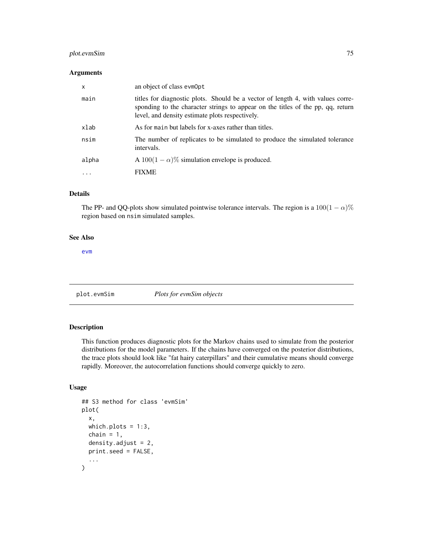# <span id="page-74-0"></span>plot.evmSim 75

## Arguments

| x       | an object of class evmOpt                                                                                                                                                                                             |
|---------|-----------------------------------------------------------------------------------------------------------------------------------------------------------------------------------------------------------------------|
| main    | titles for diagnostic plots. Should be a vector of length 4, with values corre-<br>sponding to the character strings to appear on the titles of the pp, qq, return<br>level, and density estimate plots respectively. |
| xlab    | As for main but labels for x-axes rather than titles.                                                                                                                                                                 |
| nsim    | The number of replicates to be simulated to produce the simulated tolerance<br>intervals.                                                                                                                             |
| alpha   | A $100(1 - \alpha)\%$ simulation envelope is produced.                                                                                                                                                                |
| $\cdot$ | <b>FIXME</b>                                                                                                                                                                                                          |

# Details

The PP- and QQ-plots show simulated pointwise tolerance intervals. The region is a  $100(1 - \alpha)\%$ region based on nsim simulated samples.

# See Also

[evm](#page-24-0)

plot.evmSim *Plots for evmSim objects*

# Description

This function produces diagnostic plots for the Markov chains used to simulate from the posterior distributions for the model parameters. If the chains have converged on the posterior distributions, the trace plots should look like "fat hairy caterpillars" and their cumulative means should converge rapidly. Moreover, the autocorrelation functions should converge quickly to zero.

```
## S3 method for class 'evmSim'
plot(
  x,
  which.plots = 1:3,
  chain = 1,
  density.adjust = 2,
  print.seed = FALSE,
  ...
\mathcal{E}
```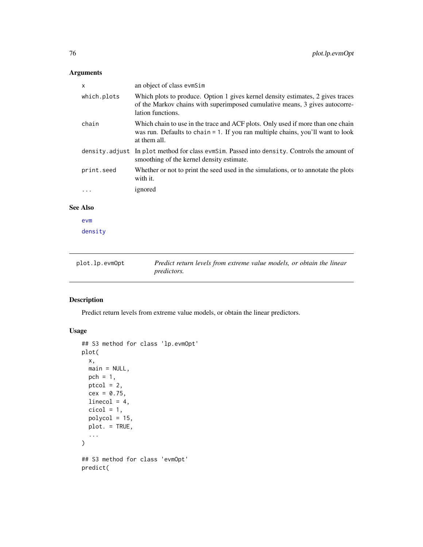<span id="page-75-0"></span>

| X                   | an object of class evmSim                                                                                                                                                             |
|---------------------|---------------------------------------------------------------------------------------------------------------------------------------------------------------------------------------|
| which.plots         | Which plots to produce. Option 1 gives kernel density estimates, 2 gives traces<br>of the Markov chains with superimposed cumulative means, 3 gives autocorre-<br>lation functions.   |
| chain               | Which chain to use in the trace and ACF plots. Only used if more than one chain<br>was run. Defaults to chain $= 1$ . If you ran multiple chains, you'll want to look<br>at them all. |
|                     | density.adjust In plot method for class evm Sim. Passed into density. Controls the amount of<br>smoothing of the kernel density estimate.                                             |
| print.seed          | Whether or not to print the seed used in the simulations, or to annotate the plots<br>with it.                                                                                        |
|                     | ignored                                                                                                                                                                               |
| $\blacktriangle$ 1. |                                                                                                                                                                                       |

# See Also

[evm](#page-24-0)

[density](#page-0-0)

| plot.lp.evmOpt | Predict return levels from extreme value models, or obtain the linear |
|----------------|-----------------------------------------------------------------------|
|                | <i>predictors.</i>                                                    |

# Description

Predict return levels from extreme value models, or obtain the linear predictors.

```
## S3 method for class 'lp.evmOpt'
plot(
  x,
  main = NULL,pch = 1,
  ptcol = 2,
  cex = 0.75,linecol = 4,
  cicol = 1,
  polycol = 15,
  plot. = TRUE,
  ...
\mathcal{L}## S3 method for class 'evmOpt'
predict(
```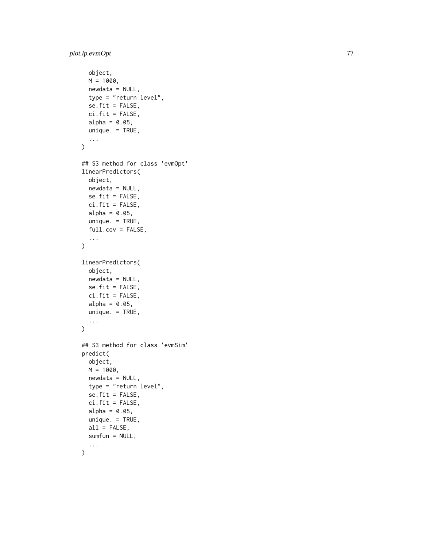```
object,
 M = 1000,newdata = NULL,type = "return level",
  se.fit = FALSE,ci.fit = FALSE,
  alpha = 0.05,
 unique. = TRUE,
  ...
)
## S3 method for class 'evmOpt'
linearPredictors(
 object,
 newdata = NULL,
  se.fit = FALSE,ci.fit = FALSE,
 alpha = 0.05,
 unique. = TRUE,
  full.cov = FALSE,...
\mathcal{L}linearPredictors(
 object,
 newdata = NULL,
  se.fit = FALSE,
 ci.fit = FALSE,
  alpha = 0.05,
 unique. = TRUE,
  ...
)
## S3 method for class 'evmSim'
predict(
 object,
 M = 1000.
 newdata = NULL,
  type = "return level",
  se.fit = FALSE,
 ci.fit = FALSE,
 alpha = 0.05,
 unique. = TRUE,
  all = FALSE,sumfun = NULL,
  ...
```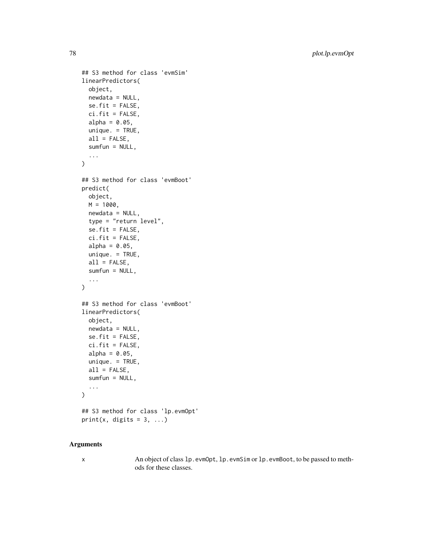```
## S3 method for class 'evmSim'
linearPredictors(
 object,
 newdata = NULL,
  se.fit = FALSE,ci.fit = FALSE,
  alpha = 0.05,
 unique. = TRUE,
  all = FALSE,sumfun = NULL,
  ...
\mathcal{L}## S3 method for class 'evmBoot'
predict(
  object,
 M = 1000,
 newdata = NULL,type = "return level",
  se.fit = FALSE,ci.fit = FALSE,
  alpha = 0.05,
  unique. = TRUE,
  all = FALSE,sumfun = NULL,
  ...
\mathcal{L}## S3 method for class 'evmBoot'
linearPredictors(
  object,
 newdata = NULL,
  se.fit = FALSE,ci.fit = FALSE,alpha = 0.05,
 unique. = TRUE,
  all = FALSE,sumfun = NULL,
  ...
\mathcal{L}## S3 method for class 'lp.evmOpt'
print(x, digits = 3, ...)
```
x An object of class lp.evmOpt, lp.evmSim or lp.evmBoot, to be passed to methods for these classes.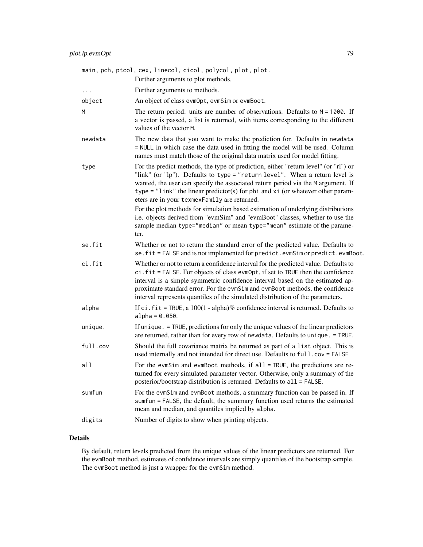|          | main, pch, ptcol, cex, linecol, cicol, polycol, plot, plot.<br>Further arguments to plot methods.                                                                                                                                                                                                                                                                                                                         |
|----------|---------------------------------------------------------------------------------------------------------------------------------------------------------------------------------------------------------------------------------------------------------------------------------------------------------------------------------------------------------------------------------------------------------------------------|
| $\cdots$ | Further arguments to methods.                                                                                                                                                                                                                                                                                                                                                                                             |
| object   | An object of class evmOpt, evmSim or evmBoot.                                                                                                                                                                                                                                                                                                                                                                             |
| Μ        | The return period: units are number of observations. Defaults to $M = 1000$ . If<br>a vector is passed, a list is returned, with items corresponding to the different<br>values of the vector M.                                                                                                                                                                                                                          |
| newdata  | The new data that you want to make the prediction for. Defaults in newdata<br>= NULL in which case the data used in fitting the model will be used. Column<br>names must match those of the original data matrix used for model fitting.                                                                                                                                                                                  |
| type     | For the predict methods, the type of prediction, either "return level" (or "rl") or<br>"link" (or "lp"). Defaults to type = "return level". When a return level is<br>wanted, the user can specify the associated return period via the M argument. If<br>type = "link" the linear predictor(s) for phi and $xi$ (or whatever other param-<br>eters are in your texmexFamily are returned.                                |
|          | For the plot methods for simulation based estimation of underlying distributions<br>i.e. objects derived from "evmSim" and "evmBoot" classes, whether to use the<br>sample median type="median" or mean type="mean" estimate of the parame-<br>ter.                                                                                                                                                                       |
| se.fit   | Whether or not to return the standard error of the predicted value. Defaults to<br>se.fit = FALSE and is not implemented for predict.evmSim or predict.evmBoot.                                                                                                                                                                                                                                                           |
| ci.fit   | Whether or not to return a confidence interval for the predicted value. Defaults to<br>ci.fit = FALSE. For objects of class evmOpt, if set to TRUE then the confidence<br>interval is a simple symmetric confidence interval based on the estimated ap-<br>proximate standard error. For the evmSim and evmBoot methods, the confidence<br>interval represents quantiles of the simulated distribution of the parameters. |
| alpha    | If $ci$ . $fit$ = TRUE, a $100(1 - alpha)\%$ confidence interval is returned. Defaults to<br>$alpha = 0.050$ .                                                                                                                                                                                                                                                                                                            |
| unique.  | If unique. = TRUE, predictions for only the unique values of the linear predictors<br>are returned, rather than for every row of newdata. Defaults to unique. = TRUE.                                                                                                                                                                                                                                                     |
| full.cov | Should the full covariance matrix be returned as part of a list object. This is<br>used internally and not intended for direct use. Defaults to full.cov = FALSE                                                                                                                                                                                                                                                          |
| all      | For the evmSim and evmBoot methods, if all = TRUE, the predictions are re-<br>turned for every simulated parameter vector. Otherwise, only a summary of the<br>posterior/bootstrap distribution is returned. Defaults to all = FALSE.                                                                                                                                                                                     |
| sumfun   | For the evmSim and evmBoot methods, a summary function can be passed in. If<br>sumfun = FALSE, the default, the summary function used returns the estimated<br>mean and median, and quantiles implied by alpha.                                                                                                                                                                                                           |
| digits   | Number of digits to show when printing objects.                                                                                                                                                                                                                                                                                                                                                                           |

# Details

By default, return levels predicted from the unique values of the linear predictors are returned. For the evmBoot method, estimates of confidence intervals are simply quantiles of the bootstrap sample. The evmBoot method is just a wrapper for the evmSim method.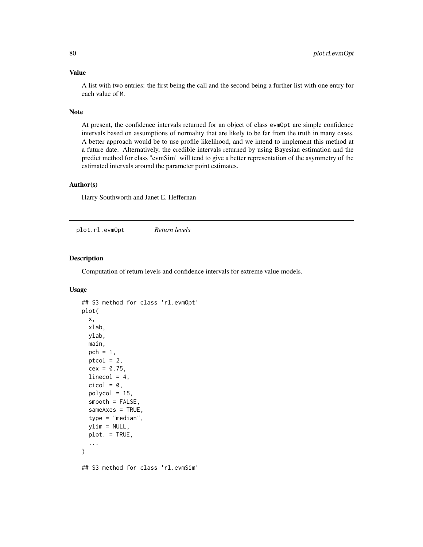# <span id="page-79-0"></span>Value

A list with two entries: the first being the call and the second being a further list with one entry for each value of M.

## Note

At present, the confidence intervals returned for an object of class evmOpt are simple confidence intervals based on assumptions of normality that are likely to be far from the truth in many cases. A better approach would be to use profile likelihood, and we intend to implement this method at a future date. Alternatively, the credible intervals returned by using Bayesian estimation and the predict method for class "evmSim" will tend to give a better representation of the asymmetry of the estimated intervals around the parameter point estimates.

## Author(s)

Harry Southworth and Janet E. Heffernan

plot.rl.evmOpt *Return levels*

## Description

Computation of return levels and confidence intervals for extreme value models.

```
## S3 method for class 'rl.evmOpt'
plot(
  x,
  xlab,
 ylab,
 main,
 pch = 1,
 ptcol = 2,
  cex = 0.75,
  linecol = 4,
  cicol = 0,
  polycol = 15,
  smooth = FALSE,sameAxes = TRUE,
  type = "median",
  ylim = NULL,
 plot. = TRUE,
  ...
)
## S3 method for class 'rl.evmSim'
```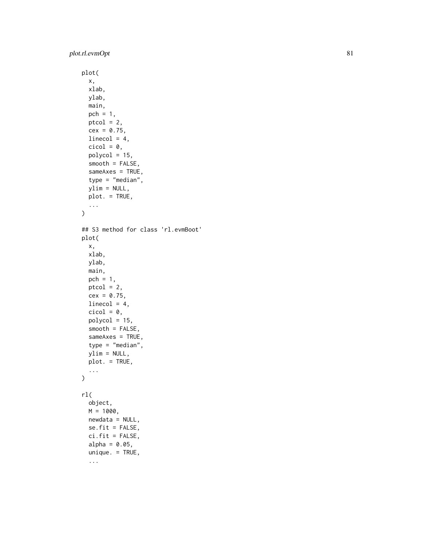```
plot(
  x,
 xlab,
 ylab,
 main,
 pch = 1,
 ptcol = 2,
 cex = 0.75,
 linecol = 4,
  cicol = 0,
 polycol = 15,
  smooth = FALSE,
  sameAxes = TRUE,
  type = "median",
 ylim = NULL,
 plot. = TRUE,
  ...
\mathcal{L}## S3 method for class 'rl.evmBoot'
plot(
 x,
 xlab,
 ylab,
 main,
 pch = 1,
 ptcol = 2,
  cex = 0.75,
 linecol = 4,
 cicol = 0,
  polycol = 15,
  smooth = FALSE,
  sameAxes = TRUE,type = "median",
  ylim = NULL,
 plot. = TRUE,
  ...
\mathcal{L}rl(
  object,
 M = 1000,newdata = NULL,
  se.fit = FALSE,ci.fit = FALSE,alpha = 0.05,
  unique. = TRUE,
  ...
```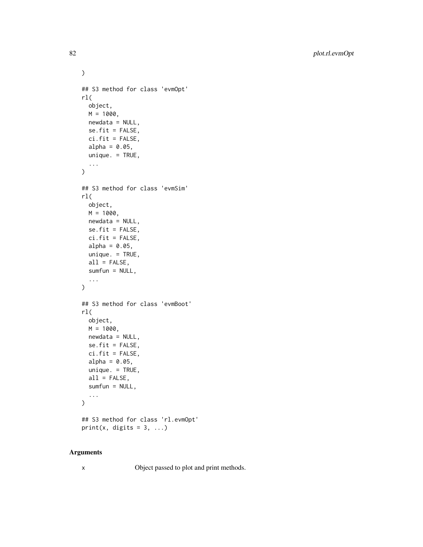```
)
## S3 method for class 'evmOpt'
rl(
 object,
 M = 1000,newdata = NULL,
  se.fit = FALSE,
 ci.fit = FALSE,
 alpha = 0.05,
 unique. = TRUE,
  ...
)
## S3 method for class 'evmSim'
rl(
 object,
 M = 1000,
 newdata = NULL,
  se.fit = FALSE,ci.fit = FALSE,
  alpha = 0.05,
 unique. = TRUE,
  all = FALSE,sumfun = NULL,
  ...
\mathcal{L}## S3 method for class 'evmBoot'
rl(
 object,
 M = 1000,newdata = NULL,
 se.fit = FALSE,ci.fit = FALSE,alpha = 0.05,
 unique. = TRUE,
 all = FALSE,sumfun = NULL,
  ...
\mathcal{L}## S3 method for class 'rl.evmOpt'
print(x, digits = 3, ...)
```
x Object passed to plot and print methods.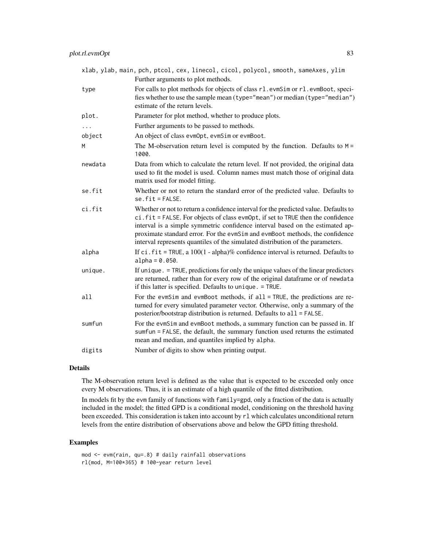|          | xlab, ylab, main, pch, ptcol, cex, linecol, cicol, polycol, smooth, sameAxes, ylim<br>Further arguments to plot methods.                                                                                                                                                                                                                                                                                                  |
|----------|---------------------------------------------------------------------------------------------------------------------------------------------------------------------------------------------------------------------------------------------------------------------------------------------------------------------------------------------------------------------------------------------------------------------------|
| type     | For calls to plot methods for objects of class r1.evmSim or r1.evmBoot, speci-<br>fies whether to use the sample mean (type="mean") or median (type="median")<br>estimate of the return levels.                                                                                                                                                                                                                           |
| plot.    | Parameter for plot method, whether to produce plots.                                                                                                                                                                                                                                                                                                                                                                      |
| $\cdots$ | Further arguments to be passed to methods.                                                                                                                                                                                                                                                                                                                                                                                |
| object   | An object of class evmOpt, evmSim or evmBoot.                                                                                                                                                                                                                                                                                                                                                                             |
| M        | The M-observation return level is computed by the function. Defaults to $M =$<br>1000.                                                                                                                                                                                                                                                                                                                                    |
| newdata  | Data from which to calculate the return level. If not provided, the original data<br>used to fit the model is used. Column names must match those of original data<br>matrix used for model fitting.                                                                                                                                                                                                                      |
| se.fit   | Whether or not to return the standard error of the predicted value. Defaults to<br>$se.fit = FALSE.$                                                                                                                                                                                                                                                                                                                      |
| ci.fit   | Whether or not to return a confidence interval for the predicted value. Defaults to<br>ci.fit = FALSE. For objects of class evmOpt, if set to TRUE then the confidence<br>interval is a simple symmetric confidence interval based on the estimated ap-<br>proximate standard error. For the evmSim and evmBoot methods, the confidence<br>interval represents quantiles of the simulated distribution of the parameters. |
| alpha    | If ci. $fit = TRUE$ , a $100(1 - alpha)\%$ confidence interval is returned. Defaults to<br>$alpha = 0.050$ .                                                                                                                                                                                                                                                                                                              |
| unique.  | If unique . = TRUE, predictions for only the unique values of the linear predictors<br>are returned, rather than for every row of the original dataframe or of newdata<br>if this latter is specified. Defaults to unique. = TRUE.                                                                                                                                                                                        |
| a11      | For the evmSim and evmBoot methods, if $all = TRUE$ , the predictions are re-<br>turned for every simulated parameter vector. Otherwise, only a summary of the<br>posterior/bootstrap distribution is returned. Defaults to all = FALSE.                                                                                                                                                                                  |
| sumfun   | For the evmSim and evmBoot methods, a summary function can be passed in. If<br>sumfun = FALSE, the default, the summary function used returns the estimated<br>mean and median, and quantiles implied by alpha.                                                                                                                                                                                                           |
| digits   | Number of digits to show when printing output.                                                                                                                                                                                                                                                                                                                                                                            |

# Details

The M-observation return level is defined as the value that is expected to be exceeded only once every M observations. Thus, it is an estimate of a high quantile of the fitted distribution.

In models fit by the evm family of functions with family=gpd, only a fraction of the data is actually included in the model; the fitted GPD is a conditional model, conditioning on the threshold having been exceeded. This consideration is taken into account by rl which calculates unconditional return levels from the entire distribution of observations above and below the GPD fitting threshold.

## Examples

mod <- evm(rain, qu=.8) # daily rainfall observations rl(mod, M=100\*365) # 100-year return level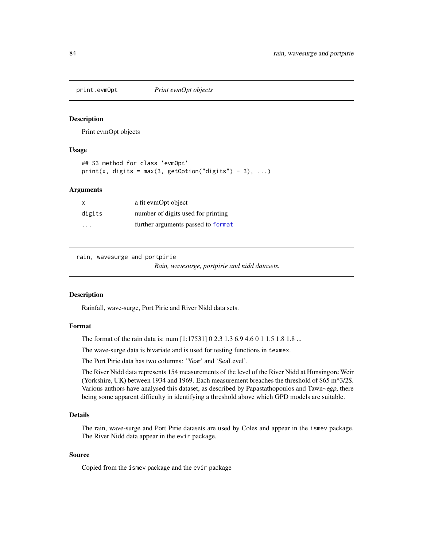<span id="page-83-0"></span>

## Description

Print evmOpt objects

## Usage

```
## S3 method for class 'evmOpt'
print(x, digits = max(3, getOption("digits") - 3), ...)
```
## Arguments

| x      | a fit evmOpt object                |
|--------|------------------------------------|
| digits | number of digits used for printing |
| .      | further arguments passed to format |

rain, wavesurge and portpirie

*Rain, wavesurge, portpirie and nidd datasets.*

#### Description

Rainfall, wave-surge, Port Pirie and River Nidd data sets.

# Format

The format of the rain data is: num [1:17531] 0 2.3 1.3 6.9 4.6 0 1 1.5 1.8 1.8 ...

The wave-surge data is bivariate and is used for testing functions in texmex.

The Port Pirie data has two columns: 'Year' and 'SeaLevel'.

The River Nidd data represents 154 measurements of the level of the River Nidd at Hunsingore Weir (Yorkshire, UK) between 1934 and 1969. Each measurement breaches the threshold of \$65 m^3/2\$. Various authors have analysed this dataset, as described by Papastathopoulos and Tawn~egp, there being some apparent difficulty in identifying a threshold above which GPD models are suitable.

# Details

The rain, wave-surge and Port Pirie datasets are used by Coles and appear in the ismev package. The River Nidd data appear in the evir package.

# Source

Copied from the ismev package and the evir package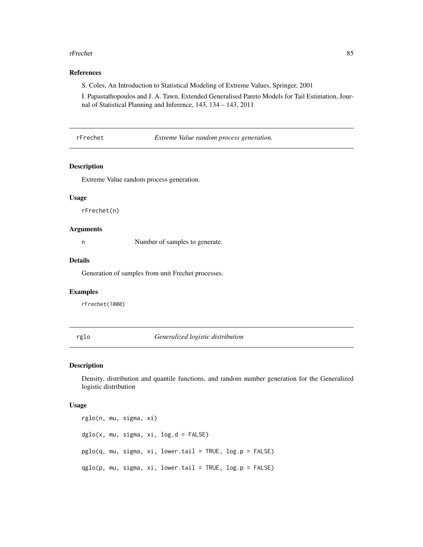#### <span id="page-84-0"></span>rFrechet 85

# References

S. Coles, An Introduction to Statistical Modeling of Extreme Values, Springer, 2001

I. Papastathopoulos and J. A. Tawn, Extended Generalised Pareto Models for Tail Estimation, Journal of Statistical Planning and Inference, 143, 134 – 143, 2011

rFrechet *Extreme Value random process generation.*

# Description

Extreme Value random process generation.

# Usage

rFrechet(n)

#### Arguments

n Number of samples to generate.

#### Details

Generation of samples from unit Frechet processes.

#### Examples

rFrechet(1000)

rglo *Generalized logistic distribution*

## Description

Density, distribution and quantile functions, and random number generation for the Generalized logistic distribution

```
rglo(n, mu, sigma, xi)
dglo(x, mu, sigma, xi, log.d = FALSE)pglo(q, mu, sigma, xi, lower.tail = TRUE, log.p = FALSE)
qglo(p, mu, sigma, xi, lower.tail = TRUE, log.p = FALSE)
```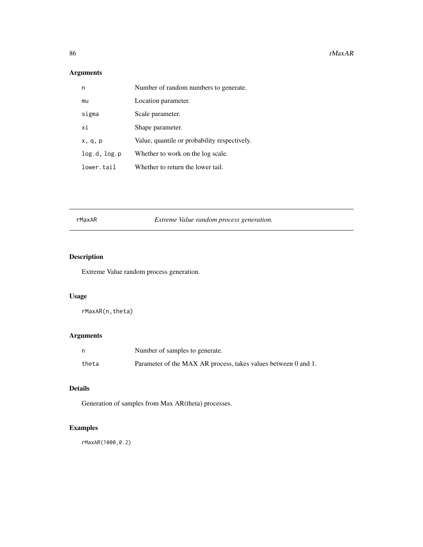<span id="page-85-0"></span>

| n            | Number of random numbers to generate.        |
|--------------|----------------------------------------------|
| mu           | Location parameter.                          |
| sigma        | Scale parameter.                             |
| xi           | Shape parameter.                             |
| x, q, p      | Value, quantile or probability respectively. |
| log.d, log.p | Whether to work on the log scale.            |
| lower.tail   | Whether to return the lower tail.            |

rMaxAR *Extreme Value random process generation.*

# Description

Extreme Value random process generation.

# Usage

rMaxAR(n,theta)

# Arguments

| n     | Number of samples to generate.                                 |
|-------|----------------------------------------------------------------|
| theta | Parameter of the MAX AR process, takes values between 0 and 1. |

# Details

Generation of samples from Max AR(theta) processes.

# Examples

rMaxAR(1000,0.2)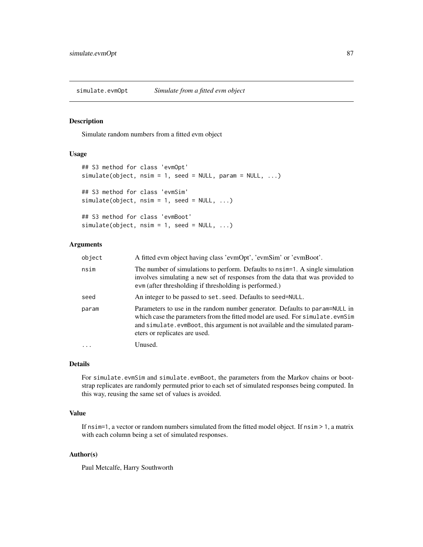<span id="page-86-0"></span>simulate.evmOpt *Simulate from a fitted evm object*

# Description

Simulate random numbers from a fitted evm object

#### Usage

```
## S3 method for class 'evmOpt'
simulate(object, nsim = 1, seed = NULL, param = NULL, ...)
## S3 method for class 'evmSim'
simulate(object, nsim = 1, seed = NULL, ...)
## S3 method for class 'evmBoot'
simulate(object, nsim = 1, seed = NULL, ...)
```
# Arguments

| object | A fitted evm object having class 'evmOpt', 'evmSim' or 'evmBoot'.                                                                                                                                                                                                              |  |
|--------|--------------------------------------------------------------------------------------------------------------------------------------------------------------------------------------------------------------------------------------------------------------------------------|--|
| nsim   | The number of simulations to perform. Defaults to nsimeral. A single simulation<br>involves simulating a new set of responses from the data that was provided to<br>evm (after thresholding if thresholding is performed.)                                                     |  |
| seed   | An integer to be passed to set. seed. Defaults to seed=NULL.                                                                                                                                                                                                                   |  |
| param  | Parameters to use in the random number generator. Defaults to param=NULL in<br>which case the parameters from the fitted model are used. For simulate.evmSim<br>and simulate.evmBoot, this argument is not available and the simulated param-<br>eters or replicates are used. |  |
| .      | Unused.                                                                                                                                                                                                                                                                        |  |

# Details

For simulate.evmSim and simulate.evmBoot, the parameters from the Markov chains or bootstrap replicates are randomly permuted prior to each set of simulated responses being computed. In this way, reusing the same set of values is avoided.

# Value

If nsim=1, a vector or random numbers simulated from the fitted model object. If nsim > 1, a matrix with each column being a set of simulated responses.

## Author(s)

Paul Metcalfe, Harry Southworth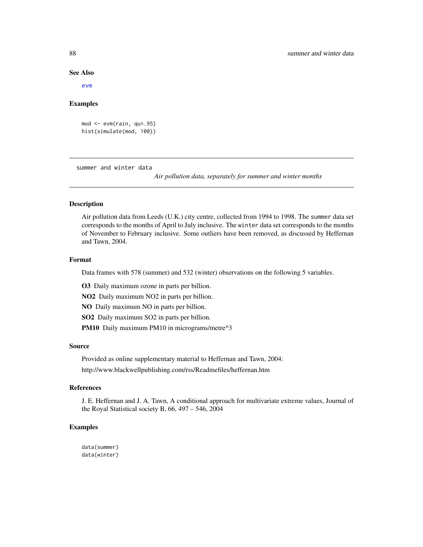#### See Also

[evm](#page-24-0)

## Examples

```
mod <- evm(rain, qu=.95)
hist(simulate(mod, 100))
```
summer and winter data

*Air pollution data, separately for summer and winter months*

## Description

Air pollution data from Leeds (U.K.) city centre, collected from 1994 to 1998. The summer data set corresponds to the months of April to July inclusive. The winter data set corresponds to the months of November to February inclusive. Some outliers have been removed, as discussed by Heffernan and Tawn, 2004.

## Format

Data frames with 578 (summer) and 532 (winter) observations on the following 5 variables.

O3 Daily maximum ozone in parts per billion.

NO2 Daily maximum NO2 in parts per billion.

NO Daily maximum NO in parts per billion.

SO2 Daily maximum SO2 in parts per billion.

PM10 Daily maximum PM10 in micrograms/metre^3

## Source

Provided as online supplementary material to Heffernan and Tawn, 2004: http://www.blackwellpublishing.com/rss/Readmefiles/heffernan.htm

## References

J. E. Heffernan and J. A. Tawn, A conditional approach for multivariate extreme values, Journal of the Royal Statistical society B, 66, 497 – 546, 2004

## Examples

data(summer) data(winter)

<span id="page-87-0"></span>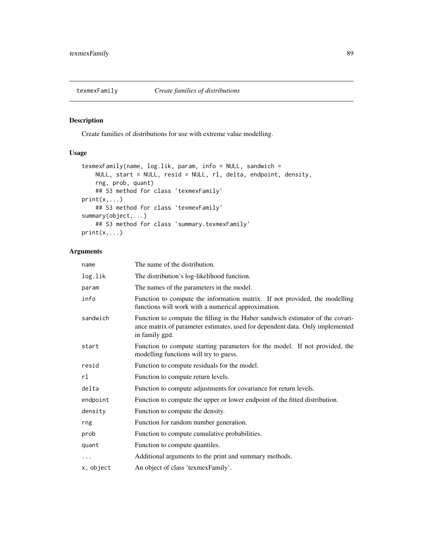<span id="page-88-0"></span>

# Description

Create families of distributions for use with extreme value modelling.

# Usage

```
texmexFamily(name, log.lik, param, info = NULL, sandwich =
   NULL, start = NULL, resid = NULL, rl, delta, endpoint, density,
    rng, prob, quant)
   ## S3 method for class 'texmexFamily'
print(x,...)## S3 method for class 'texmexFamily'
summary(object,...)
   ## S3 method for class 'summary.texmexFamily'
print(x,...)
```
# Arguments

| The name of the distribution.                                                                                                                                                     |
|-----------------------------------------------------------------------------------------------------------------------------------------------------------------------------------|
| The distribution's log-likelihood function.                                                                                                                                       |
| The names of the parameters in the model.                                                                                                                                         |
| Function to compute the information matrix. If not provided, the modelling<br>functions will work with a numerical approximation.                                                 |
| Function to compute the filling in the Huber sandwich estimator of the covari-<br>ance matrix of parameter estimates, used for dependent data. Only implemented<br>in family gpd. |
| Function to compute starting parameters for the model. If not provided, the<br>modelling functions will try to guess.                                                             |
| Function to compute residuals for the model.                                                                                                                                      |
| Function to compute return levels.                                                                                                                                                |
| Function to compute adjustments for covariance for return levels.                                                                                                                 |
| Function to compute the upper or lower endpoint of the fitted distribution.                                                                                                       |
| Function to compute the density.                                                                                                                                                  |
| Function for random number generation.                                                                                                                                            |
| Function to compute cumulative probabilities.                                                                                                                                     |
| Function to compute quantiles.                                                                                                                                                    |
| Additional arguments to the print and summary methods.                                                                                                                            |
| An object of class 'texmexFamily'.                                                                                                                                                |
|                                                                                                                                                                                   |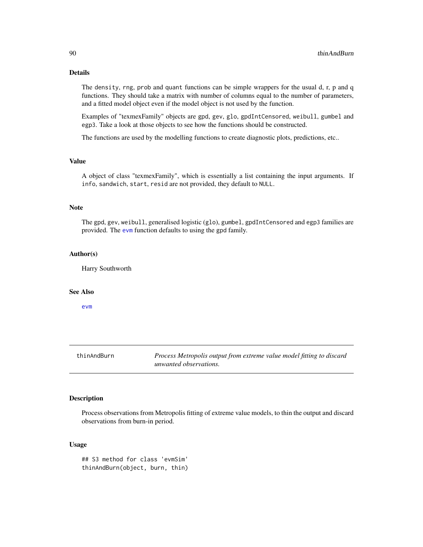# Details

The density, rng, prob and quant functions can be simple wrappers for the usual d, r, p and q functions. They should take a matrix with number of columns equal to the number of parameters, and a fitted model object even if the model object is not used by the function.

Examples of "texmexFamily" objects are gpd, gev, glo, gpdIntCensored, weibull, gumbel and egp3. Take a look at those objects to see how the functions should be constructed.

The functions are used by the modelling functions to create diagnostic plots, predictions, etc..

# Value

A object of class "texmexFamily", which is essentially a list containing the input arguments. If info, sandwich, start, resid are not provided, they default to NULL.

## Note

The gpd, gev, weibull, generalised logistic (glo), gumbel, gpdIntCensored and egp3 families are provided. The [evm](#page-24-0) function defaults to using the gpd family.

### Author(s)

Harry Southworth

# See Also

[evm](#page-24-0)

| thinAndBurn | Process Metropolis output from extreme value model fitting to discard |
|-------------|-----------------------------------------------------------------------|
|             | unwanted observations.                                                |

# Description

Process observations from Metropolis fitting of extreme value models, to thin the output and discard observations from burn-in period.

## Usage

## S3 method for class 'evmSim' thinAndBurn(object, burn, thin)

<span id="page-89-0"></span>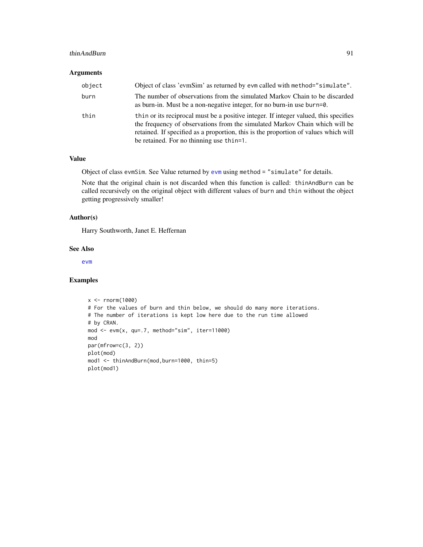#### <span id="page-90-0"></span>thinAndBurn 91

## Arguments

| object | Object of class 'evmSim' as returned by evm called with method="simulate".                                                                                                                                                                                                                             |
|--------|--------------------------------------------------------------------------------------------------------------------------------------------------------------------------------------------------------------------------------------------------------------------------------------------------------|
| burn   | The number of observations from the simulated Markov Chain to be discarded<br>as burn-in. Must be a non-negative integer, for no burn-in use burn=0.                                                                                                                                                   |
| thin   | thin or its reciprocal must be a positive integer. If integer valued, this specifies<br>the frequency of observations from the simulated Markov Chain which will be<br>retained. If specified as a proportion, this is the proportion of values which will<br>be retained. For no thinning use thin=1. |

# Value

Object of class evmSim. See Value returned by [evm](#page-24-0) using method = "simulate" for details.

Note that the original chain is not discarded when this function is called: thinAndBurn can be called recursively on the original object with different values of burn and thin without the object getting progressively smaller!

# Author(s)

Harry Southworth, Janet E. Heffernan

#### See Also

[evm](#page-24-0)

## Examples

```
x <- rnorm(1000)
# For the values of burn and thin below, we should do many more iterations.
# The number of iterations is kept low here due to the run time allowed
# by CRAN.
mod <- evm(x, qu=.7, method="sim", iter=11000)
mod
par(mfrow=c(3, 2))
plot(mod)
mod1 <- thinAndBurn(mod,burn=1000, thin=5)
plot(mod1)
```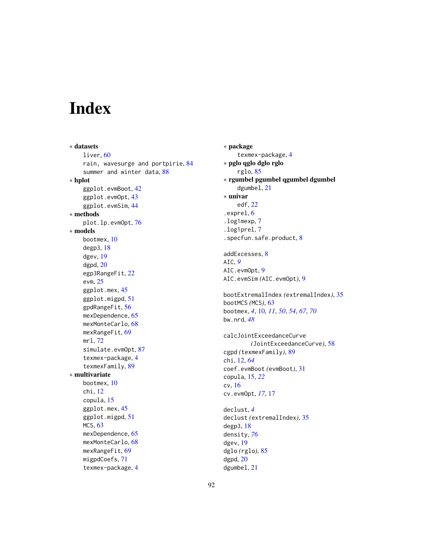# Index

∗ datasets liver, [60](#page-59-0) rain, wavesurge and portpirie, [84](#page-83-0) summer and winter data, [88](#page-87-0) ∗ hplot ggplot.evmBoot, [42](#page-41-0) ggplot.evmOpt, [43](#page-42-0) ggplot.evmSim, [44](#page-43-0) ∗ methods plot.lp.evmOpt, [76](#page-75-0) ∗ models bootmex, [10](#page-9-0) degp3, [18](#page-17-0) dgev, [19](#page-18-0) dgpd, [20](#page-19-0) egp3RangeFit, [22](#page-21-0) evm, [25](#page-24-1) ggplot.mex, [45](#page-44-0) ggplot.migpd, [51](#page-50-0) gpdRangeFit, [56](#page-55-0) mexDependence, [65](#page-64-0) mexMonteCarlo, [68](#page-67-0) mexRangeFit, [69](#page-68-0) mrl, [72](#page-71-0) simulate.evmOpt, [87](#page-86-0) texmex-package, [4](#page-3-0) texmexFamily, [89](#page-88-0) ∗ multivariate bootmex, [10](#page-9-0) chi, [12](#page-11-0) copula, [15](#page-14-0) ggplot.mex, [45](#page-44-0) ggplot.migpd, [51](#page-50-0) MCS, [63](#page-62-0) mexDependence, [65](#page-64-0) mexMonteCarlo, [68](#page-67-0) mexRangeFit, [69](#page-68-0) migpdCoefs, [71](#page-70-0) texmex-package, [4](#page-3-0)

∗ package texmex-package, [4](#page-3-0) ∗ pglo qglo dglo rglo rglo, [85](#page-84-0) ∗ rgumbel pgumbel qgumbel dgumbel dgumbel, [21](#page-20-0) ∗ univar edf, [22](#page-21-0) .exprel, [6](#page-5-0) .log1mexp, [7](#page-6-0) .log1prel, [7](#page-6-0) .specfun.safe.product, [8](#page-7-0) addExcesses, [8](#page-7-0) AIC, *[9](#page-8-0)* AIC.evmOpt, [9](#page-8-0) AIC.evmSim *(*AIC.evmOpt*)*, [9](#page-8-0) bootExtremalIndex *(*extremalIndex*)*, [35](#page-34-0) bootMCS *(*MCS*)*, [63](#page-62-0) bootmex, *[4](#page-3-0)*, [10,](#page-9-0) *[11](#page-10-0)*, *[50](#page-49-0)*, *[54](#page-53-0)*, *[67](#page-66-0)*, *[70](#page-69-0)* bw.nrd, *[48](#page-47-0)* calcJointExceedanceCurve *(*JointExceedanceCurve*)*, [58](#page-57-0) cgpd *(*texmexFamily*)*, [89](#page-88-0) chi, [12,](#page-11-0) *[64](#page-63-0)* coef.evmBoot *(*evmBoot*)*, [31](#page-30-0) copula, [15,](#page-14-0) *[22](#page-21-0)* cv, [16](#page-15-0) cv.evmOpt, *[17](#page-16-0)*, [17](#page-16-0) declust, *[4](#page-3-0)* declust *(*extremalIndex*)*, [35](#page-34-0) degp3, [18](#page-17-0) density, *[76](#page-75-0)* dgev, [19](#page-18-0) dglo *(*rglo*)*, [85](#page-84-0) dgpd, [20](#page-19-0) dgumbel, [21](#page-20-0)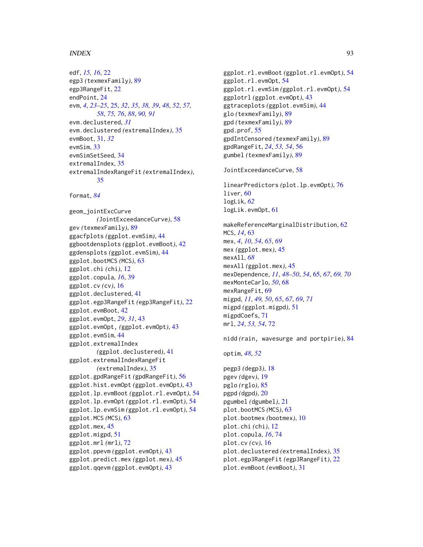## INDEX  $\sim$  93

```
edf, 15, 16, 22
egp3 (texmexFamily), 89
egp3RangeFit, 22
endPoint, 24
evm, 4, 23–25, 25, 32, 35, 38, 39, 48, 52, 57,
        58, 75, 76, 88, 90, 91
evm.declustered, 31
evm.declustered (extremalIndex), 35
evmBoot, 31, 32
evmSim, 33
evmSimSetSeed, 34
extremalIndex, 35
extremalIndexRangeFit (extremalIndex),
        35
format, 84
geom_jointExcCurve
        (JointExceedanceCurve), 58
gev (texmexFamily), 89
ggacfplots (ggplot.evmSim), 44
ggbootdensplots (ggplot.evmBoot), 42
ggdensplots (ggplot.evmSim), 44
ggplot.bootMCS (MCS), 63
ggplot.chi (chi), 12
ggplot.copula, 16, 39
ggplot.cv (cv), 16
ggplot.declustered, 41
ggplot.egp3RangeFit (egp3RangeFit), 22
ggplot.evmBoot, 42
ggplot.evmOpt, 29, 31, 43
ggplot.evmOpt, (ggplot.evmOpt), 43
ggplot.evmSim, 44
ggplot.extremalIndex
        (ggplot.declustered), 41
ggplot.extremalIndexRangeFit
        (extremalIndex), 35
ggplot.gpdRangeFit (gpdRangeFit), 56
ggplot.hist.evmOpt (ggplot.evmOpt), 43
ggplot.lp.evmBoot (ggplot.rl.evmOpt), 54
ggplot.lp.evmOpt (ggplot.rl.evmOpt), 54
ggplot.lp.evmSim (ggplot.rl.evmOpt), 54
ggplot.MCS (MCS), 63
ggplot.mex, 45
ggplot.migpd, 51
ggplot.mrl (mrl), 72
ggplot.ppevm (ggplot.evmOpt), 43
ggplot.predict.mex (ggplot.mex), 45
ggplot.qqevm (ggplot.evmOpt), 43
```

```
ggplot.rl.evmBoot (ggplot.rl.evmOpt), 54
ggplot.rl.evmOpt, 54
ggplot.rl.evmSim (ggplot.rl.evmOpt), 54
ggplotrl (ggplot.evmOpt), 43
ggtraceplots (ggplot.evmSim), 44
glo (texmexFamily), 89
gpd (texmexFamily), 89
gpd.prof, 55
gpdIntCensored (texmexFamily), 89
gpdRangeFit, 24, 53, 54, 56
gumbel (texmexFamily), 89
```
JointExceedanceCurve, [58](#page-57-0)

linearPredictors *(*plot.lp.evmOpt*)*, [76](#page-75-0) liver, [60](#page-59-0) logLik, *[62](#page-61-0)* logLik.evmOpt, [61](#page-60-0)

makeReferenceMarginalDistribution, [62](#page-61-0) MCS, *[14](#page-13-0)*, [63](#page-62-0) mex, *[4](#page-3-0)*, *[10](#page-9-0)*, *[54](#page-53-0)*, *[65](#page-64-0)*, *[69](#page-68-0)* mex *(*ggplot.mex*)*, [45](#page-44-0) mexAll, *[68](#page-67-0)* mexAll *(*ggplot.mex*)*, [45](#page-44-0) mexDependence, *[11](#page-10-0)*, *[48](#page-47-0)[–50](#page-49-0)*, *[54](#page-53-0)*, [65,](#page-64-0) *[67](#page-66-0)*, *[69,](#page-68-0) [70](#page-69-0)* mexMonteCarlo, *[50](#page-49-0)*, [68](#page-67-0) mexRangeFit, [69](#page-68-0) migpd, *[11](#page-10-0)*, *[49,](#page-48-0) [50](#page-49-0)*, *[65](#page-64-0)*, *[67](#page-66-0)*, *[69](#page-68-0)*, *[71](#page-70-0)* migpd *(*ggplot.migpd*)*, [51](#page-50-0) migpdCoefs, [71](#page-70-0) mrl, *[24](#page-23-0)*, *[53,](#page-52-0) [54](#page-53-0)*, [72](#page-71-0)

nidd *(*rain, wavesurge and portpirie*)*, [84](#page-83-0)

optim, *[48](#page-47-0)*, *[52](#page-51-0)*

pegp3 *(*degp3*)*, [18](#page-17-0) pgev *(*dgev*)*, [19](#page-18-0) pglo *(*rglo*)*, [85](#page-84-0) pgpd *(*dgpd*)*, [20](#page-19-0) pgumbel *(*dgumbel*)*, [21](#page-20-0) plot.bootMCS *(*MCS*)*, [63](#page-62-0) plot.bootmex *(*bootmex*)*, [10](#page-9-0) plot.chi *(*chi*)*, [12](#page-11-0) plot.copula, *[16](#page-15-0)*, [74](#page-73-0) plot.cv *(*cv*)*, [16](#page-15-0) plot.declustered *(*extremalIndex*)*, [35](#page-34-0) plot.egp3RangeFit *(*egp3RangeFit*)*, [22](#page-21-0) plot.evmBoot *(*evmBoot*)*, [31](#page-30-0)